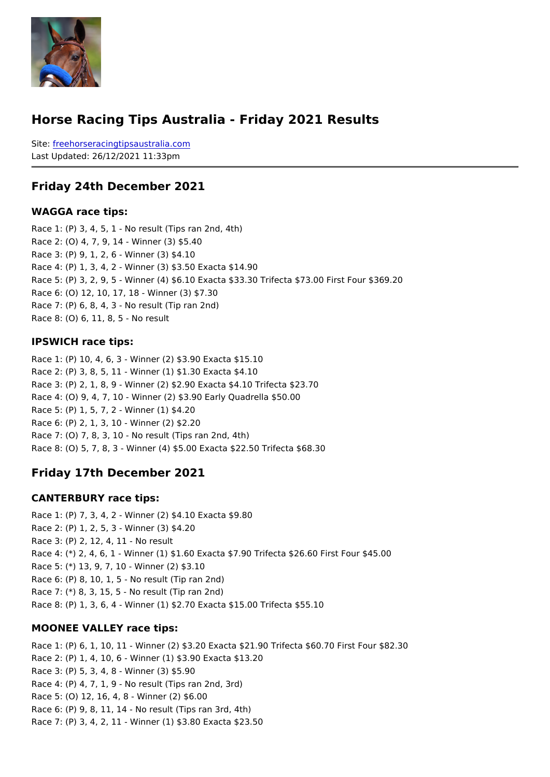#### Horse Racing Tips Australia - Friday 2021 Results

Sitefreehorseracingtipsaustralia.com Last Updated: 26/12/2021 11:33pm

#### Friday 24th December 2021

WAGGA race tips:

```
Race 1: (P) 3, 4, 5, 1 - No result (Tips ran 2nd, 4th)
Race 2: (O) 4, 7, 9, 14 - Winner (3) $5.40
Race 3: (P) 9, 1, 2, 6 - Winner (3) $4.10
Race 4: (P) 1, 3, 4, 2 - Winner (3) $3.50 Exacta $14.90
Race 5: (P) 3, 2, 9, 5 - Winner (4) $6.10 Exacta $33.30 Trifecta $73.00 First Four $369.20
Race 6: (O) 12, 10, 17, 18 - Winner (3) $7.30
Race 7: (P) 6, 8, 4, 3 - No result (Tip ran 2nd)
Race 8: (O) 6, 11, 8, 5 - No result
```
#### IPSWICH race tips:

Race 1: (P) 10, 4, 6, 3 - Winner (2) \$3.90 Exacta \$15.10 Race 2: (P) 3, 8, 5, 11 - Winner (1) \$1.30 Exacta \$4.10 Race 3: (P) 2, 1, 8, 9 - Winner (2) \$2.90 Exacta \$4.10 Trifecta \$23.70 Race 4: (O) 9, 4, 7, 10 - Winner (2) \$3.90 Early Quadrella \$50.00 Race 5: (P) 1, 5, 7, 2 - Winner (1) \$4.20 Race 6: (P) 2, 1, 3, 10 - Winner (2) \$2.20 Race 7: (O) 7, 8, 3, 10 - No result (Tips ran 2nd, 4th) Race 8: (O) 5, 7, 8, 3 - Winner (4) \$5.00 Exacta \$22.50 Trifecta \$68.30

Friday 17th December 2021

#### CANTERBURY race tips:

Race 1: (P) 7, 3, 4, 2 - Winner (2) \$4.10 Exacta \$9.80 Race 2: (P) 1, 2, 5, 3 - Winner (3) \$4.20 Race 3: (P) 2, 12, 4, 11 - No result Race 4: (\*) 2, 4, 6, 1 - Winner (1) \$1.60 Exacta \$7.90 Trifecta \$26.60 First Four \$45.00 Race 5: (\*) 13, 9, 7, 10 - Winner (2) \$3.10 Race 6: (P) 8, 10, 1, 5 - No result (Tip ran 2nd) Race 7: (\*) 8, 3, 15, 5 - No result (Tip ran 2nd) Race 8: (P) 1, 3, 6, 4 - Winner (1) \$2.70 Exacta \$15.00 Trifecta \$55.10

#### MOONEE VALLEY race tips:

Race 1: (P) 6, 1, 10, 11 - Winner (2) \$3.20 Exacta \$21.90 Trifecta \$60.70 First Four \$8 Race 2: (P) 1, 4, 10, 6 - Winner (1) \$3.90 Exacta \$13.20 Race 3: (P) 5, 3, 4, 8 - Winner (3) \$5.90 Race 4: (P) 4, 7, 1, 9 - No result (Tips ran 2nd, 3rd) Race 5: (O) 12, 16, 4, 8 - Winner (2) \$6.00 Race 6: (P) 9, 8, 11, 14 - No result (Tips ran 3rd, 4th) Race 7: (P) 3, 4, 2, 11 - Winner (1) \$3.80 Exacta \$23.50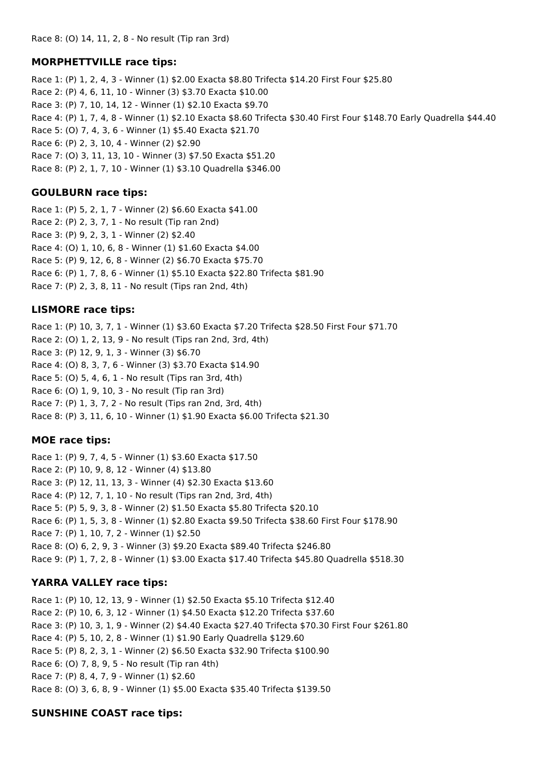### **MORPHETTVILLE race tips:**

Race 1: (P) 1, 2, 4, 3 - Winner (1) \$2.00 Exacta \$8.80 Trifecta \$14.20 First Four \$25.80 Race 2: (P) 4, 6, 11, 10 - Winner (3) \$3.70 Exacta \$10.00 Race 3: (P) 7, 10, 14, 12 - Winner (1) \$2.10 Exacta \$9.70 Race 4: (P) 1, 7, 4, 8 - Winner (1) \$2.10 Exacta \$8.60 Trifecta \$30.40 First Four \$148.70 Early Quadrella \$44.40 Race 5: (O) 7, 4, 3, 6 - Winner (1) \$5.40 Exacta \$21.70 Race 6: (P) 2, 3, 10, 4 - Winner (2) \$2.90 Race 7: (O) 3, 11, 13, 10 - Winner (3) \$7.50 Exacta \$51.20 Race 8: (P) 2, 1, 7, 10 - Winner (1) \$3.10 Quadrella \$346.00

### **GOULBURN race tips:**

Race 1: (P) 5, 2, 1, 7 - Winner (2) \$6.60 Exacta \$41.00 Race 2: (P) 2, 3, 7, 1 - No result (Tip ran 2nd) Race 3: (P) 9, 2, 3, 1 - Winner (2) \$2.40 Race 4: (O) 1, 10, 6, 8 - Winner (1) \$1.60 Exacta \$4.00 Race 5: (P) 9, 12, 6, 8 - Winner (2) \$6.70 Exacta \$75.70 Race 6: (P) 1, 7, 8, 6 - Winner (1) \$5.10 Exacta \$22.80 Trifecta \$81.90 Race 7: (P) 2, 3, 8, 11 - No result (Tips ran 2nd, 4th)

### **LISMORE race tips:**

Race 1: (P) 10, 3, 7, 1 - Winner (1) \$3.60 Exacta \$7.20 Trifecta \$28.50 First Four \$71.70 Race 2: (O) 1, 2, 13, 9 - No result (Tips ran 2nd, 3rd, 4th) Race 3: (P) 12, 9, 1, 3 - Winner (3) \$6.70 Race 4: (O) 8, 3, 7, 6 - Winner (3) \$3.70 Exacta \$14.90 Race 5: (O) 5, 4, 6, 1 - No result (Tips ran 3rd, 4th) Race 6: (O) 1, 9, 10, 3 - No result (Tip ran 3rd) Race 7: (P) 1, 3, 7, 2 - No result (Tips ran 2nd, 3rd, 4th) Race 8: (P) 3, 11, 6, 10 - Winner (1) \$1.90 Exacta \$6.00 Trifecta \$21.30

## **MOE race tips:**

Race 1: (P) 9, 7, 4, 5 - Winner (1) \$3.60 Exacta \$17.50 Race 2: (P) 10, 9, 8, 12 - Winner (4) \$13.80 Race 3: (P) 12, 11, 13, 3 - Winner (4) \$2.30 Exacta \$13.60 Race 4: (P) 12, 7, 1, 10 - No result (Tips ran 2nd, 3rd, 4th) Race 5: (P) 5, 9, 3, 8 - Winner (2) \$1.50 Exacta \$5.80 Trifecta \$20.10 Race 6: (P) 1, 5, 3, 8 - Winner (1) \$2.80 Exacta \$9.50 Trifecta \$38.60 First Four \$178.90 Race 7: (P) 1, 10, 7, 2 - Winner (1) \$2.50 Race 8: (O) 6, 2, 9, 3 - Winner (3) \$9.20 Exacta \$89.40 Trifecta \$246.80 Race 9: (P) 1, 7, 2, 8 - Winner (1) \$3.00 Exacta \$17.40 Trifecta \$45.80 Quadrella \$518.30

## **YARRA VALLEY race tips:**

Race 1: (P) 10, 12, 13, 9 - Winner (1) \$2.50 Exacta \$5.10 Trifecta \$12.40 Race 2: (P) 10, 6, 3, 12 - Winner (1) \$4.50 Exacta \$12.20 Trifecta \$37.60 Race 3: (P) 10, 3, 1, 9 - Winner (2) \$4.40 Exacta \$27.40 Trifecta \$70.30 First Four \$261.80 Race 4: (P) 5, 10, 2, 8 - Winner (1) \$1.90 Early Quadrella \$129.60 Race 5: (P) 8, 2, 3, 1 - Winner (2) \$6.50 Exacta \$32.90 Trifecta \$100.90 Race 6: (O) 7, 8, 9, 5 - No result (Tip ran 4th) Race 7: (P) 8, 4, 7, 9 - Winner (1) \$2.60 Race 8: (O) 3, 6, 8, 9 - Winner (1) \$5.00 Exacta \$35.40 Trifecta \$139.50

## **SUNSHINE COAST race tips:**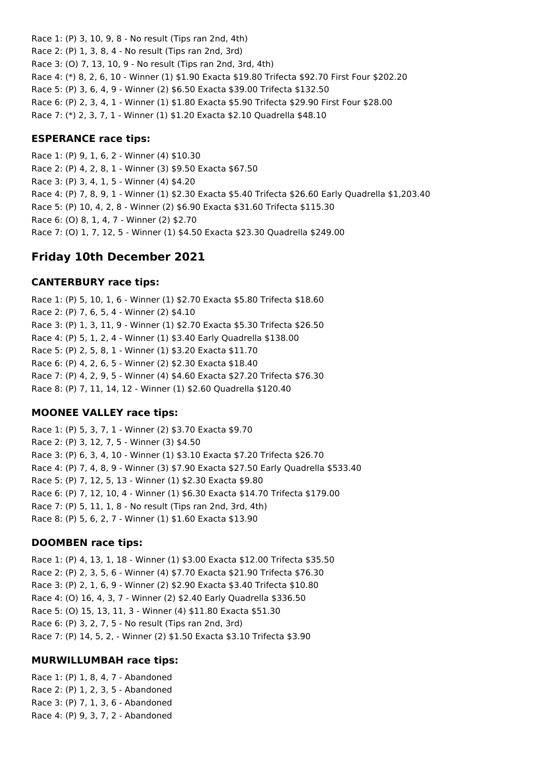Race 1: (P) 3, 10, 9, 8 - No result (Tips ran 2nd, 4th) Race 2: (P) 1, 3, 8, 4 - No result (Tips ran 2nd, 3rd) Race 3: (O) 7, 13, 10, 9 - No result (Tips ran 2nd, 3rd, 4th) Race 4: (\*) 8, 2, 6, 10 - Winner (1) \$1.90 Exacta \$19.80 Trifecta \$92.70 First Four \$202.20 Race 5: (P) 3, 6, 4, 9 - Winner (2) \$6.50 Exacta \$39.00 Trifecta \$132.50 Race 6: (P) 2, 3, 4, 1 - Winner (1) \$1.80 Exacta \$5.90 Trifecta \$29.90 First Four \$28.00 Race 7: (\*) 2, 3, 7, 1 - Winner (1) \$1.20 Exacta \$2.10 Quadrella \$48.10

#### **ESPERANCE race tips:**

Race 1: (P) 9, 1, 6, 2 - Winner (4) \$10.30 Race 2: (P) 4, 2, 8, 1 - Winner (3) \$9.50 Exacta \$67.50 Race 3: (P) 3, 4, 1, 5 - Winner (4) \$4.20 Race 4: (P) 7, 8, 9, 1 - Winner (1) \$2.30 Exacta \$5.40 Trifecta \$26.60 Early Quadrella \$1,203.40 Race 5: (P) 10, 4, 2, 8 - Winner (2) \$6.90 Exacta \$31.60 Trifecta \$115.30 Race 6: (O) 8, 1, 4, 7 - Winner (2) \$2.70 Race 7: (O) 1, 7, 12, 5 - Winner (1) \$4.50 Exacta \$23.30 Quadrella \$249.00

## **Friday 10th December 2021**

#### **CANTERBURY race tips:**

Race 1: (P) 5, 10, 1, 6 - Winner (1) \$2.70 Exacta \$5.80 Trifecta \$18.60 Race 2: (P) 7, 6, 5, 4 - Winner (2) \$4.10 Race 3: (P) 1, 3, 11, 9 - Winner (1) \$2.70 Exacta \$5.30 Trifecta \$26.50 Race 4: (P) 5, 1, 2, 4 - Winner (1) \$3.40 Early Quadrella \$138.00 Race 5: (P) 2, 5, 8, 1 - Winner (1) \$3.20 Exacta \$11.70 Race 6: (P) 4, 2, 6, 5 - Winner (2) \$2.30 Exacta \$18.40 Race 7: (P) 4, 2, 9, 5 - Winner (4) \$4.60 Exacta \$27.20 Trifecta \$76.30 Race 8: (P) 7, 11, 14, 12 - Winner (1) \$2.60 Quadrella \$120.40

### **MOONEE VALLEY race tips:**

Race 1: (P) 5, 3, 7, 1 - Winner (2) \$3.70 Exacta \$9.70 Race 2: (P) 3, 12, 7, 5 - Winner (3) \$4.50 Race 3: (P) 6, 3, 4, 10 - Winner (1) \$3.10 Exacta \$7.20 Trifecta \$26.70 Race 4: (P) 7, 4, 8, 9 - Winner (3) \$7.90 Exacta \$27.50 Early Quadrella \$533.40 Race 5: (P) 7, 12, 5, 13 - Winner (1) \$2.30 Exacta \$9.80 Race 6: (P) 7, 12, 10, 4 - Winner (1) \$6.30 Exacta \$14.70 Trifecta \$179.00 Race 7: (P) 5, 11, 1, 8 - No result (Tips ran 2nd, 3rd, 4th) Race 8: (P) 5, 6, 2, 7 - Winner (1) \$1.60 Exacta \$13.90

### **DOOMBEN race tips:**

Race 1: (P) 4, 13, 1, 18 - Winner (1) \$3.00 Exacta \$12.00 Trifecta \$35.50 Race 2: (P) 2, 3, 5, 6 - Winner (4) \$7.70 Exacta \$21.90 Trifecta \$76.30 Race 3: (P) 2, 1, 6, 9 - Winner (2) \$2.90 Exacta \$3.40 Trifecta \$10.80 Race 4: (O) 16, 4, 3, 7 - Winner (2) \$2.40 Early Quadrella \$336.50 Race 5: (O) 15, 13, 11, 3 - Winner (4) \$11.80 Exacta \$51.30 Race 6: (P) 3, 2, 7, 5 - No result (Tips ran 2nd, 3rd) Race 7: (P) 14, 5, 2, - Winner (2) \$1.50 Exacta \$3.10 Trifecta \$3.90

#### **MURWILLUMBAH race tips:**

Race 1: (P) 1, 8, 4, 7 - Abandoned Race 2: (P) 1, 2, 3, 5 - Abandoned Race 3: (P) 7, 1, 3, 6 - Abandoned Race 4: (P) 9, 3, 7, 2 - Abandoned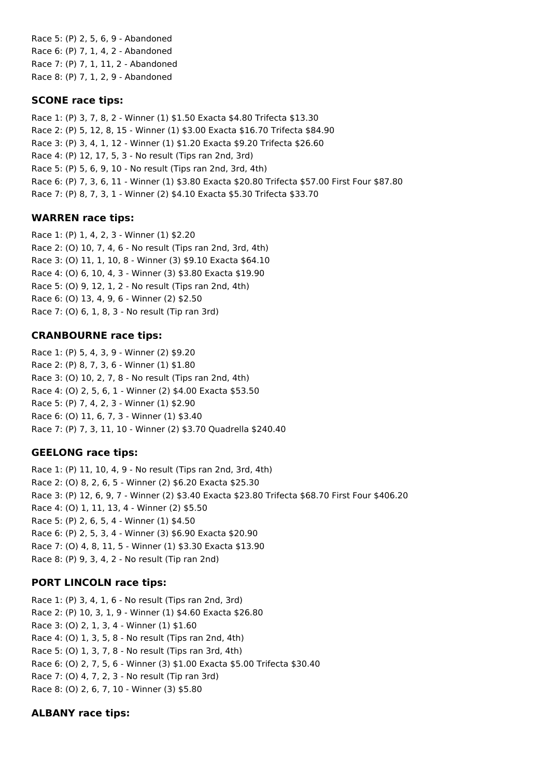Race 5: (P) 2, 5, 6, 9 - Abandoned Race 6: (P) 7, 1, 4, 2 - Abandoned Race 7: (P) 7, 1, 11, 2 - Abandoned Race 8: (P) 7, 1, 2, 9 - Abandoned

### **SCONE race tips:**

Race 1: (P) 3, 7, 8, 2 - Winner (1) \$1.50 Exacta \$4.80 Trifecta \$13.30 Race 2: (P) 5, 12, 8, 15 - Winner (1) \$3.00 Exacta \$16.70 Trifecta \$84.90 Race 3: (P) 3, 4, 1, 12 - Winner (1) \$1.20 Exacta \$9.20 Trifecta \$26.60 Race 4: (P) 12, 17, 5, 3 - No result (Tips ran 2nd, 3rd) Race 5: (P) 5, 6, 9, 10 - No result (Tips ran 2nd, 3rd, 4th) Race 6: (P) 7, 3, 6, 11 - Winner (1) \$3.80 Exacta \$20.80 Trifecta \$57.00 First Four \$87.80 Race 7: (P) 8, 7, 3, 1 - Winner (2) \$4.10 Exacta \$5.30 Trifecta \$33.70

### **WARREN race tips:**

Race 1: (P) 1, 4, 2, 3 - Winner (1) \$2.20 Race 2: (O) 10, 7, 4, 6 - No result (Tips ran 2nd, 3rd, 4th) Race 3: (O) 11, 1, 10, 8 - Winner (3) \$9.10 Exacta \$64.10 Race 4: (O) 6, 10, 4, 3 - Winner (3) \$3.80 Exacta \$19.90 Race 5: (O) 9, 12, 1, 2 - No result (Tips ran 2nd, 4th) Race 6: (O) 13, 4, 9, 6 - Winner (2) \$2.50 Race 7: (O) 6, 1, 8, 3 - No result (Tip ran 3rd)

### **CRANBOURNE race tips:**

Race 1: (P) 5, 4, 3, 9 - Winner (2) \$9.20 Race 2: (P) 8, 7, 3, 6 - Winner (1) \$1.80 Race 3: (O) 10, 2, 7, 8 - No result (Tips ran 2nd, 4th) Race 4: (O) 2, 5, 6, 1 - Winner (2) \$4.00 Exacta \$53.50 Race 5: (P) 7, 4, 2, 3 - Winner (1) \$2.90 Race 6: (O) 11, 6, 7, 3 - Winner (1) \$3.40 Race 7: (P) 7, 3, 11, 10 - Winner (2) \$3.70 Quadrella \$240.40

## **GEELONG race tips:**

Race 1: (P) 11, 10, 4, 9 - No result (Tips ran 2nd, 3rd, 4th) Race 2: (O) 8, 2, 6, 5 - Winner (2) \$6.20 Exacta \$25.30 Race 3: (P) 12, 6, 9, 7 - Winner (2) \$3.40 Exacta \$23.80 Trifecta \$68.70 First Four \$406.20 Race 4: (O) 1, 11, 13, 4 - Winner (2) \$5.50 Race 5: (P) 2, 6, 5, 4 - Winner (1) \$4.50 Race 6: (P) 2, 5, 3, 4 - Winner (3) \$6.90 Exacta \$20.90 Race 7: (O) 4, 8, 11, 5 - Winner (1) \$3.30 Exacta \$13.90 Race 8: (P) 9, 3, 4, 2 - No result (Tip ran 2nd)

## **PORT LINCOLN race tips:**

Race 1: (P) 3, 4, 1, 6 - No result (Tips ran 2nd, 3rd) Race 2: (P) 10, 3, 1, 9 - Winner (1) \$4.60 Exacta \$26.80 Race 3: (O) 2, 1, 3, 4 - Winner (1) \$1.60 Race 4: (O) 1, 3, 5, 8 - No result (Tips ran 2nd, 4th) Race 5: (O) 1, 3, 7, 8 - No result (Tips ran 3rd, 4th) Race 6: (O) 2, 7, 5, 6 - Winner (3) \$1.00 Exacta \$5.00 Trifecta \$30.40 Race 7: (O) 4, 7, 2, 3 - No result (Tip ran 3rd) Race 8: (O) 2, 6, 7, 10 - Winner (3) \$5.80

## **ALBANY race tips:**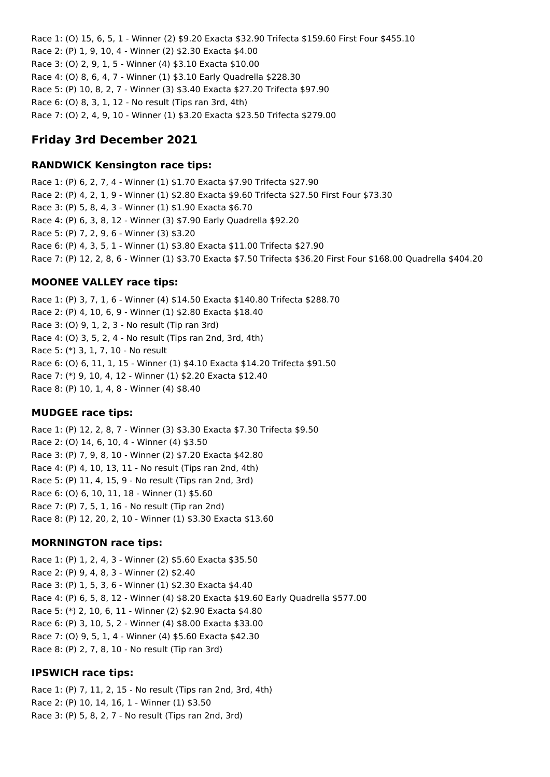Race 1: (O) 15, 6, 5, 1 - Winner (2) \$9.20 Exacta \$32.90 Trifecta \$159.60 First Four \$455.10 Race 2: (P) 1, 9, 10, 4 - Winner (2) \$2.30 Exacta \$4.00 Race 3: (O) 2, 9, 1, 5 - Winner (4) \$3.10 Exacta \$10.00 Race 4: (O) 8, 6, 4, 7 - Winner (1) \$3.10 Early Quadrella \$228.30 Race 5: (P) 10, 8, 2, 7 - Winner (3) \$3.40 Exacta \$27.20 Trifecta \$97.90 Race 6: (O) 8, 3, 1, 12 - No result (Tips ran 3rd, 4th) Race 7: (O) 2, 4, 9, 10 - Winner (1) \$3.20 Exacta \$23.50 Trifecta \$279.00

# **Friday 3rd December 2021**

### **RANDWICK Kensington race tips:**

Race 1: (P) 6, 2, 7, 4 - Winner (1) \$1.70 Exacta \$7.90 Trifecta \$27.90 Race 2: (P) 4, 2, 1, 9 - Winner (1) \$2.80 Exacta \$9.60 Trifecta \$27.50 First Four \$73.30 Race 3: (P) 5, 8, 4, 3 - Winner (1) \$1.90 Exacta \$6.70 Race 4: (P) 6, 3, 8, 12 - Winner (3) \$7.90 Early Quadrella \$92.20 Race 5: (P) 7, 2, 9, 6 - Winner (3) \$3.20 Race 6: (P) 4, 3, 5, 1 - Winner (1) \$3.80 Exacta \$11.00 Trifecta \$27.90 Race 7: (P) 12, 2, 8, 6 - Winner (1) \$3.70 Exacta \$7.50 Trifecta \$36.20 First Four \$168.00 Quadrella \$404.20

## **MOONEE VALLEY race tips:**

Race 1: (P) 3, 7, 1, 6 - Winner (4) \$14.50 Exacta \$140.80 Trifecta \$288.70 Race 2: (P) 4, 10, 6, 9 - Winner (1) \$2.80 Exacta \$18.40 Race 3: (O) 9, 1, 2, 3 - No result (Tip ran 3rd) Race 4: (O) 3, 5, 2, 4 - No result (Tips ran 2nd, 3rd, 4th) Race 5: (\*) 3, 1, 7, 10 - No result Race 6: (O) 6, 11, 1, 15 - Winner (1) \$4.10 Exacta \$14.20 Trifecta \$91.50 Race 7: (\*) 9, 10, 4, 12 - Winner (1) \$2.20 Exacta \$12.40 Race 8: (P) 10, 1, 4, 8 - Winner (4) \$8.40

## **MUDGEE race tips:**

Race 1: (P) 12, 2, 8, 7 - Winner (3) \$3.30 Exacta \$7.30 Trifecta \$9.50 Race 2: (O) 14, 6, 10, 4 - Winner (4) \$3.50 Race 3: (P) 7, 9, 8, 10 - Winner (2) \$7.20 Exacta \$42.80 Race 4: (P) 4, 10, 13, 11 - No result (Tips ran 2nd, 4th) Race 5: (P) 11, 4, 15, 9 - No result (Tips ran 2nd, 3rd) Race 6: (O) 6, 10, 11, 18 - Winner (1) \$5.60 Race 7: (P) 7, 5, 1, 16 - No result (Tip ran 2nd) Race 8: (P) 12, 20, 2, 10 - Winner (1) \$3.30 Exacta \$13.60

## **MORNINGTON race tips:**

Race 1: (P) 1, 2, 4, 3 - Winner (2) \$5.60 Exacta \$35.50 Race 2: (P) 9, 4, 8, 3 - Winner (2) \$2.40 Race 3: (P) 1, 5, 3, 6 - Winner (1) \$2.30 Exacta \$4.40 Race 4: (P) 6, 5, 8, 12 - Winner (4) \$8.20 Exacta \$19.60 Early Quadrella \$577.00 Race 5: (\*) 2, 10, 6, 11 - Winner (2) \$2.90 Exacta \$4.80 Race 6: (P) 3, 10, 5, 2 - Winner (4) \$8.00 Exacta \$33.00 Race 7: (O) 9, 5, 1, 4 - Winner (4) \$5.60 Exacta \$42.30 Race 8: (P) 2, 7, 8, 10 - No result (Tip ran 3rd)

### **IPSWICH race tips:**

Race 1: (P) 7, 11, 2, 15 - No result (Tips ran 2nd, 3rd, 4th) Race 2: (P) 10, 14, 16, 1 - Winner (1) \$3.50 Race 3: (P) 5, 8, 2, 7 - No result (Tips ran 2nd, 3rd)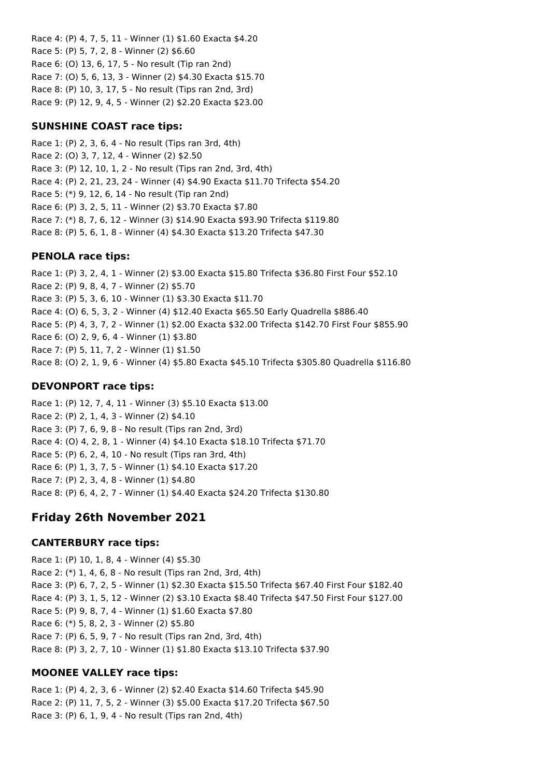Race 4: (P) 4, 7, 5, 11 - Winner (1) \$1.60 Exacta \$4.20 Race 5: (P) 5, 7, 2, 8 - Winner (2) \$6.60 Race 6: (O) 13, 6, 17, 5 - No result (Tip ran 2nd) Race 7: (O) 5, 6, 13, 3 - Winner (2) \$4.30 Exacta \$15.70 Race 8: (P) 10, 3, 17, 5 - No result (Tips ran 2nd, 3rd) Race 9: (P) 12, 9, 4, 5 - Winner (2) \$2.20 Exacta \$23.00

### **SUNSHINE COAST race tips:**

Race 1: (P) 2, 3, 6, 4 - No result (Tips ran 3rd, 4th) Race 2: (O) 3, 7, 12, 4 - Winner (2) \$2.50 Race 3: (P) 12, 10, 1, 2 - No result (Tips ran 2nd, 3rd, 4th) Race 4: (P) 2, 21, 23, 24 - Winner (4) \$4.90 Exacta \$11.70 Trifecta \$54.20 Race 5: (\*) 9, 12, 6, 14 - No result (Tip ran 2nd) Race 6: (P) 3, 2, 5, 11 - Winner (2) \$3.70 Exacta \$7.80 Race 7: (\*) 8, 7, 6, 12 - Winner (3) \$14.90 Exacta \$93.90 Trifecta \$119.80 Race 8: (P) 5, 6, 1, 8 - Winner (4) \$4.30 Exacta \$13.20 Trifecta \$47.30

#### **PENOLA race tips:**

Race 1: (P) 3, 2, 4, 1 - Winner (2) \$3.00 Exacta \$15.80 Trifecta \$36.80 First Four \$52.10 Race 2: (P) 9, 8, 4, 7 - Winner (2) \$5.70 Race 3: (P) 5, 3, 6, 10 - Winner (1) \$3.30 Exacta \$11.70 Race 4: (O) 6, 5, 3, 2 - Winner (4) \$12.40 Exacta \$65.50 Early Quadrella \$886.40 Race 5: (P) 4, 3, 7, 2 - Winner (1) \$2.00 Exacta \$32.00 Trifecta \$142.70 First Four \$855.90 Race 6: (O) 2, 9, 6, 4 - Winner (1) \$3.80 Race 7: (P) 5, 11, 7, 2 - Winner (1) \$1.50 Race 8: (O) 2, 1, 9, 6 - Winner (4) \$5.80 Exacta \$45.10 Trifecta \$305.80 Quadrella \$116.80

#### **DEVONPORT race tips:**

Race 1: (P) 12, 7, 4, 11 - Winner (3) \$5.10 Exacta \$13.00 Race 2: (P) 2, 1, 4, 3 - Winner (2) \$4.10 Race 3: (P) 7, 6, 9, 8 - No result (Tips ran 2nd, 3rd) Race 4: (O) 4, 2, 8, 1 - Winner (4) \$4.10 Exacta \$18.10 Trifecta \$71.70 Race 5: (P) 6, 2, 4, 10 - No result (Tips ran 3rd, 4th) Race 6: (P) 1, 3, 7, 5 - Winner (1) \$4.10 Exacta \$17.20 Race 7: (P) 2, 3, 4, 8 - Winner (1) \$4.80 Race 8: (P) 6, 4, 2, 7 - Winner (1) \$4.40 Exacta \$24.20 Trifecta \$130.80

# **Friday 26th November 2021**

#### **CANTERBURY race tips:**

Race 1: (P) 10, 1, 8, 4 - Winner (4) \$5.30 Race 2: (\*) 1, 4, 6, 8 - No result (Tips ran 2nd, 3rd, 4th) Race 3: (P) 6, 7, 2, 5 - Winner (1) \$2.30 Exacta \$15.50 Trifecta \$67.40 First Four \$182.40 Race 4: (P) 3, 1, 5, 12 - Winner (2) \$3.10 Exacta \$8.40 Trifecta \$47.50 First Four \$127.00 Race 5: (P) 9, 8, 7, 4 - Winner (1) \$1.60 Exacta \$7.80 Race 6: (\*) 5, 8, 2, 3 - Winner (2) \$5.80 Race 7: (P) 6, 5, 9, 7 - No result (Tips ran 2nd, 3rd, 4th) Race 8: (P) 3, 2, 7, 10 - Winner (1) \$1.80 Exacta \$13.10 Trifecta \$37.90

### **MOONEE VALLEY race tips:**

Race 1: (P) 4, 2, 3, 6 - Winner (2) \$2.40 Exacta \$14.60 Trifecta \$45.90 Race 2: (P) 11, 7, 5, 2 - Winner (3) \$5.00 Exacta \$17.20 Trifecta \$67.50 Race 3: (P) 6, 1, 9, 4 - No result (Tips ran 2nd, 4th)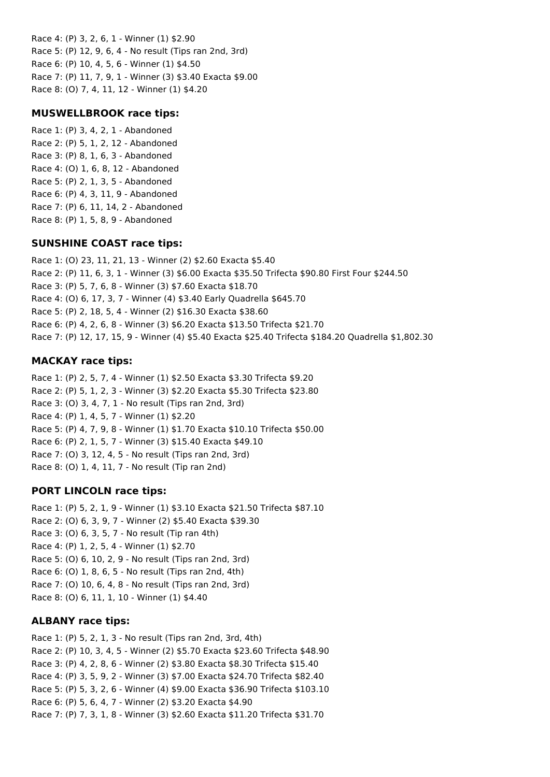Race 4: (P) 3, 2, 6, 1 - Winner (1) \$2.90 Race 5: (P) 12, 9, 6, 4 - No result (Tips ran 2nd, 3rd) Race 6: (P) 10, 4, 5, 6 - Winner (1) \$4.50 Race 7: (P) 11, 7, 9, 1 - Winner (3) \$3.40 Exacta \$9.00 Race 8: (O) 7, 4, 11, 12 - Winner (1) \$4.20

#### **MUSWELLBROOK race tips:**

Race 1: (P) 3, 4, 2, 1 - Abandoned Race 2: (P) 5, 1, 2, 12 - Abandoned Race 3: (P) 8, 1, 6, 3 - Abandoned Race 4: (O) 1, 6, 8, 12 - Abandoned Race 5: (P) 2, 1, 3, 5 - Abandoned Race 6: (P) 4, 3, 11, 9 - Abandoned Race 7: (P) 6, 11, 14, 2 - Abandoned Race 8: (P) 1, 5, 8, 9 - Abandoned

#### **SUNSHINE COAST race tips:**

Race 1: (O) 23, 11, 21, 13 - Winner (2) \$2.60 Exacta \$5.40 Race 2: (P) 11, 6, 3, 1 - Winner (3) \$6.00 Exacta \$35.50 Trifecta \$90.80 First Four \$244.50 Race 3: (P) 5, 7, 6, 8 - Winner (3) \$7.60 Exacta \$18.70 Race 4: (O) 6, 17, 3, 7 - Winner (4) \$3.40 Early Quadrella \$645.70 Race 5: (P) 2, 18, 5, 4 - Winner (2) \$16.30 Exacta \$38.60 Race 6: (P) 4, 2, 6, 8 - Winner (3) \$6.20 Exacta \$13.50 Trifecta \$21.70 Race 7: (P) 12, 17, 15, 9 - Winner (4) \$5.40 Exacta \$25.40 Trifecta \$184.20 Quadrella \$1,802.30

#### **MACKAY race tips:**

Race 1: (P) 2, 5, 7, 4 - Winner (1) \$2.50 Exacta \$3.30 Trifecta \$9.20 Race 2: (P) 5, 1, 2, 3 - Winner (3) \$2.20 Exacta \$5.30 Trifecta \$23.80 Race 3: (O) 3, 4, 7, 1 - No result (Tips ran 2nd, 3rd) Race 4: (P) 1, 4, 5, 7 - Winner (1) \$2.20 Race 5: (P) 4, 7, 9, 8 - Winner (1) \$1.70 Exacta \$10.10 Trifecta \$50.00 Race 6: (P) 2, 1, 5, 7 - Winner (3) \$15.40 Exacta \$49.10 Race 7: (O) 3, 12, 4, 5 - No result (Tips ran 2nd, 3rd) Race 8: (O) 1, 4, 11, 7 - No result (Tip ran 2nd)

#### **PORT LINCOLN race tips:**

Race 1: (P) 5, 2, 1, 9 - Winner (1) \$3.10 Exacta \$21.50 Trifecta \$87.10 Race 2: (O) 6, 3, 9, 7 - Winner (2) \$5.40 Exacta \$39.30 Race 3: (O) 6, 3, 5, 7 - No result (Tip ran 4th) Race 4: (P) 1, 2, 5, 4 - Winner (1) \$2.70 Race 5: (O) 6, 10, 2, 9 - No result (Tips ran 2nd, 3rd) Race 6: (O) 1, 8, 6, 5 - No result (Tips ran 2nd, 4th) Race 7: (O) 10, 6, 4, 8 - No result (Tips ran 2nd, 3rd) Race 8: (O) 6, 11, 1, 10 - Winner (1) \$4.40

#### **ALBANY race tips:**

Race 1: (P) 5, 2, 1, 3 - No result (Tips ran 2nd, 3rd, 4th) Race 2: (P) 10, 3, 4, 5 - Winner (2) \$5.70 Exacta \$23.60 Trifecta \$48.90 Race 3: (P) 4, 2, 8, 6 - Winner (2) \$3.80 Exacta \$8.30 Trifecta \$15.40 Race 4: (P) 3, 5, 9, 2 - Winner (3) \$7.00 Exacta \$24.70 Trifecta \$82.40 Race 5: (P) 5, 3, 2, 6 - Winner (4) \$9.00 Exacta \$36.90 Trifecta \$103.10 Race 6: (P) 5, 6, 4, 7 - Winner (2) \$3.20 Exacta \$4.90 Race 7: (P) 7, 3, 1, 8 - Winner (3) \$2.60 Exacta \$11.20 Trifecta \$31.70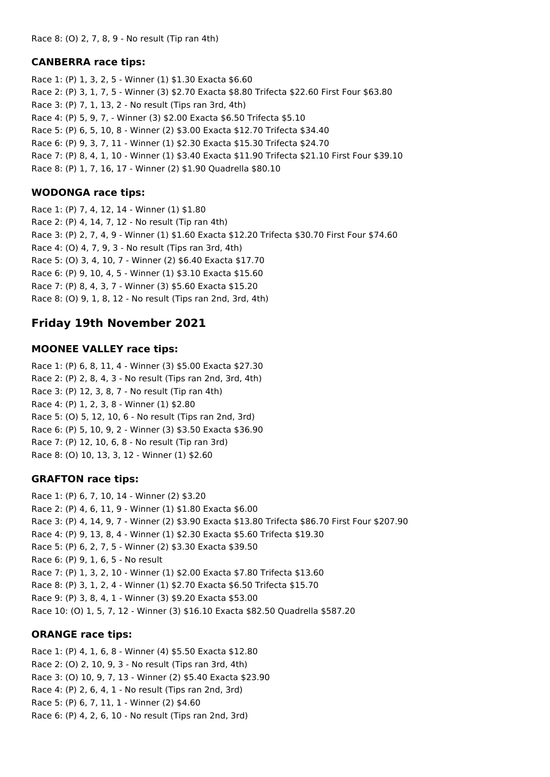### **CANBERRA race tips:**

Race 1: (P) 1, 3, 2, 5 - Winner (1) \$1.30 Exacta \$6.60 Race 2: (P) 3, 1, 7, 5 - Winner (3) \$2.70 Exacta \$8.80 Trifecta \$22.60 First Four \$63.80 Race 3: (P) 7, 1, 13, 2 - No result (Tips ran 3rd, 4th) Race 4: (P) 5, 9, 7, - Winner (3) \$2.00 Exacta \$6.50 Trifecta \$5.10 Race 5: (P) 6, 5, 10, 8 - Winner (2) \$3.00 Exacta \$12.70 Trifecta \$34.40 Race 6: (P) 9, 3, 7, 11 - Winner (1) \$2.30 Exacta \$15.30 Trifecta \$24.70 Race 7: (P) 8, 4, 1, 10 - Winner (1) \$3.40 Exacta \$11.90 Trifecta \$21.10 First Four \$39.10 Race 8: (P) 1, 7, 16, 17 - Winner (2) \$1.90 Quadrella \$80.10

### **WODONGA race tips:**

Race 1: (P) 7, 4, 12, 14 - Winner (1) \$1.80 Race 2: (P) 4, 14, 7, 12 - No result (Tip ran 4th) Race 3: (P) 2, 7, 4, 9 - Winner (1) \$1.60 Exacta \$12.20 Trifecta \$30.70 First Four \$74.60 Race 4: (O) 4, 7, 9, 3 - No result (Tips ran 3rd, 4th) Race 5: (O) 3, 4, 10, 7 - Winner (2) \$6.40 Exacta \$17.70 Race 6: (P) 9, 10, 4, 5 - Winner (1) \$3.10 Exacta \$15.60 Race 7: (P) 8, 4, 3, 7 - Winner (3) \$5.60 Exacta \$15.20 Race 8: (O) 9, 1, 8, 12 - No result (Tips ran 2nd, 3rd, 4th)

# **Friday 19th November 2021**

### **MOONEE VALLEY race tips:**

Race 1: (P) 6, 8, 11, 4 - Winner (3) \$5.00 Exacta \$27.30 Race 2: (P) 2, 8, 4, 3 - No result (Tips ran 2nd, 3rd, 4th) Race 3: (P) 12, 3, 8, 7 - No result (Tip ran 4th) Race 4: (P) 1, 2, 3, 8 - Winner (1) \$2.80 Race 5: (O) 5, 12, 10, 6 - No result (Tips ran 2nd, 3rd) Race 6: (P) 5, 10, 9, 2 - Winner (3) \$3.50 Exacta \$36.90 Race 7: (P) 12, 10, 6, 8 - No result (Tip ran 3rd) Race 8: (O) 10, 13, 3, 12 - Winner (1) \$2.60

## **GRAFTON race tips:**

Race 1: (P) 6, 7, 10, 14 - Winner (2) \$3.20 Race 2: (P) 4, 6, 11, 9 - Winner (1) \$1.80 Exacta \$6.00 Race 3: (P) 4, 14, 9, 7 - Winner (2) \$3.90 Exacta \$13.80 Trifecta \$86.70 First Four \$207.90 Race 4: (P) 9, 13, 8, 4 - Winner (1) \$2.30 Exacta \$5.60 Trifecta \$19.30 Race 5: (P) 6, 2, 7, 5 - Winner (2) \$3.30 Exacta \$39.50 Race 6: (P) 9, 1, 6, 5 - No result Race 7: (P) 1, 3, 2, 10 - Winner (1) \$2.00 Exacta \$7.80 Trifecta \$13.60 Race 8: (P) 3, 1, 2, 4 - Winner (1) \$2.70 Exacta \$6.50 Trifecta \$15.70 Race 9: (P) 3, 8, 4, 1 - Winner (3) \$9.20 Exacta \$53.00 Race 10: (O) 1, 5, 7, 12 - Winner (3) \$16.10 Exacta \$82.50 Quadrella \$587.20

### **ORANGE race tips:**

Race 1: (P) 4, 1, 6, 8 - Winner (4) \$5.50 Exacta \$12.80 Race 2: (O) 2, 10, 9, 3 - No result (Tips ran 3rd, 4th) Race 3: (O) 10, 9, 7, 13 - Winner (2) \$5.40 Exacta \$23.90 Race 4: (P) 2, 6, 4, 1 - No result (Tips ran 2nd, 3rd) Race 5: (P) 6, 7, 11, 1 - Winner (2) \$4.60 Race 6: (P) 4, 2, 6, 10 - No result (Tips ran 2nd, 3rd)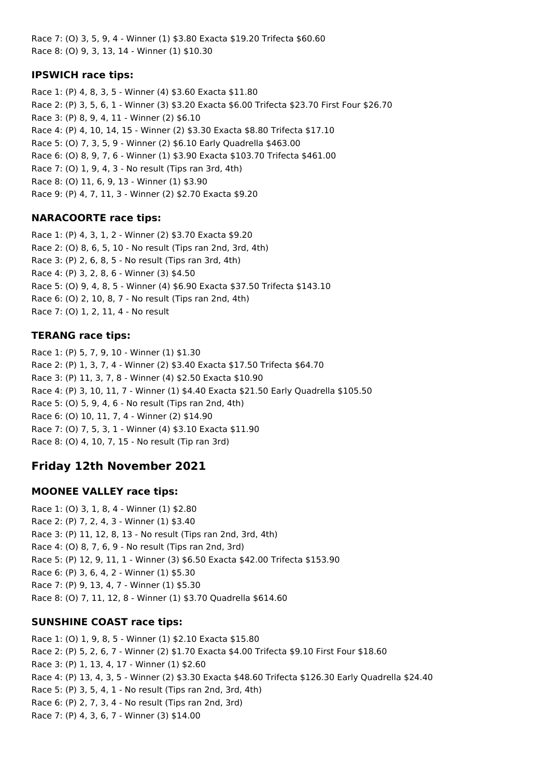Race 7: (O) 3, 5, 9, 4 - Winner (1) \$3.80 Exacta \$19.20 Trifecta \$60.60 Race 8: (O) 9, 3, 13, 14 - Winner (1) \$10.30

### **IPSWICH race tips:**

Race 1: (P) 4, 8, 3, 5 - Winner (4) \$3.60 Exacta \$11.80 Race 2: (P) 3, 5, 6, 1 - Winner (3) \$3.20 Exacta \$6.00 Trifecta \$23.70 First Four \$26.70 Race 3: (P) 8, 9, 4, 11 - Winner (2) \$6.10 Race 4: (P) 4, 10, 14, 15 - Winner (2) \$3.30 Exacta \$8.80 Trifecta \$17.10 Race 5: (O) 7, 3, 5, 9 - Winner (2) \$6.10 Early Quadrella \$463.00 Race 6: (O) 8, 9, 7, 6 - Winner (1) \$3.90 Exacta \$103.70 Trifecta \$461.00 Race 7: (O) 1, 9, 4, 3 - No result (Tips ran 3rd, 4th) Race 8: (O) 11, 6, 9, 13 - Winner (1) \$3.90 Race 9: (P) 4, 7, 11, 3 - Winner (2) \$2.70 Exacta \$9.20

### **NARACOORTE race tips:**

Race 1: (P) 4, 3, 1, 2 - Winner (2) \$3.70 Exacta \$9.20 Race 2: (O) 8, 6, 5, 10 - No result (Tips ran 2nd, 3rd, 4th) Race 3: (P) 2, 6, 8, 5 - No result (Tips ran 3rd, 4th) Race 4: (P) 3, 2, 8, 6 - Winner (3) \$4.50 Race 5: (O) 9, 4, 8, 5 - Winner (4) \$6.90 Exacta \$37.50 Trifecta \$143.10 Race 6: (O) 2, 10, 8, 7 - No result (Tips ran 2nd, 4th) Race 7: (O) 1, 2, 11, 4 - No result

#### **TERANG race tips:**

Race 1: (P) 5, 7, 9, 10 - Winner (1) \$1.30 Race 2: (P) 1, 3, 7, 4 - Winner (2) \$3.40 Exacta \$17.50 Trifecta \$64.70 Race 3: (P) 11, 3, 7, 8 - Winner (4) \$2.50 Exacta \$10.90 Race 4: (P) 3, 10, 11, 7 - Winner (1) \$4.40 Exacta \$21.50 Early Quadrella \$105.50 Race 5: (O) 5, 9, 4, 6 - No result (Tips ran 2nd, 4th) Race 6: (O) 10, 11, 7, 4 - Winner (2) \$14.90 Race 7: (O) 7, 5, 3, 1 - Winner (4) \$3.10 Exacta \$11.90 Race 8: (O) 4, 10, 7, 15 - No result (Tip ran 3rd)

## **Friday 12th November 2021**

### **MOONEE VALLEY race tips:**

Race 1: (O) 3, 1, 8, 4 - Winner (1) \$2.80 Race 2: (P) 7, 2, 4, 3 - Winner (1) \$3.40 Race 3: (P) 11, 12, 8, 13 - No result (Tips ran 2nd, 3rd, 4th) Race 4: (O) 8, 7, 6, 9 - No result (Tips ran 2nd, 3rd) Race 5: (P) 12, 9, 11, 1 - Winner (3) \$6.50 Exacta \$42.00 Trifecta \$153.90 Race 6: (P) 3, 6, 4, 2 - Winner (1) \$5.30 Race 7: (P) 9, 13, 4, 7 - Winner (1) \$5.30 Race 8: (O) 7, 11, 12, 8 - Winner (1) \$3.70 Quadrella \$614.60

### **SUNSHINE COAST race tips:**

Race 1: (O) 1, 9, 8, 5 - Winner (1) \$2.10 Exacta \$15.80 Race 2: (P) 5, 2, 6, 7 - Winner (2) \$1.70 Exacta \$4.00 Trifecta \$9.10 First Four \$18.60 Race 3: (P) 1, 13, 4, 17 - Winner (1) \$2.60 Race 4: (P) 13, 4, 3, 5 - Winner (2) \$3.30 Exacta \$48.60 Trifecta \$126.30 Early Quadrella \$24.40 Race 5: (P) 3, 5, 4, 1 - No result (Tips ran 2nd, 3rd, 4th) Race 6: (P) 2, 7, 3, 4 - No result (Tips ran 2nd, 3rd) Race 7: (P) 4, 3, 6, 7 - Winner (3) \$14.00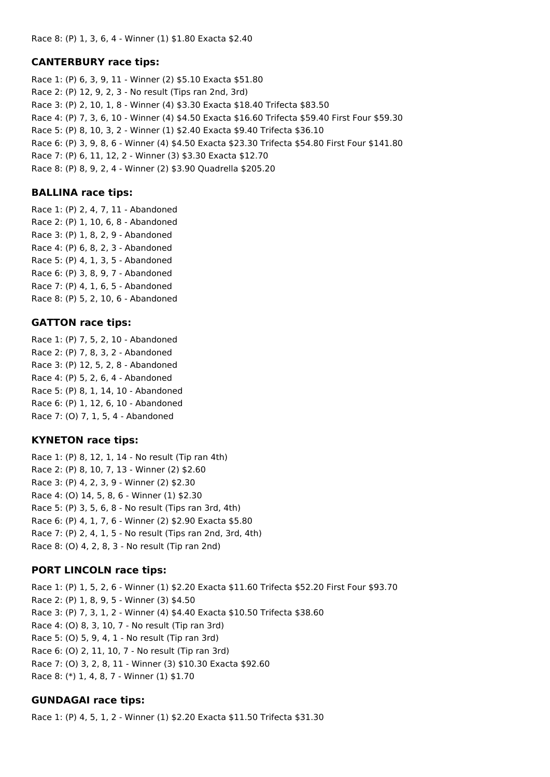#### **CANTERBURY race tips:**

Race 1: (P) 6, 3, 9, 11 - Winner (2) \$5.10 Exacta \$51.80 Race 2: (P) 12, 9, 2, 3 - No result (Tips ran 2nd, 3rd) Race 3: (P) 2, 10, 1, 8 - Winner (4) \$3.30 Exacta \$18.40 Trifecta \$83.50 Race 4: (P) 7, 3, 6, 10 - Winner (4) \$4.50 Exacta \$16.60 Trifecta \$59.40 First Four \$59.30 Race 5: (P) 8, 10, 3, 2 - Winner (1) \$2.40 Exacta \$9.40 Trifecta \$36.10 Race 6: (P) 3, 9, 8, 6 - Winner (4) \$4.50 Exacta \$23.30 Trifecta \$54.80 First Four \$141.80 Race 7: (P) 6, 11, 12, 2 - Winner (3) \$3.30 Exacta \$12.70 Race 8: (P) 8, 9, 2, 4 - Winner (2) \$3.90 Quadrella \$205.20

#### **BALLINA race tips:**

Race 1: (P) 2, 4, 7, 11 - Abandoned Race 2: (P) 1, 10, 6, 8 - Abandoned Race 3: (P) 1, 8, 2, 9 - Abandoned Race 4: (P) 6, 8, 2, 3 - Abandoned Race 5: (P) 4, 1, 3, 5 - Abandoned Race 6: (P) 3, 8, 9, 7 - Abandoned Race 7: (P) 4, 1, 6, 5 - Abandoned Race 8: (P) 5, 2, 10, 6 - Abandoned

#### **GATTON race tips:**

Race 1: (P) 7, 5, 2, 10 - Abandoned Race 2: (P) 7, 8, 3, 2 - Abandoned Race 3: (P) 12, 5, 2, 8 - Abandoned Race 4: (P) 5, 2, 6, 4 - Abandoned Race 5: (P) 8, 1, 14, 10 - Abandoned Race 6: (P) 1, 12, 6, 10 - Abandoned Race 7: (O) 7, 1, 5, 4 - Abandoned

### **KYNETON race tips:**

Race 1: (P) 8, 12, 1, 14 - No result (Tip ran 4th) Race 2: (P) 8, 10, 7, 13 - Winner (2) \$2.60 Race 3: (P) 4, 2, 3, 9 - Winner (2) \$2.30 Race 4: (O) 14, 5, 8, 6 - Winner (1) \$2.30 Race 5: (P) 3, 5, 6, 8 - No result (Tips ran 3rd, 4th) Race 6: (P) 4, 1, 7, 6 - Winner (2) \$2.90 Exacta \$5.80 Race 7: (P) 2, 4, 1, 5 - No result (Tips ran 2nd, 3rd, 4th) Race 8: (O) 4, 2, 8, 3 - No result (Tip ran 2nd)

### **PORT LINCOLN race tips:**

Race 1: (P) 1, 5, 2, 6 - Winner (1) \$2.20 Exacta \$11.60 Trifecta \$52.20 First Four \$93.70 Race 2: (P) 1, 8, 9, 5 - Winner (3) \$4.50 Race 3: (P) 7, 3, 1, 2 - Winner (4) \$4.40 Exacta \$10.50 Trifecta \$38.60 Race 4: (O) 8, 3, 10, 7 - No result (Tip ran 3rd) Race 5: (O) 5, 9, 4, 1 - No result (Tip ran 3rd) Race 6: (O) 2, 11, 10, 7 - No result (Tip ran 3rd) Race 7: (O) 3, 2, 8, 11 - Winner (3) \$10.30 Exacta \$92.60 Race 8: (\*) 1, 4, 8, 7 - Winner (1) \$1.70

### **GUNDAGAI race tips:**

Race 1: (P) 4, 5, 1, 2 - Winner (1) \$2.20 Exacta \$11.50 Trifecta \$31.30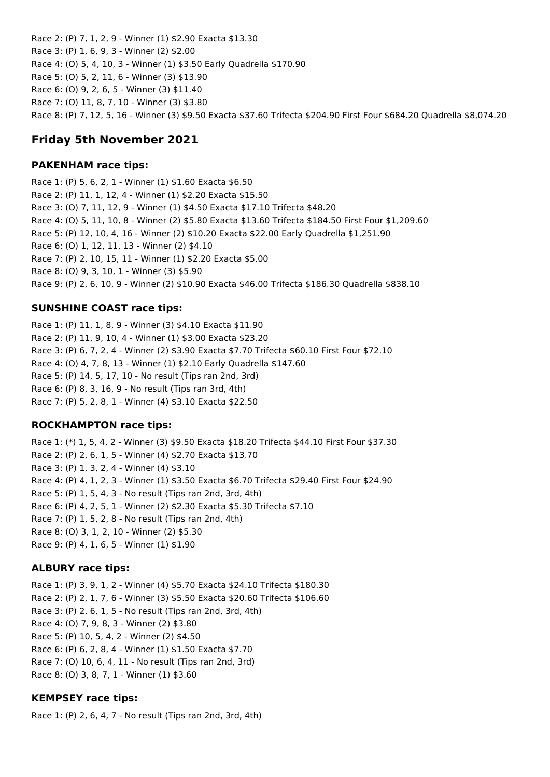Race 2: (P) 7, 1, 2, 9 - Winner (1) \$2.90 Exacta \$13.30 Race 3: (P) 1, 6, 9, 3 - Winner (2) \$2.00 Race 4: (O) 5, 4, 10, 3 - Winner (1) \$3.50 Early Quadrella \$170.90 Race 5: (O) 5, 2, 11, 6 - Winner (3) \$13.90 Race 6: (O) 9, 2, 6, 5 - Winner (3) \$11.40 Race 7: (O) 11, 8, 7, 10 - Winner (3) \$3.80 Race 8: (P) 7, 12, 5, 16 - Winner (3) \$9.50 Exacta \$37.60 Trifecta \$204.90 First Four \$684.20 Quadrella \$8,074.20

# **Friday 5th November 2021**

### **PAKENHAM race tips:**

Race 1: (P) 5, 6, 2, 1 - Winner (1) \$1.60 Exacta \$6.50 Race 2: (P) 11, 1, 12, 4 - Winner (1) \$2.20 Exacta \$15.50 Race 3: (O) 7, 11, 12, 9 - Winner (1) \$4.50 Exacta \$17.10 Trifecta \$48.20 Race 4: (O) 5, 11, 10, 8 - Winner (2) \$5.80 Exacta \$13.60 Trifecta \$184.50 First Four \$1,209.60 Race 5: (P) 12, 10, 4, 16 - Winner (2) \$10.20 Exacta \$22.00 Early Quadrella \$1,251.90 Race 6: (O) 1, 12, 11, 13 - Winner (2) \$4.10 Race 7: (P) 2, 10, 15, 11 - Winner (1) \$2.20 Exacta \$5.00 Race 8: (O) 9, 3, 10, 1 - Winner (3) \$5.90 Race 9: (P) 2, 6, 10, 9 - Winner (2) \$10.90 Exacta \$46.00 Trifecta \$186.30 Quadrella \$838.10

### **SUNSHINE COAST race tips:**

Race 1: (P) 11, 1, 8, 9 - Winner (3) \$4.10 Exacta \$11.90 Race 2: (P) 11, 9, 10, 4 - Winner (1) \$3.00 Exacta \$23.20 Race 3: (P) 6, 7, 2, 4 - Winner (2) \$3.90 Exacta \$7.70 Trifecta \$60.10 First Four \$72.10 Race 4: (O) 4, 7, 8, 13 - Winner (1) \$2.10 Early Quadrella \$147.60 Race 5: (P) 14, 5, 17, 10 - No result (Tips ran 2nd, 3rd) Race 6: (P) 8, 3, 16, 9 - No result (Tips ran 3rd, 4th) Race 7: (P) 5, 2, 8, 1 - Winner (4) \$3.10 Exacta \$22.50

## **ROCKHAMPTON race tips:**

Race 1: (\*) 1, 5, 4, 2 - Winner (3) \$9.50 Exacta \$18.20 Trifecta \$44.10 First Four \$37.30 Race 2: (P) 2, 6, 1, 5 - Winner (4) \$2.70 Exacta \$13.70 Race 3: (P) 1, 3, 2, 4 - Winner (4) \$3.10 Race 4: (P) 4, 1, 2, 3 - Winner (1) \$3.50 Exacta \$6.70 Trifecta \$29.40 First Four \$24.90 Race 5: (P) 1, 5, 4, 3 - No result (Tips ran 2nd, 3rd, 4th) Race 6: (P) 4, 2, 5, 1 - Winner (2) \$2.30 Exacta \$5.30 Trifecta \$7.10 Race 7: (P) 1, 5, 2, 8 - No result (Tips ran 2nd, 4th) Race 8: (O) 3, 1, 2, 10 - Winner (2) \$5.30 Race 9: (P) 4, 1, 6, 5 - Winner (1) \$1.90

## **ALBURY race tips:**

Race 1: (P) 3, 9, 1, 2 - Winner (4) \$5.70 Exacta \$24.10 Trifecta \$180.30 Race 2: (P) 2, 1, 7, 6 - Winner (3) \$5.50 Exacta \$20.60 Trifecta \$106.60 Race 3: (P) 2, 6, 1, 5 - No result (Tips ran 2nd, 3rd, 4th) Race 4: (O) 7, 9, 8, 3 - Winner (2) \$3.80 Race 5: (P) 10, 5, 4, 2 - Winner (2) \$4.50 Race 6: (P) 6, 2, 8, 4 - Winner (1) \$1.50 Exacta \$7.70 Race 7: (O) 10, 6, 4, 11 - No result (Tips ran 2nd, 3rd) Race 8: (O) 3, 8, 7, 1 - Winner (1) \$3.60

### **KEMPSEY race tips:**

Race 1: (P) 2, 6, 4, 7 - No result (Tips ran 2nd, 3rd, 4th)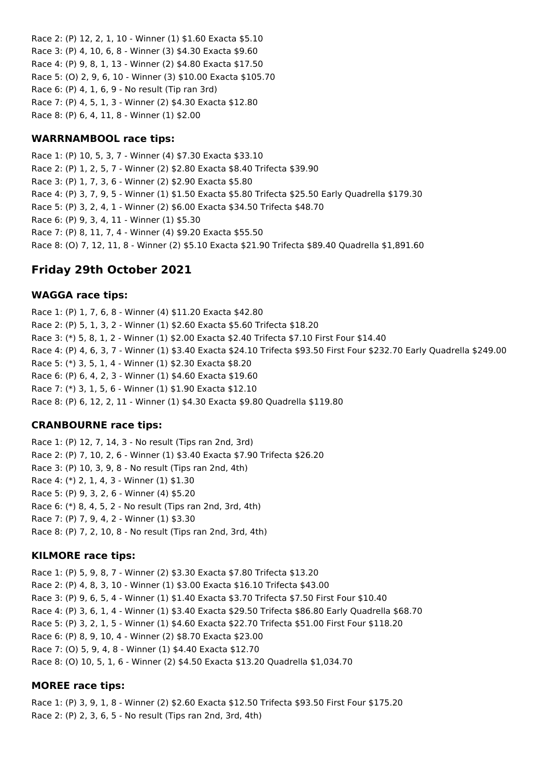Race 2: (P) 12, 2, 1, 10 - Winner (1) \$1.60 Exacta \$5.10 Race 3: (P) 4, 10, 6, 8 - Winner (3) \$4.30 Exacta \$9.60 Race 4: (P) 9, 8, 1, 13 - Winner (2) \$4.80 Exacta \$17.50 Race 5: (O) 2, 9, 6, 10 - Winner (3) \$10.00 Exacta \$105.70 Race 6: (P) 4, 1, 6, 9 - No result (Tip ran 3rd) Race 7: (P) 4, 5, 1, 3 - Winner (2) \$4.30 Exacta \$12.80 Race 8: (P) 6, 4, 11, 8 - Winner (1) \$2.00

### **WARRNAMBOOL race tips:**

Race 1: (P) 10, 5, 3, 7 - Winner (4) \$7.30 Exacta \$33.10 Race 2: (P) 1, 2, 5, 7 - Winner (2) \$2.80 Exacta \$8.40 Trifecta \$39.90 Race 3: (P) 1, 7, 3, 6 - Winner (2) \$2.90 Exacta \$5.80 Race 4: (P) 3, 7, 9, 5 - Winner (1) \$1.50 Exacta \$5.80 Trifecta \$25.50 Early Quadrella \$179.30 Race 5: (P) 3, 2, 4, 1 - Winner (2) \$6.00 Exacta \$34.50 Trifecta \$48.70 Race 6: (P) 9, 3, 4, 11 - Winner (1) \$5.30 Race 7: (P) 8, 11, 7, 4 - Winner (4) \$9.20 Exacta \$55.50 Race 8: (O) 7, 12, 11, 8 - Winner (2) \$5.10 Exacta \$21.90 Trifecta \$89.40 Quadrella \$1,891.60

# **Friday 29th October 2021**

### **WAGGA race tips:**

Race 1: (P) 1, 7, 6, 8 - Winner (4) \$11.20 Exacta \$42.80 Race 2: (P) 5, 1, 3, 2 - Winner (1) \$2.60 Exacta \$5.60 Trifecta \$18.20 Race 3: (\*) 5, 8, 1, 2 - Winner (1) \$2.00 Exacta \$2.40 Trifecta \$7.10 First Four \$14.40 Race 4: (P) 4, 6, 3, 7 - Winner (1) \$3.40 Exacta \$24.10 Trifecta \$93.50 First Four \$232.70 Early Quadrella \$249.00 Race 5: (\*) 3, 5, 1, 4 - Winner (1) \$2.30 Exacta \$8.20 Race 6: (P) 6, 4, 2, 3 - Winner (1) \$4.60 Exacta \$19.60 Race 7: (\*) 3, 1, 5, 6 - Winner (1) \$1.90 Exacta \$12.10 Race 8: (P) 6, 12, 2, 11 - Winner (1) \$4.30 Exacta \$9.80 Quadrella \$119.80

## **CRANBOURNE race tips:**

Race 1: (P) 12, 7, 14, 3 - No result (Tips ran 2nd, 3rd) Race 2: (P) 7, 10, 2, 6 - Winner (1) \$3.40 Exacta \$7.90 Trifecta \$26.20 Race 3: (P) 10, 3, 9, 8 - No result (Tips ran 2nd, 4th) Race 4: (\*) 2, 1, 4, 3 - Winner (1) \$1.30 Race 5: (P) 9, 3, 2, 6 - Winner (4) \$5.20 Race 6: (\*) 8, 4, 5, 2 - No result (Tips ran 2nd, 3rd, 4th) Race 7: (P) 7, 9, 4, 2 - Winner (1) \$3.30 Race 8: (P) 7, 2, 10, 8 - No result (Tips ran 2nd, 3rd, 4th)

## **KILMORE race tips:**

Race 1: (P) 5, 9, 8, 7 - Winner (2) \$3.30 Exacta \$7.80 Trifecta \$13.20 Race 2: (P) 4, 8, 3, 10 - Winner (1) \$3.00 Exacta \$16.10 Trifecta \$43.00 Race 3: (P) 9, 6, 5, 4 - Winner (1) \$1.40 Exacta \$3.70 Trifecta \$7.50 First Four \$10.40 Race 4: (P) 3, 6, 1, 4 - Winner (1) \$3.40 Exacta \$29.50 Trifecta \$86.80 Early Quadrella \$68.70 Race 5: (P) 3, 2, 1, 5 - Winner (1) \$4.60 Exacta \$22.70 Trifecta \$51.00 First Four \$118.20 Race 6: (P) 8, 9, 10, 4 - Winner (2) \$8.70 Exacta \$23.00 Race 7: (O) 5, 9, 4, 8 - Winner (1) \$4.40 Exacta \$12.70 Race 8: (O) 10, 5, 1, 6 - Winner (2) \$4.50 Exacta \$13.20 Quadrella \$1,034.70

## **MOREE race tips:**

Race 1: (P) 3, 9, 1, 8 - Winner (2) \$2.60 Exacta \$12.50 Trifecta \$93.50 First Four \$175.20 Race 2: (P) 2, 3, 6, 5 - No result (Tips ran 2nd, 3rd, 4th)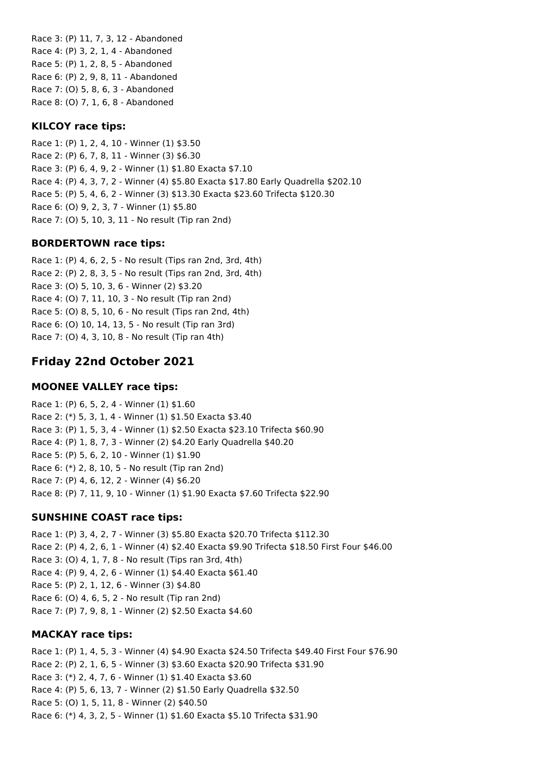Race 3: (P) 11, 7, 3, 12 - Abandoned Race 4: (P) 3, 2, 1, 4 - Abandoned Race 5: (P) 1, 2, 8, 5 - Abandoned Race 6: (P) 2, 9, 8, 11 - Abandoned Race 7: (O) 5, 8, 6, 3 - Abandoned Race 8: (O) 7, 1, 6, 8 - Abandoned

#### **KILCOY race tips:**

Race 1: (P) 1, 2, 4, 10 - Winner (1) \$3.50 Race 2: (P) 6, 7, 8, 11 - Winner (3) \$6.30 Race 3: (P) 6, 4, 9, 2 - Winner (1) \$1.80 Exacta \$7.10 Race 4: (P) 4, 3, 7, 2 - Winner (4) \$5.80 Exacta \$17.80 Early Quadrella \$202.10 Race 5: (P) 5, 4, 6, 2 - Winner (3) \$13.30 Exacta \$23.60 Trifecta \$120.30 Race 6: (O) 9, 2, 3, 7 - Winner (1) \$5.80 Race 7: (O) 5, 10, 3, 11 - No result (Tip ran 2nd)

#### **BORDERTOWN race tips:**

Race 1: (P) 4, 6, 2, 5 - No result (Tips ran 2nd, 3rd, 4th) Race 2: (P) 2, 8, 3, 5 - No result (Tips ran 2nd, 3rd, 4th) Race 3: (O) 5, 10, 3, 6 - Winner (2) \$3.20 Race 4: (O) 7, 11, 10, 3 - No result (Tip ran 2nd) Race 5: (O) 8, 5, 10, 6 - No result (Tips ran 2nd, 4th) Race 6: (O) 10, 14, 13, 5 - No result (Tip ran 3rd) Race 7: (O) 4, 3, 10, 8 - No result (Tip ran 4th)

## **Friday 22nd October 2021**

#### **MOONEE VALLEY race tips:**

Race 1: (P) 6, 5, 2, 4 - Winner (1) \$1.60 Race 2: (\*) 5, 3, 1, 4 - Winner (1) \$1.50 Exacta \$3.40 Race 3: (P) 1, 5, 3, 4 - Winner (1) \$2.50 Exacta \$23.10 Trifecta \$60.90 Race 4: (P) 1, 8, 7, 3 - Winner (2) \$4.20 Early Quadrella \$40.20 Race 5: (P) 5, 6, 2, 10 - Winner (1) \$1.90 Race 6: (\*) 2, 8, 10, 5 - No result (Tip ran 2nd) Race 7: (P) 4, 6, 12, 2 - Winner (4) \$6.20 Race 8: (P) 7, 11, 9, 10 - Winner (1) \$1.90 Exacta \$7.60 Trifecta \$22.90

#### **SUNSHINE COAST race tips:**

Race 1: (P) 3, 4, 2, 7 - Winner (3) \$5.80 Exacta \$20.70 Trifecta \$112.30 Race 2: (P) 4, 2, 6, 1 - Winner (4) \$2.40 Exacta \$9.90 Trifecta \$18.50 First Four \$46.00 Race 3: (O) 4, 1, 7, 8 - No result (Tips ran 3rd, 4th) Race 4: (P) 9, 4, 2, 6 - Winner (1) \$4.40 Exacta \$61.40 Race 5: (P) 2, 1, 12, 6 - Winner (3) \$4.80 Race 6: (O) 4, 6, 5, 2 - No result (Tip ran 2nd) Race 7: (P) 7, 9, 8, 1 - Winner (2) \$2.50 Exacta \$4.60

#### **MACKAY race tips:**

Race 1: (P) 1, 4, 5, 3 - Winner (4) \$4.90 Exacta \$24.50 Trifecta \$49.40 First Four \$76.90 Race 2: (P) 2, 1, 6, 5 - Winner (3) \$3.60 Exacta \$20.90 Trifecta \$31.90 Race 3: (\*) 2, 4, 7, 6 - Winner (1) \$1.40 Exacta \$3.60 Race 4: (P) 5, 6, 13, 7 - Winner (2) \$1.50 Early Quadrella \$32.50 Race 5: (O) 1, 5, 11, 8 - Winner (2) \$40.50 Race 6: (\*) 4, 3, 2, 5 - Winner (1) \$1.60 Exacta \$5.10 Trifecta \$31.90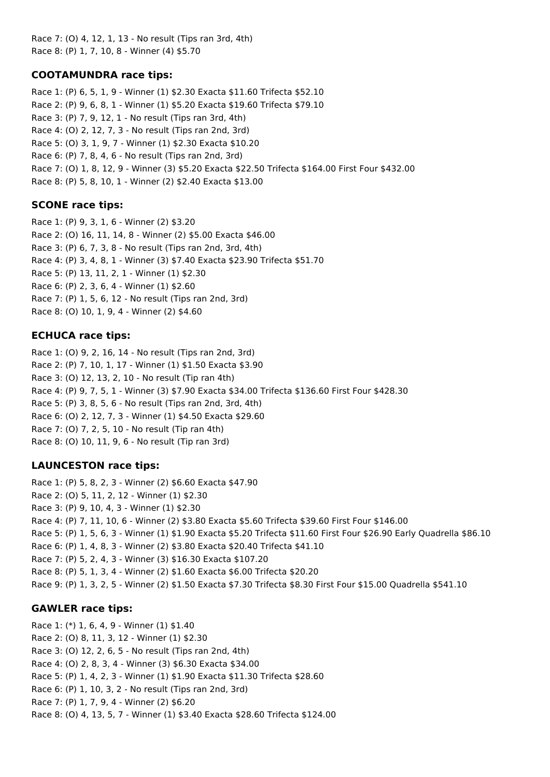Race 7: (O) 4, 12, 1, 13 - No result (Tips ran 3rd, 4th) Race 8: (P) 1, 7, 10, 8 - Winner (4) \$5.70

### **COOTAMUNDRA race tips:**

Race 1: (P) 6, 5, 1, 9 - Winner (1) \$2.30 Exacta \$11.60 Trifecta \$52.10 Race 2: (P) 9, 6, 8, 1 - Winner (1) \$5.20 Exacta \$19.60 Trifecta \$79.10 Race 3: (P) 7, 9, 12, 1 - No result (Tips ran 3rd, 4th) Race 4: (O) 2, 12, 7, 3 - No result (Tips ran 2nd, 3rd) Race 5: (O) 3, 1, 9, 7 - Winner (1) \$2.30 Exacta \$10.20 Race 6: (P) 7, 8, 4, 6 - No result (Tips ran 2nd, 3rd) Race 7: (O) 1, 8, 12, 9 - Winner (3) \$5.20 Exacta \$22.50 Trifecta \$164.00 First Four \$432.00 Race 8: (P) 5, 8, 10, 1 - Winner (2) \$2.40 Exacta \$13.00

### **SCONE race tips:**

Race 1: (P) 9, 3, 1, 6 - Winner (2) \$3.20 Race 2: (O) 16, 11, 14, 8 - Winner (2) \$5.00 Exacta \$46.00 Race 3: (P) 6, 7, 3, 8 - No result (Tips ran 2nd, 3rd, 4th) Race 4: (P) 3, 4, 8, 1 - Winner (3) \$7.40 Exacta \$23.90 Trifecta \$51.70 Race 5: (P) 13, 11, 2, 1 - Winner (1) \$2.30 Race 6: (P) 2, 3, 6, 4 - Winner (1) \$2.60 Race 7: (P) 1, 5, 6, 12 - No result (Tips ran 2nd, 3rd) Race 8: (O) 10, 1, 9, 4 - Winner (2) \$4.60

### **ECHUCA race tips:**

Race 1: (O) 9, 2, 16, 14 - No result (Tips ran 2nd, 3rd) Race 2: (P) 7, 10, 1, 17 - Winner (1) \$1.50 Exacta \$3.90 Race 3: (O) 12, 13, 2, 10 - No result (Tip ran 4th) Race 4: (P) 9, 7, 5, 1 - Winner (3) \$7.90 Exacta \$34.00 Trifecta \$136.60 First Four \$428.30 Race 5: (P) 3, 8, 5, 6 - No result (Tips ran 2nd, 3rd, 4th) Race 6: (O) 2, 12, 7, 3 - Winner (1) \$4.50 Exacta \$29.60 Race 7: (O) 7, 2, 5, 10 - No result (Tip ran 4th) Race 8: (O) 10, 11, 9, 6 - No result (Tip ran 3rd)

## **LAUNCESTON race tips:**

Race 1: (P) 5, 8, 2, 3 - Winner (2) \$6.60 Exacta \$47.90 Race 2: (O) 5, 11, 2, 12 - Winner (1) \$2.30 Race 3: (P) 9, 10, 4, 3 - Winner (1) \$2.30 Race 4: (P) 7, 11, 10, 6 - Winner (2) \$3.80 Exacta \$5.60 Trifecta \$39.60 First Four \$146.00 Race 5: (P) 1, 5, 6, 3 - Winner (1) \$1.90 Exacta \$5.20 Trifecta \$11.60 First Four \$26.90 Early Quadrella \$86.10 Race 6: (P) 1, 4, 8, 3 - Winner (2) \$3.80 Exacta \$20.40 Trifecta \$41.10 Race 7: (P) 5, 2, 4, 3 - Winner (3) \$16.30 Exacta \$107.20 Race 8: (P) 5, 1, 3, 4 - Winner (2) \$1.60 Exacta \$6.00 Trifecta \$20.20 Race 9: (P) 1, 3, 2, 5 - Winner (2) \$1.50 Exacta \$7.30 Trifecta \$8.30 First Four \$15.00 Quadrella \$541.10

### **GAWLER race tips:**

Race 1: (\*) 1, 6, 4, 9 - Winner (1) \$1.40 Race 2: (O) 8, 11, 3, 12 - Winner (1) \$2.30 Race 3: (O) 12, 2, 6, 5 - No result (Tips ran 2nd, 4th) Race 4: (O) 2, 8, 3, 4 - Winner (3) \$6.30 Exacta \$34.00 Race 5: (P) 1, 4, 2, 3 - Winner (1) \$1.90 Exacta \$11.30 Trifecta \$28.60 Race 6: (P) 1, 10, 3, 2 - No result (Tips ran 2nd, 3rd) Race 7: (P) 1, 7, 9, 4 - Winner (2) \$6.20 Race 8: (O) 4, 13, 5, 7 - Winner (1) \$3.40 Exacta \$28.60 Trifecta \$124.00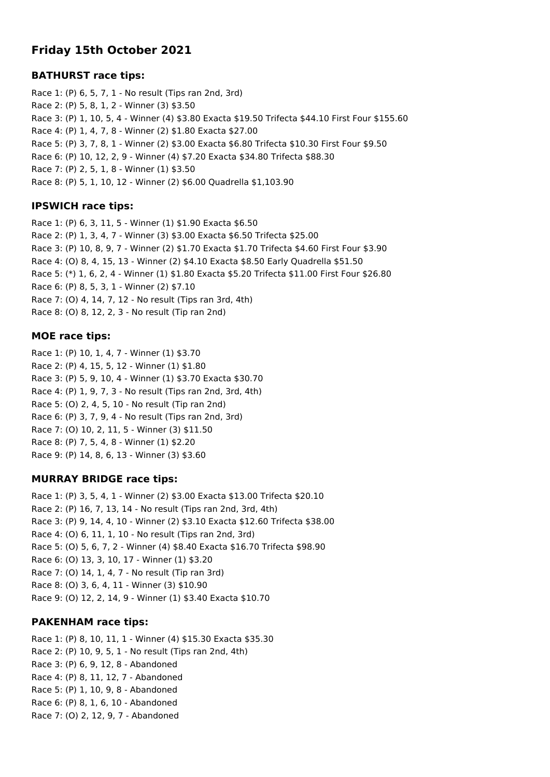# **Friday 15th October 2021**

#### **BATHURST race tips:**

Race 1: (P) 6, 5, 7, 1 - No result (Tips ran 2nd, 3rd) Race 2: (P) 5, 8, 1, 2 - Winner (3) \$3.50 Race 3: (P) 1, 10, 5, 4 - Winner (4) \$3.80 Exacta \$19.50 Trifecta \$44.10 First Four \$155.60 Race 4: (P) 1, 4, 7, 8 - Winner (2) \$1.80 Exacta \$27.00 Race 5: (P) 3, 7, 8, 1 - Winner (2) \$3.00 Exacta \$6.80 Trifecta \$10.30 First Four \$9.50 Race 6: (P) 10, 12, 2, 9 - Winner (4) \$7.20 Exacta \$34.80 Trifecta \$88.30 Race 7: (P) 2, 5, 1, 8 - Winner (1) \$3.50 Race 8: (P) 5, 1, 10, 12 - Winner (2) \$6.00 Quadrella \$1,103.90

### **IPSWICH race tips:**

Race 1: (P) 6, 3, 11, 5 - Winner (1) \$1.90 Exacta \$6.50 Race 2: (P) 1, 3, 4, 7 - Winner (3) \$3.00 Exacta \$6.50 Trifecta \$25.00 Race 3: (P) 10, 8, 9, 7 - Winner (2) \$1.70 Exacta \$1.70 Trifecta \$4.60 First Four \$3.90 Race 4: (O) 8, 4, 15, 13 - Winner (2) \$4.10 Exacta \$8.50 Early Quadrella \$51.50 Race 5: (\*) 1, 6, 2, 4 - Winner (1) \$1.80 Exacta \$5.20 Trifecta \$11.00 First Four \$26.80 Race 6: (P) 8, 5, 3, 1 - Winner (2) \$7.10 Race 7: (O) 4, 14, 7, 12 - No result (Tips ran 3rd, 4th) Race 8: (O) 8, 12, 2, 3 - No result (Tip ran 2nd)

### **MOE race tips:**

Race 1: (P) 10, 1, 4, 7 - Winner (1) \$3.70 Race 2: (P) 4, 15, 5, 12 - Winner (1) \$1.80 Race 3: (P) 5, 9, 10, 4 - Winner (1) \$3.70 Exacta \$30.70 Race 4: (P) 1, 9, 7, 3 - No result (Tips ran 2nd, 3rd, 4th) Race 5: (O) 2, 4, 5, 10 - No result (Tip ran 2nd) Race 6: (P) 3, 7, 9, 4 - No result (Tips ran 2nd, 3rd) Race 7: (O) 10, 2, 11, 5 - Winner (3) \$11.50 Race 8: (P) 7, 5, 4, 8 - Winner (1) \$2.20 Race 9: (P) 14, 8, 6, 13 - Winner (3) \$3.60

### **MURRAY BRIDGE race tips:**

Race 1: (P) 3, 5, 4, 1 - Winner (2) \$3.00 Exacta \$13.00 Trifecta \$20.10 Race 2: (P) 16, 7, 13, 14 - No result (Tips ran 2nd, 3rd, 4th) Race 3: (P) 9, 14, 4, 10 - Winner (2) \$3.10 Exacta \$12.60 Trifecta \$38.00 Race 4: (O) 6, 11, 1, 10 - No result (Tips ran 2nd, 3rd) Race 5: (O) 5, 6, 7, 2 - Winner (4) \$8.40 Exacta \$16.70 Trifecta \$98.90 Race 6: (O) 13, 3, 10, 17 - Winner (1) \$3.20 Race 7: (O) 14, 1, 4, 7 - No result (Tip ran 3rd) Race 8: (O) 3, 6, 4, 11 - Winner (3) \$10.90 Race 9: (O) 12, 2, 14, 9 - Winner (1) \$3.40 Exacta \$10.70

### **PAKENHAM race tips:**

Race 1: (P) 8, 10, 11, 1 - Winner (4) \$15.30 Exacta \$35.30 Race 2: (P) 10, 9, 5, 1 - No result (Tips ran 2nd, 4th) Race 3: (P) 6, 9, 12, 8 - Abandoned Race 4: (P) 8, 11, 12, 7 - Abandoned Race 5: (P) 1, 10, 9, 8 - Abandoned Race 6: (P) 8, 1, 6, 10 - Abandoned Race 7: (O) 2, 12, 9, 7 - Abandoned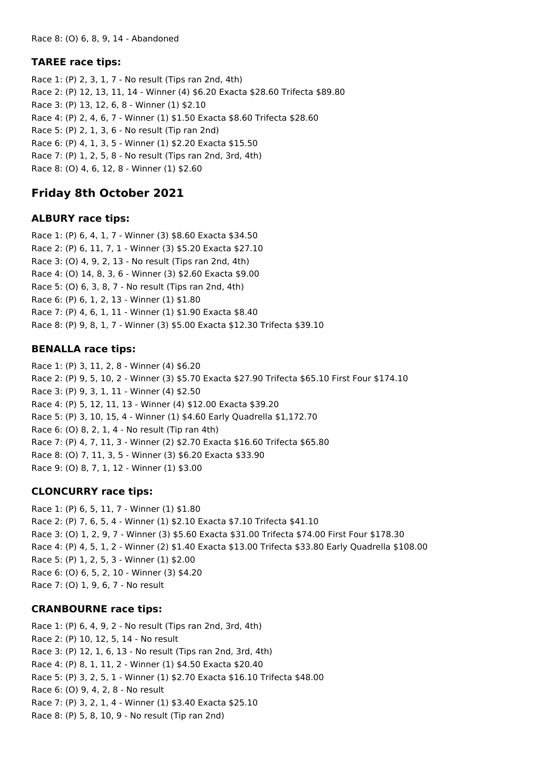### **TAREE race tips:**

Race 1: (P) 2, 3, 1, 7 - No result (Tips ran 2nd, 4th) Race 2: (P) 12, 13, 11, 14 - Winner (4) \$6.20 Exacta \$28.60 Trifecta \$89.80 Race 3: (P) 13, 12, 6, 8 - Winner (1) \$2.10 Race 4: (P) 2, 4, 6, 7 - Winner (1) \$1.50 Exacta \$8.60 Trifecta \$28.60 Race 5: (P) 2, 1, 3, 6 - No result (Tip ran 2nd) Race 6: (P) 4, 1, 3, 5 - Winner (1) \$2.20 Exacta \$15.50 Race 7: (P) 1, 2, 5, 8 - No result (Tips ran 2nd, 3rd, 4th) Race 8: (O) 4, 6, 12, 8 - Winner (1) \$2.60

# **Friday 8th October 2021**

#### **ALBURY race tips:**

Race 1: (P) 6, 4, 1, 7 - Winner (3) \$8.60 Exacta \$34.50 Race 2: (P) 6, 11, 7, 1 - Winner (3) \$5.20 Exacta \$27.10 Race 3: (O) 4, 9, 2, 13 - No result (Tips ran 2nd, 4th) Race 4: (O) 14, 8, 3, 6 - Winner (3) \$2.60 Exacta \$9.00 Race 5: (O) 6, 3, 8, 7 - No result (Tips ran 2nd, 4th) Race 6: (P) 6, 1, 2, 13 - Winner (1) \$1.80 Race 7: (P) 4, 6, 1, 11 - Winner (1) \$1.90 Exacta \$8.40 Race 8: (P) 9, 8, 1, 7 - Winner (3) \$5.00 Exacta \$12.30 Trifecta \$39.10

### **BENALLA race tips:**

Race 1: (P) 3, 11, 2, 8 - Winner (4) \$6.20 Race 2: (P) 9, 5, 10, 2 - Winner (3) \$5.70 Exacta \$27.90 Trifecta \$65.10 First Four \$174.10 Race 3: (P) 9, 3, 1, 11 - Winner (4) \$2.50 Race 4: (P) 5, 12, 11, 13 - Winner (4) \$12.00 Exacta \$39.20 Race 5: (P) 3, 10, 15, 4 - Winner (1) \$4.60 Early Quadrella \$1,172.70 Race 6: (O) 8, 2, 1, 4 - No result (Tip ran 4th) Race 7: (P) 4, 7, 11, 3 - Winner (2) \$2.70 Exacta \$16.60 Trifecta \$65.80 Race 8: (O) 7, 11, 3, 5 - Winner (3) \$6.20 Exacta \$33.90 Race 9: (O) 8, 7, 1, 12 - Winner (1) \$3.00

### **CLONCURRY race tips:**

Race 1: (P) 6, 5, 11, 7 - Winner (1) \$1.80 Race 2: (P) 7, 6, 5, 4 - Winner (1) \$2.10 Exacta \$7.10 Trifecta \$41.10 Race 3: (O) 1, 2, 9, 7 - Winner (3) \$5.60 Exacta \$31.00 Trifecta \$74.00 First Four \$178.30 Race 4: (P) 4, 5, 1, 2 - Winner (2) \$1.40 Exacta \$13.00 Trifecta \$33.80 Early Quadrella \$108.00 Race 5: (P) 1, 2, 5, 3 - Winner (1) \$2.00 Race 6: (O) 6, 5, 2, 10 - Winner (3) \$4.20 Race 7: (O) 1, 9, 6, 7 - No result

### **CRANBOURNE race tips:**

Race 1: (P) 6, 4, 9, 2 - No result (Tips ran 2nd, 3rd, 4th) Race 2: (P) 10, 12, 5, 14 - No result Race 3: (P) 12, 1, 6, 13 - No result (Tips ran 2nd, 3rd, 4th) Race 4: (P) 8, 1, 11, 2 - Winner (1) \$4.50 Exacta \$20.40 Race 5: (P) 3, 2, 5, 1 - Winner (1) \$2.70 Exacta \$16.10 Trifecta \$48.00 Race 6: (O) 9, 4, 2, 8 - No result Race 7: (P) 3, 2, 1, 4 - Winner (1) \$3.40 Exacta \$25.10 Race 8: (P) 5, 8, 10, 9 - No result (Tip ran 2nd)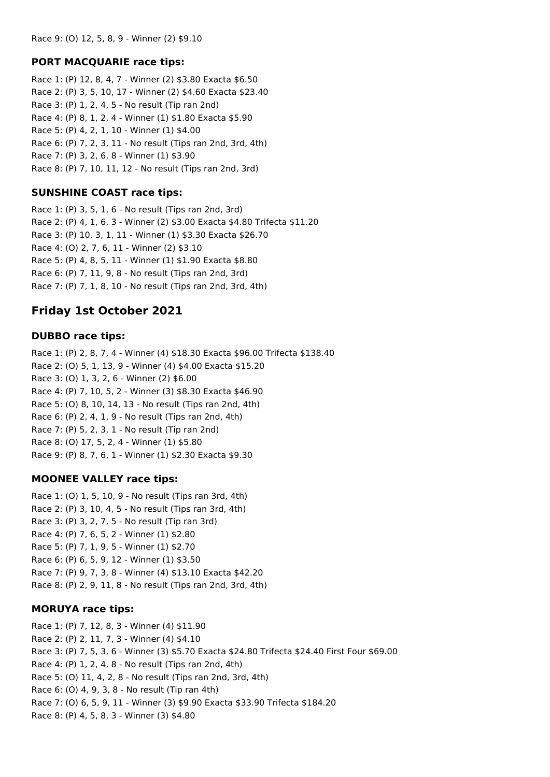#### **PORT MACQUARIE race tips:**

Race 1: (P) 12, 8, 4, 7 - Winner (2) \$3.80 Exacta \$6.50 Race 2: (P) 3, 5, 10, 17 - Winner (2) \$4.60 Exacta \$23.40 Race 3: (P) 1, 2, 4, 5 - No result (Tip ran 2nd) Race 4: (P) 8, 1, 2, 4 - Winner (1) \$1.80 Exacta \$5.90 Race 5: (P) 4, 2, 1, 10 - Winner (1) \$4.00 Race 6: (P) 7, 2, 3, 11 - No result (Tips ran 2nd, 3rd, 4th) Race 7: (P) 3, 2, 6, 8 - Winner (1) \$3.90 Race 8: (P) 7, 10, 11, 12 - No result (Tips ran 2nd, 3rd)

### **SUNSHINE COAST race tips:**

Race 1: (P) 3, 5, 1, 6 - No result (Tips ran 2nd, 3rd) Race 2: (P) 4, 1, 6, 3 - Winner (2) \$3.00 Exacta \$4.80 Trifecta \$11.20 Race 3: (P) 10, 3, 1, 11 - Winner (1) \$3.30 Exacta \$26.70 Race 4: (O) 2, 7, 6, 11 - Winner (2) \$3.10 Race 5: (P) 4, 8, 5, 11 - Winner (1) \$1.90 Exacta \$8.80 Race 6: (P) 7, 11, 9, 8 - No result (Tips ran 2nd, 3rd) Race 7: (P) 7, 1, 8, 10 - No result (Tips ran 2nd, 3rd, 4th)

## **Friday 1st October 2021**

#### **DUBBO race tips:**

Race 1: (P) 2, 8, 7, 4 - Winner (4) \$18.30 Exacta \$96.00 Trifecta \$138.40 Race 2: (O) 5, 1, 13, 9 - Winner (4) \$4.00 Exacta \$15.20 Race 3: (O) 1, 3, 2, 6 - Winner (2) \$6.00 Race 4: (P) 7, 10, 5, 2 - Winner (3) \$8.30 Exacta \$46.90 Race 5: (O) 8, 10, 14, 13 - No result (Tips ran 2nd, 4th) Race 6: (P) 2, 4, 1, 9 - No result (Tips ran 2nd, 4th) Race 7: (P) 5, 2, 3, 1 - No result (Tip ran 2nd) Race 8: (O) 17, 5, 2, 4 - Winner (1) \$5.80 Race 9: (P) 8, 7, 6, 1 - Winner (1) \$2.30 Exacta \$9.30

#### **MOONEE VALLEY race tips:**

Race 1: (O) 1, 5, 10, 9 - No result (Tips ran 3rd, 4th) Race 2: (P) 3, 10, 4, 5 - No result (Tips ran 3rd, 4th) Race 3: (P) 3, 2, 7, 5 - No result (Tip ran 3rd) Race 4: (P) 7, 6, 5, 2 - Winner (1) \$2.80 Race 5: (P) 7, 1, 9, 5 - Winner (1) \$2.70 Race 6: (P) 6, 5, 9, 12 - Winner (1) \$3.50 Race 7: (P) 9, 7, 3, 8 - Winner (4) \$13.10 Exacta \$42.20 Race 8: (P) 2, 9, 11, 8 - No result (Tips ran 2nd, 3rd, 4th)

#### **MORUYA race tips:**

Race 1: (P) 7, 12, 8, 3 - Winner (4) \$11.90 Race 2: (P) 2, 11, 7, 3 - Winner (4) \$4.10 Race 3: (P) 7, 5, 3, 6 - Winner (3) \$5.70 Exacta \$24.80 Trifecta \$24.40 First Four \$69.00 Race 4: (P) 1, 2, 4, 8 - No result (Tips ran 2nd, 4th) Race 5: (O) 11, 4, 2, 8 - No result (Tips ran 2nd, 3rd, 4th) Race 6: (O) 4, 9, 3, 8 - No result (Tip ran 4th) Race 7: (O) 6, 5, 9, 11 - Winner (3) \$9.90 Exacta \$33.90 Trifecta \$184.20 Race 8: (P) 4, 5, 8, 3 - Winner (3) \$4.80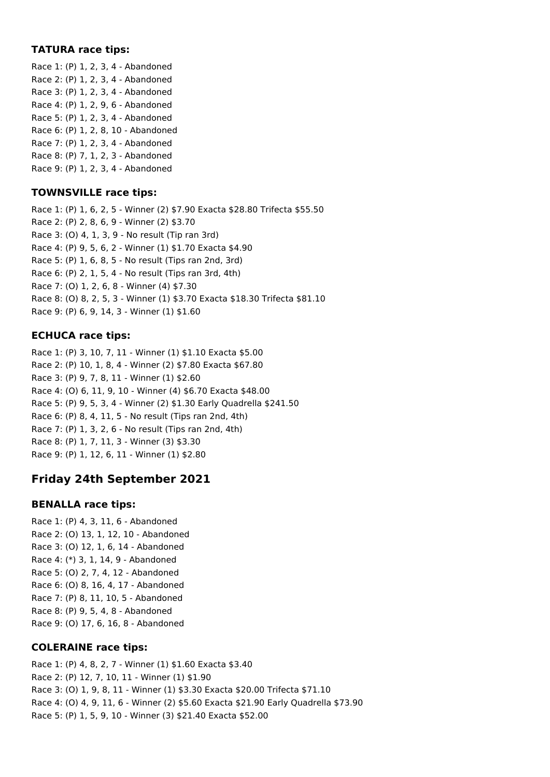### **TATURA race tips:**

Race 1: (P) 1, 2, 3, 4 - Abandoned Race 2: (P) 1, 2, 3, 4 - Abandoned Race 3: (P) 1, 2, 3, 4 - Abandoned Race 4: (P) 1, 2, 9, 6 - Abandoned Race 5: (P) 1, 2, 3, 4 - Abandoned Race 6: (P) 1, 2, 8, 10 - Abandoned Race 7: (P) 1, 2, 3, 4 - Abandoned Race 8: (P) 7, 1, 2, 3 - Abandoned Race 9: (P) 1, 2, 3, 4 - Abandoned

#### **TOWNSVILLE race tips:**

Race 1: (P) 1, 6, 2, 5 - Winner (2) \$7.90 Exacta \$28.80 Trifecta \$55.50 Race 2: (P) 2, 8, 6, 9 - Winner (2) \$3.70 Race 3: (O) 4, 1, 3, 9 - No result (Tip ran 3rd) Race 4: (P) 9, 5, 6, 2 - Winner (1) \$1.70 Exacta \$4.90 Race 5: (P) 1, 6, 8, 5 - No result (Tips ran 2nd, 3rd) Race 6: (P) 2, 1, 5, 4 - No result (Tips ran 3rd, 4th) Race 7: (O) 1, 2, 6, 8 - Winner (4) \$7.30 Race 8: (O) 8, 2, 5, 3 - Winner (1) \$3.70 Exacta \$18.30 Trifecta \$81.10 Race 9: (P) 6, 9, 14, 3 - Winner (1) \$1.60

### **ECHUCA race tips:**

Race 1: (P) 3, 10, 7, 11 - Winner (1) \$1.10 Exacta \$5.00 Race 2: (P) 10, 1, 8, 4 - Winner (2) \$7.80 Exacta \$67.80 Race 3: (P) 9, 7, 8, 11 - Winner (1) \$2.60 Race 4: (O) 6, 11, 9, 10 - Winner (4) \$6.70 Exacta \$48.00 Race 5: (P) 9, 5, 3, 4 - Winner (2) \$1.30 Early Quadrella \$241.50 Race 6: (P) 8, 4, 11, 5 - No result (Tips ran 2nd, 4th) Race 7: (P) 1, 3, 2, 6 - No result (Tips ran 2nd, 4th) Race 8: (P) 1, 7, 11, 3 - Winner (3) \$3.30 Race 9: (P) 1, 12, 6, 11 - Winner (1) \$2.80

# **Friday 24th September 2021**

### **BENALLA race tips:**

Race 1: (P) 4, 3, 11, 6 - Abandoned Race 2: (O) 13, 1, 12, 10 - Abandoned Race 3: (O) 12, 1, 6, 14 - Abandoned Race 4: (\*) 3, 1, 14, 9 - Abandoned Race 5: (O) 2, 7, 4, 12 - Abandoned Race 6: (O) 8, 16, 4, 17 - Abandoned Race 7: (P) 8, 11, 10, 5 - Abandoned Race 8: (P) 9, 5, 4, 8 - Abandoned Race 9: (O) 17, 6, 16, 8 - Abandoned

### **COLERAINE race tips:**

Race 1: (P) 4, 8, 2, 7 - Winner (1) \$1.60 Exacta \$3.40 Race 2: (P) 12, 7, 10, 11 - Winner (1) \$1.90 Race 3: (O) 1, 9, 8, 11 - Winner (1) \$3.30 Exacta \$20.00 Trifecta \$71.10 Race 4: (O) 4, 9, 11, 6 - Winner (2) \$5.60 Exacta \$21.90 Early Quadrella \$73.90 Race 5: (P) 1, 5, 9, 10 - Winner (3) \$21.40 Exacta \$52.00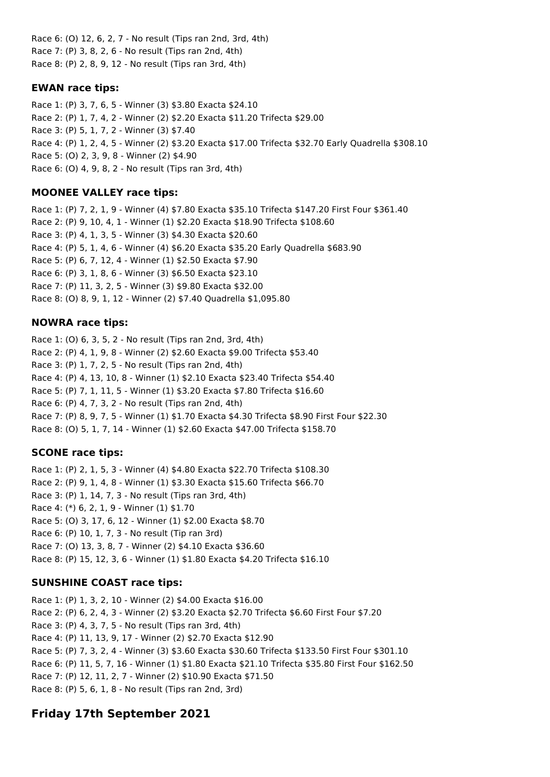Race 6: (O) 12, 6, 2, 7 - No result (Tips ran 2nd, 3rd, 4th) Race 7: (P) 3, 8, 2, 6 - No result (Tips ran 2nd, 4th) Race 8: (P) 2, 8, 9, 12 - No result (Tips ran 3rd, 4th)

### **EWAN race tips:**

Race 1: (P) 3, 7, 6, 5 - Winner (3) \$3.80 Exacta \$24.10 Race 2: (P) 1, 7, 4, 2 - Winner (2) \$2.20 Exacta \$11.20 Trifecta \$29.00 Race 3: (P) 5, 1, 7, 2 - Winner (3) \$7.40 Race 4: (P) 1, 2, 4, 5 - Winner (2) \$3.20 Exacta \$17.00 Trifecta \$32.70 Early Quadrella \$308.10 Race 5: (O) 2, 3, 9, 8 - Winner (2) \$4.90 Race 6: (O) 4, 9, 8, 2 - No result (Tips ran 3rd, 4th)

### **MOONEE VALLEY race tips:**

Race 1: (P) 7, 2, 1, 9 - Winner (4) \$7.80 Exacta \$35.10 Trifecta \$147.20 First Four \$361.40 Race 2: (P) 9, 10, 4, 1 - Winner (1) \$2.20 Exacta \$18.90 Trifecta \$108.60 Race 3: (P) 4, 1, 3, 5 - Winner (3) \$4.30 Exacta \$20.60 Race 4: (P) 5, 1, 4, 6 - Winner (4) \$6.20 Exacta \$35.20 Early Quadrella \$683.90 Race 5: (P) 6, 7, 12, 4 - Winner (1) \$2.50 Exacta \$7.90 Race 6: (P) 3, 1, 8, 6 - Winner (3) \$6.50 Exacta \$23.10 Race 7: (P) 11, 3, 2, 5 - Winner (3) \$9.80 Exacta \$32.00 Race 8: (O) 8, 9, 1, 12 - Winner (2) \$7.40 Quadrella \$1,095.80

### **NOWRA race tips:**

Race 1: (O) 6, 3, 5, 2 - No result (Tips ran 2nd, 3rd, 4th) Race 2: (P) 4, 1, 9, 8 - Winner (2) \$2.60 Exacta \$9.00 Trifecta \$53.40 Race 3: (P) 1, 7, 2, 5 - No result (Tips ran 2nd, 4th) Race 4: (P) 4, 13, 10, 8 - Winner (1) \$2.10 Exacta \$23.40 Trifecta \$54.40 Race 5: (P) 7, 1, 11, 5 - Winner (1) \$3.20 Exacta \$7.80 Trifecta \$16.60 Race 6: (P) 4, 7, 3, 2 - No result (Tips ran 2nd, 4th) Race 7: (P) 8, 9, 7, 5 - Winner (1) \$1.70 Exacta \$4.30 Trifecta \$8.90 First Four \$22.30 Race 8: (O) 5, 1, 7, 14 - Winner (1) \$2.60 Exacta \$47.00 Trifecta \$158.70

### **SCONE race tips:**

Race 1: (P) 2, 1, 5, 3 - Winner (4) \$4.80 Exacta \$22.70 Trifecta \$108.30 Race 2: (P) 9, 1, 4, 8 - Winner (1) \$3.30 Exacta \$15.60 Trifecta \$66.70 Race 3: (P) 1, 14, 7, 3 - No result (Tips ran 3rd, 4th) Race 4: (\*) 6, 2, 1, 9 - Winner (1) \$1.70 Race 5: (O) 3, 17, 6, 12 - Winner (1) \$2.00 Exacta \$8.70 Race 6: (P) 10, 1, 7, 3 - No result (Tip ran 3rd) Race 7: (O) 13, 3, 8, 7 - Winner (2) \$4.10 Exacta \$36.60 Race 8: (P) 15, 12, 3, 6 - Winner (1) \$1.80 Exacta \$4.20 Trifecta \$16.10

## **SUNSHINE COAST race tips:**

Race 1: (P) 1, 3, 2, 10 - Winner (2) \$4.00 Exacta \$16.00 Race 2: (P) 6, 2, 4, 3 - Winner (2) \$3.20 Exacta \$2.70 Trifecta \$6.60 First Four \$7.20 Race 3: (P) 4, 3, 7, 5 - No result (Tips ran 3rd, 4th) Race 4: (P) 11, 13, 9, 17 - Winner (2) \$2.70 Exacta \$12.90 Race 5: (P) 7, 3, 2, 4 - Winner (3) \$3.60 Exacta \$30.60 Trifecta \$133.50 First Four \$301.10 Race 6: (P) 11, 5, 7, 16 - Winner (1) \$1.80 Exacta \$21.10 Trifecta \$35.80 First Four \$162.50 Race 7: (P) 12, 11, 2, 7 - Winner (2) \$10.90 Exacta \$71.50 Race 8: (P) 5, 6, 1, 8 - No result (Tips ran 2nd, 3rd)

# **Friday 17th September 2021**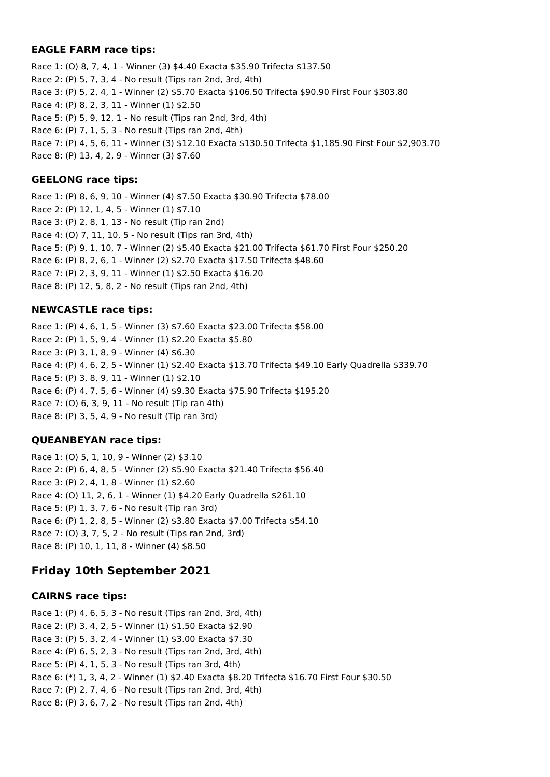#### **EAGLE FARM race tips:**

Race 1: (O) 8, 7, 4, 1 - Winner (3) \$4.40 Exacta \$35.90 Trifecta \$137.50 Race 2: (P) 5, 7, 3, 4 - No result (Tips ran 2nd, 3rd, 4th) Race 3: (P) 5, 2, 4, 1 - Winner (2) \$5.70 Exacta \$106.50 Trifecta \$90.90 First Four \$303.80 Race 4: (P) 8, 2, 3, 11 - Winner (1) \$2.50 Race 5: (P) 5, 9, 12, 1 - No result (Tips ran 2nd, 3rd, 4th) Race 6: (P) 7, 1, 5, 3 - No result (Tips ran 2nd, 4th) Race 7: (P) 4, 5, 6, 11 - Winner (3) \$12.10 Exacta \$130.50 Trifecta \$1,185.90 First Four \$2,903.70 Race 8: (P) 13, 4, 2, 9 - Winner (3) \$7.60

### **GEELONG race tips:**

Race 1: (P) 8, 6, 9, 10 - Winner (4) \$7.50 Exacta \$30.90 Trifecta \$78.00 Race 2: (P) 12, 1, 4, 5 - Winner (1) \$7.10 Race 3: (P) 2, 8, 1, 13 - No result (Tip ran 2nd) Race 4: (O) 7, 11, 10, 5 - No result (Tips ran 3rd, 4th) Race 5: (P) 9, 1, 10, 7 - Winner (2) \$5.40 Exacta \$21.00 Trifecta \$61.70 First Four \$250.20 Race 6: (P) 8, 2, 6, 1 - Winner (2) \$2.70 Exacta \$17.50 Trifecta \$48.60 Race 7: (P) 2, 3, 9, 11 - Winner (1) \$2.50 Exacta \$16.20 Race 8: (P) 12, 5, 8, 2 - No result (Tips ran 2nd, 4th)

## **NEWCASTLE race tips:**

Race 1: (P) 4, 6, 1, 5 - Winner (3) \$7.60 Exacta \$23.00 Trifecta \$58.00 Race 2: (P) 1, 5, 9, 4 - Winner (1) \$2.20 Exacta \$5.80 Race 3: (P) 3, 1, 8, 9 - Winner (4) \$6.30 Race 4: (P) 4, 6, 2, 5 - Winner (1) \$2.40 Exacta \$13.70 Trifecta \$49.10 Early Quadrella \$339.70 Race 5: (P) 3, 8, 9, 11 - Winner (1) \$2.10 Race 6: (P) 4, 7, 5, 6 - Winner (4) \$9.30 Exacta \$75.90 Trifecta \$195.20 Race 7: (O) 6, 3, 9, 11 - No result (Tip ran 4th) Race 8: (P) 3, 5, 4, 9 - No result (Tip ran 3rd)

## **QUEANBEYAN race tips:**

Race 1: (O) 5, 1, 10, 9 - Winner (2) \$3.10 Race 2: (P) 6, 4, 8, 5 - Winner (2) \$5.90 Exacta \$21.40 Trifecta \$56.40 Race 3: (P) 2, 4, 1, 8 - Winner (1) \$2.60 Race 4: (O) 11, 2, 6, 1 - Winner (1) \$4.20 Early Quadrella \$261.10 Race 5: (P) 1, 3, 7, 6 - No result (Tip ran 3rd) Race 6: (P) 1, 2, 8, 5 - Winner (2) \$3.80 Exacta \$7.00 Trifecta \$54.10 Race 7: (O) 3, 7, 5, 2 - No result (Tips ran 2nd, 3rd) Race 8: (P) 10, 1, 11, 8 - Winner (4) \$8.50

# **Friday 10th September 2021**

### **CAIRNS race tips:**

Race 1: (P) 4, 6, 5, 3 - No result (Tips ran 2nd, 3rd, 4th) Race 2: (P) 3, 4, 2, 5 - Winner (1) \$1.50 Exacta \$2.90 Race 3: (P) 5, 3, 2, 4 - Winner (1) \$3.00 Exacta \$7.30 Race 4: (P) 6, 5, 2, 3 - No result (Tips ran 2nd, 3rd, 4th) Race 5: (P) 4, 1, 5, 3 - No result (Tips ran 3rd, 4th) Race 6: (\*) 1, 3, 4, 2 - Winner (1) \$2.40 Exacta \$8.20 Trifecta \$16.70 First Four \$30.50 Race 7: (P) 2, 7, 4, 6 - No result (Tips ran 2nd, 3rd, 4th) Race 8: (P) 3, 6, 7, 2 - No result (Tips ran 2nd, 4th)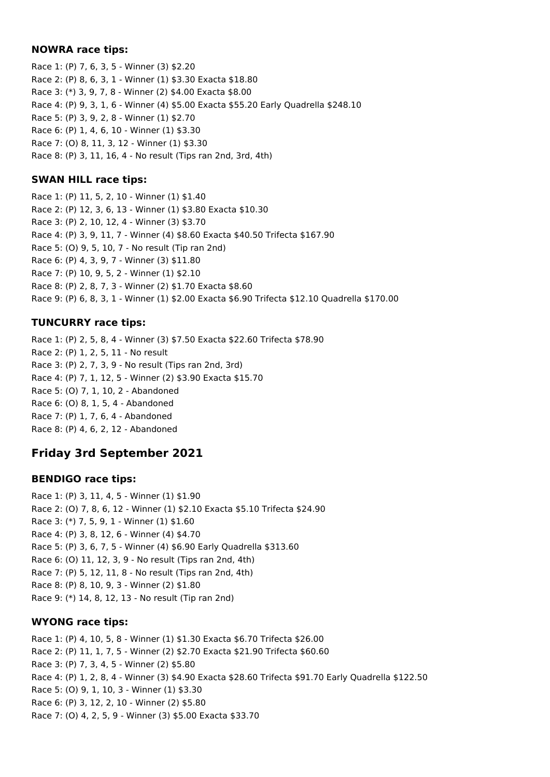#### **NOWRA race tips:**

Race 1: (P) 7, 6, 3, 5 - Winner (3) \$2.20 Race 2: (P) 8, 6, 3, 1 - Winner (1) \$3.30 Exacta \$18.80 Race 3: (\*) 3, 9, 7, 8 - Winner (2) \$4.00 Exacta \$8.00 Race 4: (P) 9, 3, 1, 6 - Winner (4) \$5.00 Exacta \$55.20 Early Quadrella \$248.10 Race 5: (P) 3, 9, 2, 8 - Winner (1) \$2.70 Race 6: (P) 1, 4, 6, 10 - Winner (1) \$3.30 Race 7: (O) 8, 11, 3, 12 - Winner (1) \$3.30 Race 8: (P) 3, 11, 16, 4 - No result (Tips ran 2nd, 3rd, 4th)

### **SWAN HILL race tips:**

Race 1: (P) 11, 5, 2, 10 - Winner (1) \$1.40 Race 2: (P) 12, 3, 6, 13 - Winner (1) \$3.80 Exacta \$10.30 Race 3: (P) 2, 10, 12, 4 - Winner (3) \$3.70 Race 4: (P) 3, 9, 11, 7 - Winner (4) \$8.60 Exacta \$40.50 Trifecta \$167.90 Race 5: (O) 9, 5, 10, 7 - No result (Tip ran 2nd) Race 6: (P) 4, 3, 9, 7 - Winner (3) \$11.80 Race 7: (P) 10, 9, 5, 2 - Winner (1) \$2.10 Race 8: (P) 2, 8, 7, 3 - Winner (2) \$1.70 Exacta \$8.60 Race 9: (P) 6, 8, 3, 1 - Winner (1) \$2.00 Exacta \$6.90 Trifecta \$12.10 Quadrella \$170.00

### **TUNCURRY race tips:**

Race 1: (P) 2, 5, 8, 4 - Winner (3) \$7.50 Exacta \$22.60 Trifecta \$78.90 Race 2: (P) 1, 2, 5, 11 - No result Race 3: (P) 2, 7, 3, 9 - No result (Tips ran 2nd, 3rd) Race 4: (P) 7, 1, 12, 5 - Winner (2) \$3.90 Exacta \$15.70 Race 5: (O) 7, 1, 10, 2 - Abandoned Race 6: (O) 8, 1, 5, 4 - Abandoned Race 7: (P) 1, 7, 6, 4 - Abandoned Race 8: (P) 4, 6, 2, 12 - Abandoned

# **Friday 3rd September 2021**

### **BENDIGO race tips:**

Race 1: (P) 3, 11, 4, 5 - Winner (1) \$1.90 Race 2: (O) 7, 8, 6, 12 - Winner (1) \$2.10 Exacta \$5.10 Trifecta \$24.90 Race 3: (\*) 7, 5, 9, 1 - Winner (1) \$1.60 Race 4: (P) 3, 8, 12, 6 - Winner (4) \$4.70 Race 5: (P) 3, 6, 7, 5 - Winner (4) \$6.90 Early Quadrella \$313.60 Race 6: (O) 11, 12, 3, 9 - No result (Tips ran 2nd, 4th) Race 7: (P) 5, 12, 11, 8 - No result (Tips ran 2nd, 4th) Race 8: (P) 8, 10, 9, 3 - Winner (2) \$1.80 Race 9: (\*) 14, 8, 12, 13 - No result (Tip ran 2nd)

### **WYONG race tips:**

Race 1: (P) 4, 10, 5, 8 - Winner (1) \$1.30 Exacta \$6.70 Trifecta \$26.00 Race 2: (P) 11, 1, 7, 5 - Winner (2) \$2.70 Exacta \$21.90 Trifecta \$60.60 Race 3: (P) 7, 3, 4, 5 - Winner (2) \$5.80 Race 4: (P) 1, 2, 8, 4 - Winner (3) \$4.90 Exacta \$28.60 Trifecta \$91.70 Early Quadrella \$122.50 Race 5: (O) 9, 1, 10, 3 - Winner (1) \$3.30 Race 6: (P) 3, 12, 2, 10 - Winner (2) \$5.80 Race 7: (O) 4, 2, 5, 9 - Winner (3) \$5.00 Exacta \$33.70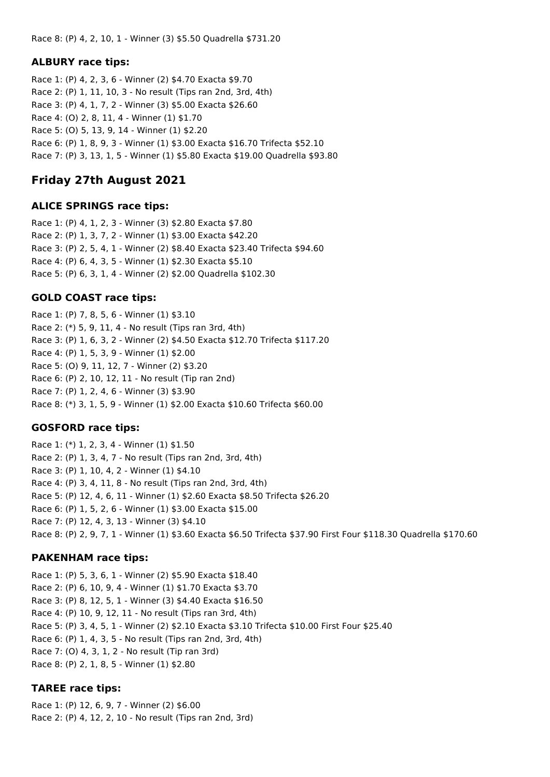Race 8: (P) 4, 2, 10, 1 - Winner (3) \$5.50 Quadrella \$731.20

#### **ALBURY race tips:**

Race 1: (P) 4, 2, 3, 6 - Winner (2) \$4.70 Exacta \$9.70 Race 2: (P) 1, 11, 10, 3 - No result (Tips ran 2nd, 3rd, 4th) Race 3: (P) 4, 1, 7, 2 - Winner (3) \$5.00 Exacta \$26.60 Race 4: (O) 2, 8, 11, 4 - Winner (1) \$1.70 Race 5: (O) 5, 13, 9, 14 - Winner (1) \$2.20 Race 6: (P) 1, 8, 9, 3 - Winner (1) \$3.00 Exacta \$16.70 Trifecta \$52.10 Race 7: (P) 3, 13, 1, 5 - Winner (1) \$5.80 Exacta \$19.00 Quadrella \$93.80

# **Friday 27th August 2021**

#### **ALICE SPRINGS race tips:**

Race 1: (P) 4, 1, 2, 3 - Winner (3) \$2.80 Exacta \$7.80 Race 2: (P) 1, 3, 7, 2 - Winner (1) \$3.00 Exacta \$42.20 Race 3: (P) 2, 5, 4, 1 - Winner (2) \$8.40 Exacta \$23.40 Trifecta \$94.60 Race 4: (P) 6, 4, 3, 5 - Winner (1) \$2.30 Exacta \$5.10 Race 5: (P) 6, 3, 1, 4 - Winner (2) \$2.00 Quadrella \$102.30

### **GOLD COAST race tips:**

Race 1: (P) 7, 8, 5, 6 - Winner (1) \$3.10 Race 2: (\*) 5, 9, 11, 4 - No result (Tips ran 3rd, 4th) Race 3: (P) 1, 6, 3, 2 - Winner (2) \$4.50 Exacta \$12.70 Trifecta \$117.20 Race 4: (P) 1, 5, 3, 9 - Winner (1) \$2.00 Race 5: (O) 9, 11, 12, 7 - Winner (2) \$3.20 Race 6: (P) 2, 10, 12, 11 - No result (Tip ran 2nd) Race 7: (P) 1, 2, 4, 6 - Winner (3) \$3.90 Race 8: (\*) 3, 1, 5, 9 - Winner (1) \$2.00 Exacta \$10.60 Trifecta \$60.00

### **GOSFORD race tips:**

Race 1: (\*) 1, 2, 3, 4 - Winner (1) \$1.50 Race 2: (P) 1, 3, 4, 7 - No result (Tips ran 2nd, 3rd, 4th) Race 3: (P) 1, 10, 4, 2 - Winner (1) \$4.10 Race 4: (P) 3, 4, 11, 8 - No result (Tips ran 2nd, 3rd, 4th) Race 5: (P) 12, 4, 6, 11 - Winner (1) \$2.60 Exacta \$8.50 Trifecta \$26.20 Race 6: (P) 1, 5, 2, 6 - Winner (1) \$3.00 Exacta \$15.00 Race 7: (P) 12, 4, 3, 13 - Winner (3) \$4.10 Race 8: (P) 2, 9, 7, 1 - Winner (1) \$3.60 Exacta \$6.50 Trifecta \$37.90 First Four \$118.30 Quadrella \$170.60

### **PAKENHAM race tips:**

Race 1: (P) 5, 3, 6, 1 - Winner (2) \$5.90 Exacta \$18.40 Race 2: (P) 6, 10, 9, 4 - Winner (1) \$1.70 Exacta \$3.70 Race 3: (P) 8, 12, 5, 1 - Winner (3) \$4.40 Exacta \$16.50 Race 4: (P) 10, 9, 12, 11 - No result (Tips ran 3rd, 4th) Race 5: (P) 3, 4, 5, 1 - Winner (2) \$2.10 Exacta \$3.10 Trifecta \$10.00 First Four \$25.40 Race 6: (P) 1, 4, 3, 5 - No result (Tips ran 2nd, 3rd, 4th) Race 7: (O) 4, 3, 1, 2 - No result (Tip ran 3rd) Race 8: (P) 2, 1, 8, 5 - Winner (1) \$2.80

### **TAREE race tips:**

Race 1: (P) 12, 6, 9, 7 - Winner (2) \$6.00 Race 2: (P) 4, 12, 2, 10 - No result (Tips ran 2nd, 3rd)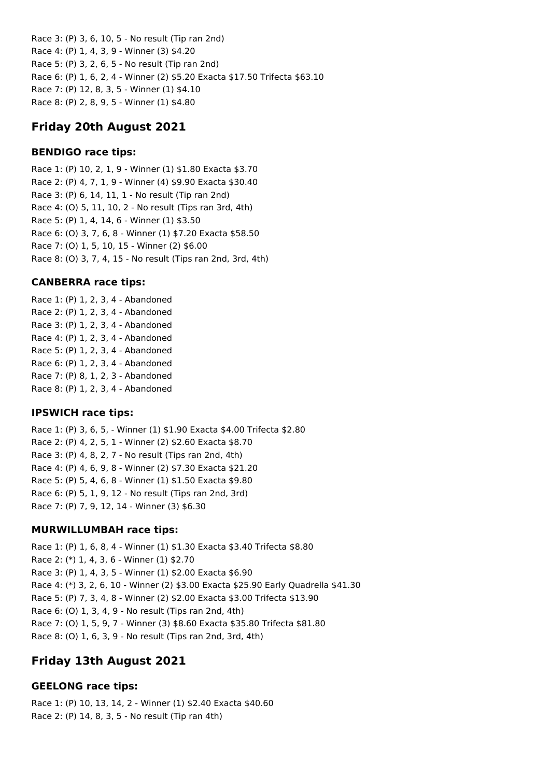Race 3: (P) 3, 6, 10, 5 - No result (Tip ran 2nd) Race 4: (P) 1, 4, 3, 9 - Winner (3) \$4.20 Race 5: (P) 3, 2, 6, 5 - No result (Tip ran 2nd) Race 6: (P) 1, 6, 2, 4 - Winner (2) \$5.20 Exacta \$17.50 Trifecta \$63.10 Race 7: (P) 12, 8, 3, 5 - Winner (1) \$4.10 Race 8: (P) 2, 8, 9, 5 - Winner (1) \$4.80

## **Friday 20th August 2021**

### **BENDIGO race tips:**

Race 1: (P) 10, 2, 1, 9 - Winner (1) \$1.80 Exacta \$3.70 Race 2: (P) 4, 7, 1, 9 - Winner (4) \$9.90 Exacta \$30.40 Race 3: (P) 6, 14, 11, 1 - No result (Tip ran 2nd) Race 4: (O) 5, 11, 10, 2 - No result (Tips ran 3rd, 4th) Race 5: (P) 1, 4, 14, 6 - Winner (1) \$3.50 Race 6: (O) 3, 7, 6, 8 - Winner (1) \$7.20 Exacta \$58.50 Race 7: (O) 1, 5, 10, 15 - Winner (2) \$6.00 Race 8: (O) 3, 7, 4, 15 - No result (Tips ran 2nd, 3rd, 4th)

## **CANBERRA race tips:**

Race 1: (P) 1, 2, 3, 4 - Abandoned Race 2: (P) 1, 2, 3, 4 - Abandoned Race 3: (P) 1, 2, 3, 4 - Abandoned Race 4: (P) 1, 2, 3, 4 - Abandoned Race 5: (P) 1, 2, 3, 4 - Abandoned Race 6: (P) 1, 2, 3, 4 - Abandoned Race 7: (P) 8, 1, 2, 3 - Abandoned Race 8: (P) 1, 2, 3, 4 - Abandoned

## **IPSWICH race tips:**

Race 1: (P) 3, 6, 5, - Winner (1) \$1.90 Exacta \$4.00 Trifecta \$2.80 Race 2: (P) 4, 2, 5, 1 - Winner (2) \$2.60 Exacta \$8.70 Race 3: (P) 4, 8, 2, 7 - No result (Tips ran 2nd, 4th) Race 4: (P) 4, 6, 9, 8 - Winner (2) \$7.30 Exacta \$21.20 Race 5: (P) 5, 4, 6, 8 - Winner (1) \$1.50 Exacta \$9.80 Race 6: (P) 5, 1, 9, 12 - No result (Tips ran 2nd, 3rd) Race 7: (P) 7, 9, 12, 14 - Winner (3) \$6.30

### **MURWILLUMBAH race tips:**

Race 1: (P) 1, 6, 8, 4 - Winner (1) \$1.30 Exacta \$3.40 Trifecta \$8.80 Race 2: (\*) 1, 4, 3, 6 - Winner (1) \$2.70 Race 3: (P) 1, 4, 3, 5 - Winner (1) \$2.00 Exacta \$6.90 Race 4: (\*) 3, 2, 6, 10 - Winner (2) \$3.00 Exacta \$25.90 Early Quadrella \$41.30 Race 5: (P) 7, 3, 4, 8 - Winner (2) \$2.00 Exacta \$3.00 Trifecta \$13.90 Race 6: (O) 1, 3, 4, 9 - No result (Tips ran 2nd, 4th) Race 7: (O) 1, 5, 9, 7 - Winner (3) \$8.60 Exacta \$35.80 Trifecta \$81.80 Race 8: (O) 1, 6, 3, 9 - No result (Tips ran 2nd, 3rd, 4th)

# **Friday 13th August 2021**

## **GEELONG race tips:**

Race 1: (P) 10, 13, 14, 2 - Winner (1) \$2.40 Exacta \$40.60 Race 2: (P) 14, 8, 3, 5 - No result (Tip ran 4th)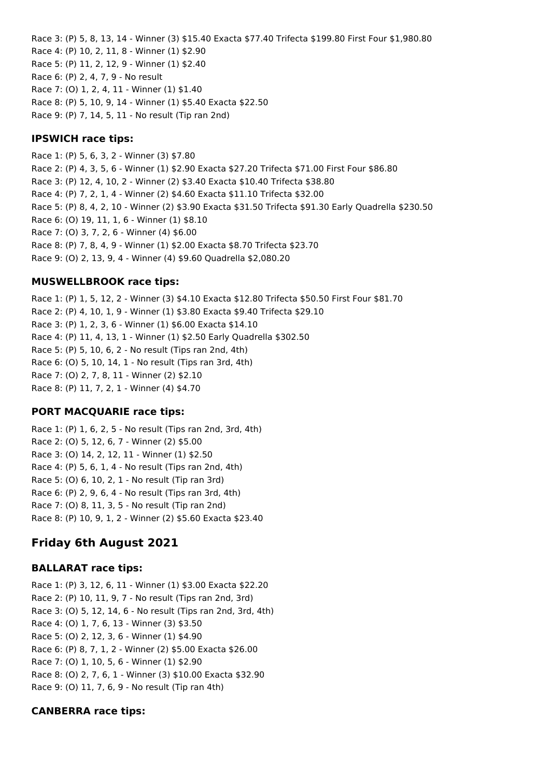Race 3: (P) 5, 8, 13, 14 - Winner (3) \$15.40 Exacta \$77.40 Trifecta \$199.80 First Four \$1,980.80 Race 4: (P) 10, 2, 11, 8 - Winner (1) \$2.90 Race 5: (P) 11, 2, 12, 9 - Winner (1) \$2.40 Race 6: (P) 2, 4, 7, 9 - No result Race 7: (O) 1, 2, 4, 11 - Winner (1) \$1.40 Race 8: (P) 5, 10, 9, 14 - Winner (1) \$5.40 Exacta \$22.50 Race 9: (P) 7, 14, 5, 11 - No result (Tip ran 2nd)

#### **IPSWICH race tips:**

Race 1: (P) 5, 6, 3, 2 - Winner (3) \$7.80 Race 2: (P) 4, 3, 5, 6 - Winner (1) \$2.90 Exacta \$27.20 Trifecta \$71.00 First Four \$86.80 Race 3: (P) 12, 4, 10, 2 - Winner (2) \$3.40 Exacta \$10.40 Trifecta \$38.80 Race 4: (P) 7, 2, 1, 4 - Winner (2) \$4.60 Exacta \$11.10 Trifecta \$32.00 Race 5: (P) 8, 4, 2, 10 - Winner (2) \$3.90 Exacta \$31.50 Trifecta \$91.30 Early Quadrella \$230.50 Race 6: (O) 19, 11, 1, 6 - Winner (1) \$8.10 Race 7: (O) 3, 7, 2, 6 - Winner (4) \$6.00 Race 8: (P) 7, 8, 4, 9 - Winner (1) \$2.00 Exacta \$8.70 Trifecta \$23.70 Race 9: (O) 2, 13, 9, 4 - Winner (4) \$9.60 Quadrella \$2,080.20

### **MUSWELLBROOK race tips:**

Race 1: (P) 1, 5, 12, 2 - Winner (3) \$4.10 Exacta \$12.80 Trifecta \$50.50 First Four \$81.70 Race 2: (P) 4, 10, 1, 9 - Winner (1) \$3.80 Exacta \$9.40 Trifecta \$29.10 Race 3: (P) 1, 2, 3, 6 - Winner (1) \$6.00 Exacta \$14.10 Race 4: (P) 11, 4, 13, 1 - Winner (1) \$2.50 Early Quadrella \$302.50 Race 5: (P) 5, 10, 6, 2 - No result (Tips ran 2nd, 4th) Race 6: (O) 5, 10, 14, 1 - No result (Tips ran 3rd, 4th) Race 7: (O) 2, 7, 8, 11 - Winner (2) \$2.10 Race 8: (P) 11, 7, 2, 1 - Winner (4) \$4.70

## **PORT MACQUARIE race tips:**

Race 1: (P) 1, 6, 2, 5 - No result (Tips ran 2nd, 3rd, 4th) Race 2: (O) 5, 12, 6, 7 - Winner (2) \$5.00 Race 3: (O) 14, 2, 12, 11 - Winner (1) \$2.50 Race 4: (P) 5, 6, 1, 4 - No result (Tips ran 2nd, 4th) Race 5: (O) 6, 10, 2, 1 - No result (Tip ran 3rd) Race 6: (P) 2, 9, 6, 4 - No result (Tips ran 3rd, 4th) Race 7: (O) 8, 11, 3, 5 - No result (Tip ran 2nd) Race 8: (P) 10, 9, 1, 2 - Winner (2) \$5.60 Exacta \$23.40

# **Friday 6th August 2021**

### **BALLARAT race tips:**

Race 1: (P) 3, 12, 6, 11 - Winner (1) \$3.00 Exacta \$22.20 Race 2: (P) 10, 11, 9, 7 - No result (Tips ran 2nd, 3rd) Race 3: (O) 5, 12, 14, 6 - No result (Tips ran 2nd, 3rd, 4th) Race 4: (O) 1, 7, 6, 13 - Winner (3) \$3.50 Race 5: (O) 2, 12, 3, 6 - Winner (1) \$4.90 Race 6: (P) 8, 7, 1, 2 - Winner (2) \$5.00 Exacta \$26.00 Race 7: (O) 1, 10, 5, 6 - Winner (1) \$2.90 Race 8: (O) 2, 7, 6, 1 - Winner (3) \$10.00 Exacta \$32.90 Race 9: (O) 11, 7, 6, 9 - No result (Tip ran 4th)

### **CANBERRA race tips:**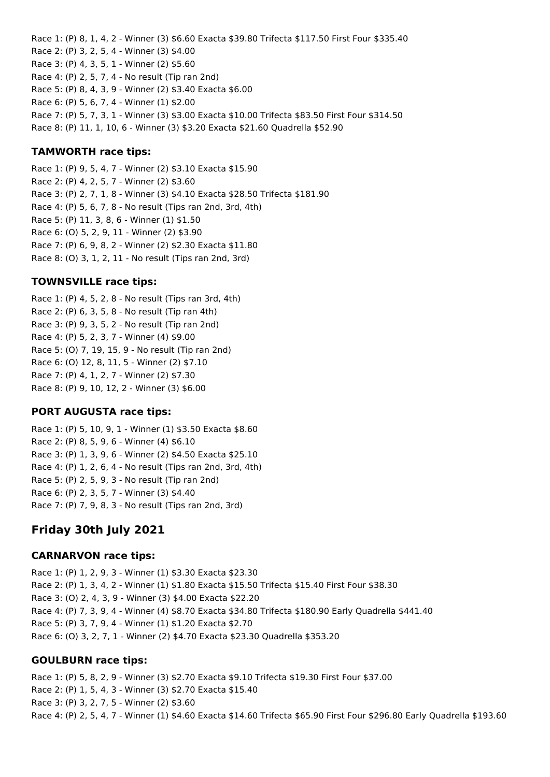Race 1: (P) 8, 1, 4, 2 - Winner (3) \$6.60 Exacta \$39.80 Trifecta \$117.50 First Four \$335.40 Race 2: (P) 3, 2, 5, 4 - Winner (3) \$4.00 Race 3: (P) 4, 3, 5, 1 - Winner (2) \$5.60 Race 4: (P) 2, 5, 7, 4 - No result (Tip ran 2nd) Race 5: (P) 8, 4, 3, 9 - Winner (2) \$3.40 Exacta \$6.00 Race 6: (P) 5, 6, 7, 4 - Winner (1) \$2.00 Race 7: (P) 5, 7, 3, 1 - Winner (3) \$3.00 Exacta \$10.00 Trifecta \$83.50 First Four \$314.50 Race 8: (P) 11, 1, 10, 6 - Winner (3) \$3.20 Exacta \$21.60 Quadrella \$52.90

#### **TAMWORTH race tips:**

Race 1: (P) 9, 5, 4, 7 - Winner (2) \$3.10 Exacta \$15.90 Race 2: (P) 4, 2, 5, 7 - Winner (2) \$3.60 Race 3: (P) 2, 7, 1, 8 - Winner (3) \$4.10 Exacta \$28.50 Trifecta \$181.90 Race 4: (P) 5, 6, 7, 8 - No result (Tips ran 2nd, 3rd, 4th) Race 5: (P) 11, 3, 8, 6 - Winner (1) \$1.50 Race 6: (O) 5, 2, 9, 11 - Winner (2) \$3.90 Race 7: (P) 6, 9, 8, 2 - Winner (2) \$2.30 Exacta \$11.80 Race 8: (O) 3, 1, 2, 11 - No result (Tips ran 2nd, 3rd)

#### **TOWNSVILLE race tips:**

Race 1: (P) 4, 5, 2, 8 - No result (Tips ran 3rd, 4th) Race 2: (P) 6, 3, 5, 8 - No result (Tip ran 4th) Race 3: (P) 9, 3, 5, 2 - No result (Tip ran 2nd) Race 4: (P) 5, 2, 3, 7 - Winner (4) \$9.00 Race 5: (O) 7, 19, 15, 9 - No result (Tip ran 2nd) Race 6: (O) 12, 8, 11, 5 - Winner (2) \$7.10 Race 7: (P) 4, 1, 2, 7 - Winner (2) \$7.30 Race 8: (P) 9, 10, 12, 2 - Winner (3) \$6.00

#### **PORT AUGUSTA race tips:**

Race 1: (P) 5, 10, 9, 1 - Winner (1) \$3.50 Exacta \$8.60 Race 2: (P) 8, 5, 9, 6 - Winner (4) \$6.10 Race 3: (P) 1, 3, 9, 6 - Winner (2) \$4.50 Exacta \$25.10 Race 4: (P) 1, 2, 6, 4 - No result (Tips ran 2nd, 3rd, 4th) Race 5: (P) 2, 5, 9, 3 - No result (Tip ran 2nd) Race 6: (P) 2, 3, 5, 7 - Winner (3) \$4.40 Race 7: (P) 7, 9, 8, 3 - No result (Tips ran 2nd, 3rd)

### **Friday 30th July 2021**

#### **CARNARVON race tips:**

Race 1: (P) 1, 2, 9, 3 - Winner (1) \$3.30 Exacta \$23.30 Race 2: (P) 1, 3, 4, 2 - Winner (1) \$1.80 Exacta \$15.50 Trifecta \$15.40 First Four \$38.30 Race 3: (O) 2, 4, 3, 9 - Winner (3) \$4.00 Exacta \$22.20 Race 4: (P) 7, 3, 9, 4 - Winner (4) \$8.70 Exacta \$34.80 Trifecta \$180.90 Early Quadrella \$441.40 Race 5: (P) 3, 7, 9, 4 - Winner (1) \$1.20 Exacta \$2.70 Race 6: (O) 3, 2, 7, 1 - Winner (2) \$4.70 Exacta \$23.30 Quadrella \$353.20

#### **GOULBURN race tips:**

Race 1: (P) 5, 8, 2, 9 - Winner (3) \$2.70 Exacta \$9.10 Trifecta \$19.30 First Four \$37.00 Race 2: (P) 1, 5, 4, 3 - Winner (3) \$2.70 Exacta \$15.40 Race 3: (P) 3, 2, 7, 5 - Winner (2) \$3.60 Race 4: (P) 2, 5, 4, 7 - Winner (1) \$4.60 Exacta \$14.60 Trifecta \$65.90 First Four \$296.80 Early Quadrella \$193.60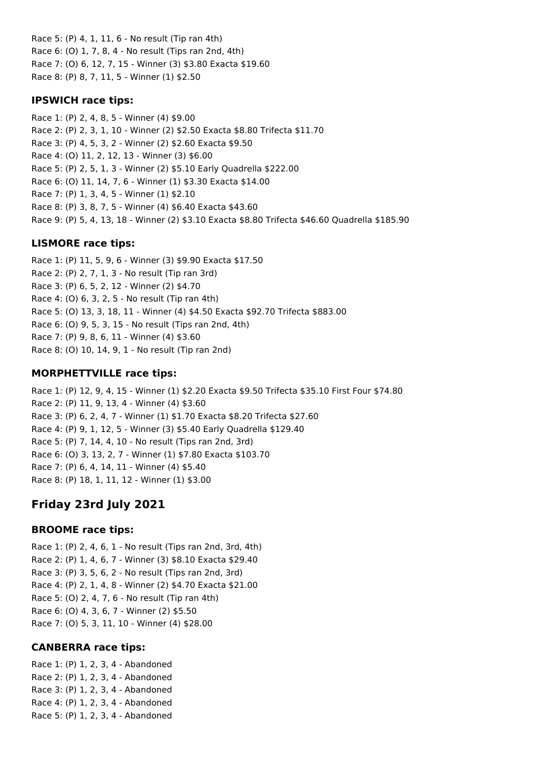Race 5: (P) 4, 1, 11, 6 - No result (Tip ran 4th) Race 6: (O) 1, 7, 8, 4 - No result (Tips ran 2nd, 4th) Race 7: (O) 6, 12, 7, 15 - Winner (3) \$3.80 Exacta \$19.60 Race 8: (P) 8, 7, 11, 5 - Winner (1) \$2.50

### **IPSWICH race tips:**

Race 1: (P) 2, 4, 8, 5 - Winner (4) \$9.00 Race 2: (P) 2, 3, 1, 10 - Winner (2) \$2.50 Exacta \$8.80 Trifecta \$11.70 Race 3: (P) 4, 5, 3, 2 - Winner (2) \$2.60 Exacta \$9.50 Race 4: (O) 11, 2, 12, 13 - Winner (3) \$6.00 Race 5: (P) 2, 5, 1, 3 - Winner (2) \$5.10 Early Quadrella \$222.00 Race 6: (O) 11, 14, 7, 6 - Winner (1) \$3.30 Exacta \$14.00 Race 7: (P) 1, 3, 4, 5 - Winner (1) \$2.10 Race 8: (P) 3, 8, 7, 5 - Winner (4) \$6.40 Exacta \$43.60 Race 9: (P) 5, 4, 13, 18 - Winner (2) \$3.10 Exacta \$8.80 Trifecta \$46.60 Quadrella \$185.90

## **LISMORE race tips:**

Race 1: (P) 11, 5, 9, 6 - Winner (3) \$9.90 Exacta \$17.50 Race 2: (P) 2, 7, 1, 3 - No result (Tip ran 3rd) Race 3: (P) 6, 5, 2, 12 - Winner (2) \$4.70 Race 4: (O) 6, 3, 2, 5 - No result (Tip ran 4th) Race 5: (O) 13, 3, 18, 11 - Winner (4) \$4.50 Exacta \$92.70 Trifecta \$883.00 Race 6: (O) 9, 5, 3, 15 - No result (Tips ran 2nd, 4th) Race 7: (P) 9, 8, 6, 11 - Winner (4) \$3.60 Race 8: (O) 10, 14, 9, 1 - No result (Tip ran 2nd)

## **MORPHETTVILLE race tips:**

Race 1: (P) 12, 9, 4, 15 - Winner (1) \$2.20 Exacta \$9.50 Trifecta \$35.10 First Four \$74.80 Race 2: (P) 11, 9, 13, 4 - Winner (4) \$3.60 Race 3: (P) 6, 2, 4, 7 - Winner (1) \$1.70 Exacta \$8.20 Trifecta \$27.60 Race 4: (P) 9, 1, 12, 5 - Winner (3) \$5.40 Early Quadrella \$129.40 Race 5: (P) 7, 14, 4, 10 - No result (Tips ran 2nd, 3rd) Race 6: (O) 3, 13, 2, 7 - Winner (1) \$7.80 Exacta \$103.70 Race 7: (P) 6, 4, 14, 11 - Winner (4) \$5.40 Race 8: (P) 18, 1, 11, 12 - Winner (1) \$3.00

# **Friday 23rd July 2021**

## **BROOME race tips:**

Race 1: (P) 2, 4, 6, 1 - No result (Tips ran 2nd, 3rd, 4th) Race 2: (P) 1, 4, 6, 7 - Winner (3) \$8.10 Exacta \$29.40 Race 3: (P) 3, 5, 6, 2 - No result (Tips ran 2nd, 3rd) Race 4: (P) 2, 1, 4, 8 - Winner (2) \$4.70 Exacta \$21.00 Race 5: (O) 2, 4, 7, 6 - No result (Tip ran 4th) Race 6: (O) 4, 3, 6, 7 - Winner (2) \$5.50 Race 7: (O) 5, 3, 11, 10 - Winner (4) \$28.00

## **CANBERRA race tips:**

Race 1: (P) 1, 2, 3, 4 - Abandoned Race 2: (P) 1, 2, 3, 4 - Abandoned Race 3: (P) 1, 2, 3, 4 - Abandoned Race 4: (P) 1, 2, 3, 4 - Abandoned Race 5: (P) 1, 2, 3, 4 - Abandoned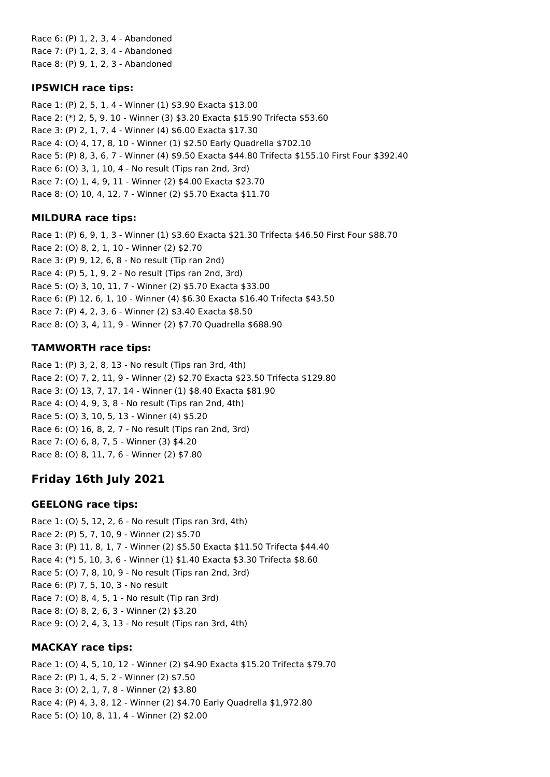Race 6: (P) 1, 2, 3, 4 - Abandoned Race 7: (P) 1, 2, 3, 4 - Abandoned Race 8: (P) 9, 1, 2, 3 - Abandoned

### **IPSWICH race tips:**

Race 1: (P) 2, 5, 1, 4 - Winner (1) \$3.90 Exacta \$13.00 Race 2: (\*) 2, 5, 9, 10 - Winner (3) \$3.20 Exacta \$15.90 Trifecta \$53.60 Race 3: (P) 2, 1, 7, 4 - Winner (4) \$6.00 Exacta \$17.30 Race 4: (O) 4, 17, 8, 10 - Winner (1) \$2.50 Early Quadrella \$702.10 Race 5: (P) 8, 3, 6, 7 - Winner (4) \$9.50 Exacta \$44.80 Trifecta \$155.10 First Four \$392.40 Race 6: (O) 3, 1, 10, 4 - No result (Tips ran 2nd, 3rd) Race 7: (O) 1, 4, 9, 11 - Winner (2) \$4.00 Exacta \$23.70 Race 8: (O) 10, 4, 12, 7 - Winner (2) \$5.70 Exacta \$11.70

## **MILDURA race tips:**

Race 1: (P) 6, 9, 1, 3 - Winner (1) \$3.60 Exacta \$21.30 Trifecta \$46.50 First Four \$88.70 Race 2: (O) 8, 2, 1, 10 - Winner (2) \$2.70 Race 3: (P) 9, 12, 6, 8 - No result (Tip ran 2nd) Race 4: (P) 5, 1, 9, 2 - No result (Tips ran 2nd, 3rd) Race 5: (O) 3, 10, 11, 7 - Winner (2) \$5.70 Exacta \$33.00 Race 6: (P) 12, 6, 1, 10 - Winner (4) \$6.30 Exacta \$16.40 Trifecta \$43.50 Race 7: (P) 4, 2, 3, 6 - Winner (2) \$3.40 Exacta \$8.50 Race 8: (O) 3, 4, 11, 9 - Winner (2) \$7.70 Quadrella \$688.90

### **TAMWORTH race tips:**

Race 1: (P) 3, 2, 8, 13 - No result (Tips ran 3rd, 4th) Race 2: (O) 7, 2, 11, 9 - Winner (2) \$2.70 Exacta \$23.50 Trifecta \$129.80 Race 3: (O) 13, 7, 17, 14 - Winner (1) \$8.40 Exacta \$81.90 Race 4: (O) 4, 9, 3, 8 - No result (Tips ran 2nd, 4th) Race 5: (O) 3, 10, 5, 13 - Winner (4) \$5.20 Race 6: (O) 16, 8, 2, 7 - No result (Tips ran 2nd, 3rd) Race 7: (O) 6, 8, 7, 5 - Winner (3) \$4.20 Race 8: (O) 8, 11, 7, 6 - Winner (2) \$7.80

# **Friday 16th July 2021**

## **GEELONG race tips:**

Race 1: (O) 5, 12, 2, 6 - No result (Tips ran 3rd, 4th) Race 2: (P) 5, 7, 10, 9 - Winner (2) \$5.70 Race 3: (P) 11, 8, 1, 7 - Winner (2) \$5.50 Exacta \$11.50 Trifecta \$44.40 Race 4: (\*) 5, 10, 3, 6 - Winner (1) \$1.40 Exacta \$3.30 Trifecta \$8.60 Race 5: (O) 7, 8, 10, 9 - No result (Tips ran 2nd, 3rd) Race 6: (P) 7, 5, 10, 3 - No result Race 7: (O) 8, 4, 5, 1 - No result (Tip ran 3rd) Race 8: (O) 8, 2, 6, 3 - Winner (2) \$3.20 Race 9: (O) 2, 4, 3, 13 - No result (Tips ran 3rd, 4th)

### **MACKAY race tips:**

Race 1: (O) 4, 5, 10, 12 - Winner (2) \$4.90 Exacta \$15.20 Trifecta \$79.70 Race 2: (P) 1, 4, 5, 2 - Winner (2) \$7.50 Race 3: (O) 2, 1, 7, 8 - Winner (2) \$3.80 Race 4: (P) 4, 3, 8, 12 - Winner (2) \$4.70 Early Quadrella \$1,972.80 Race 5: (O) 10, 8, 11, 4 - Winner (2) \$2.00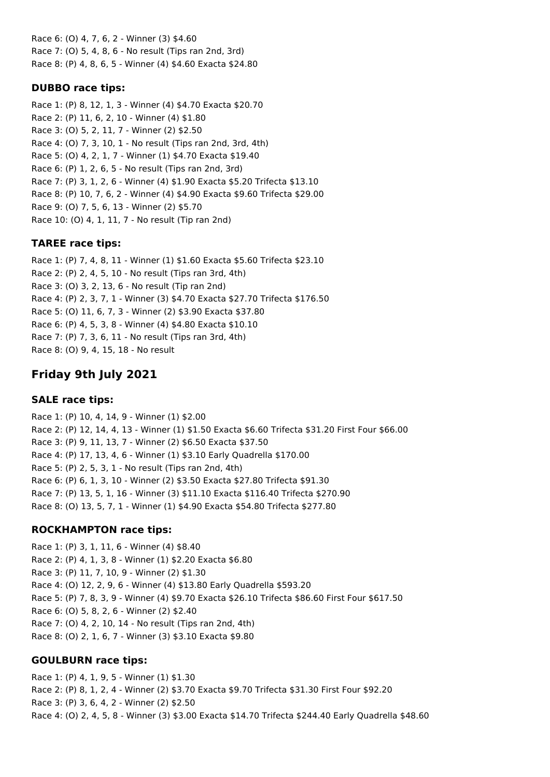Race 6: (O) 4, 7, 6, 2 - Winner (3) \$4.60 Race 7: (O) 5, 4, 8, 6 - No result (Tips ran 2nd, 3rd) Race 8: (P) 4, 8, 6, 5 - Winner (4) \$4.60 Exacta \$24.80

### **DUBBO race tips:**

Race 1: (P) 8, 12, 1, 3 - Winner (4) \$4.70 Exacta \$20.70 Race 2: (P) 11, 6, 2, 10 - Winner (4) \$1.80 Race 3: (O) 5, 2, 11, 7 - Winner (2) \$2.50 Race 4: (O) 7, 3, 10, 1 - No result (Tips ran 2nd, 3rd, 4th) Race 5: (O) 4, 2, 1, 7 - Winner (1) \$4.70 Exacta \$19.40 Race 6: (P) 1, 2, 6, 5 - No result (Tips ran 2nd, 3rd) Race 7: (P) 3, 1, 2, 6 - Winner (4) \$1.90 Exacta \$5.20 Trifecta \$13.10 Race 8: (P) 10, 7, 6, 2 - Winner (4) \$4.90 Exacta \$9.60 Trifecta \$29.00 Race 9: (O) 7, 5, 6, 13 - Winner (2) \$5.70 Race 10: (O) 4, 1, 11, 7 - No result (Tip ran 2nd)

### **TAREE race tips:**

Race 1: (P) 7, 4, 8, 11 - Winner (1) \$1.60 Exacta \$5.60 Trifecta \$23.10 Race 2: (P) 2, 4, 5, 10 - No result (Tips ran 3rd, 4th) Race 3: (O) 3, 2, 13, 6 - No result (Tip ran 2nd) Race 4: (P) 2, 3, 7, 1 - Winner (3) \$4.70 Exacta \$27.70 Trifecta \$176.50 Race 5: (O) 11, 6, 7, 3 - Winner (2) \$3.90 Exacta \$37.80 Race 6: (P) 4, 5, 3, 8 - Winner (4) \$4.80 Exacta \$10.10 Race 7: (P) 7, 3, 6, 11 - No result (Tips ran 3rd, 4th) Race 8: (O) 9, 4, 15, 18 - No result

# **Friday 9th July 2021**

### **SALE race tips:**

Race 1: (P) 10, 4, 14, 9 - Winner (1) \$2.00 Race 2: (P) 12, 14, 4, 13 - Winner (1) \$1.50 Exacta \$6.60 Trifecta \$31.20 First Four \$66.00 Race 3: (P) 9, 11, 13, 7 - Winner (2) \$6.50 Exacta \$37.50 Race 4: (P) 17, 13, 4, 6 - Winner (1) \$3.10 Early Quadrella \$170.00 Race 5: (P) 2, 5, 3, 1 - No result (Tips ran 2nd, 4th) Race 6: (P) 6, 1, 3, 10 - Winner (2) \$3.50 Exacta \$27.80 Trifecta \$91.30 Race 7: (P) 13, 5, 1, 16 - Winner (3) \$11.10 Exacta \$116.40 Trifecta \$270.90 Race 8: (O) 13, 5, 7, 1 - Winner (1) \$4.90 Exacta \$54.80 Trifecta \$277.80

## **ROCKHAMPTON race tips:**

Race 1: (P) 3, 1, 11, 6 - Winner (4) \$8.40 Race 2: (P) 4, 1, 3, 8 - Winner (1) \$2.20 Exacta \$6.80 Race 3: (P) 11, 7, 10, 9 - Winner (2) \$1.30 Race 4: (O) 12, 2, 9, 6 - Winner (4) \$13.80 Early Quadrella \$593.20 Race 5: (P) 7, 8, 3, 9 - Winner (4) \$9.70 Exacta \$26.10 Trifecta \$86.60 First Four \$617.50 Race 6: (O) 5, 8, 2, 6 - Winner (2) \$2.40 Race 7: (O) 4, 2, 10, 14 - No result (Tips ran 2nd, 4th) Race 8: (O) 2, 1, 6, 7 - Winner (3) \$3.10 Exacta \$9.80

### **GOULBURN race tips:**

Race 1: (P) 4, 1, 9, 5 - Winner (1) \$1.30 Race 2: (P) 8, 1, 2, 4 - Winner (2) \$3.70 Exacta \$9.70 Trifecta \$31.30 First Four \$92.20 Race 3: (P) 3, 6, 4, 2 - Winner (2) \$2.50 Race 4: (O) 2, 4, 5, 8 - Winner (3) \$3.00 Exacta \$14.70 Trifecta \$244.40 Early Quadrella \$48.60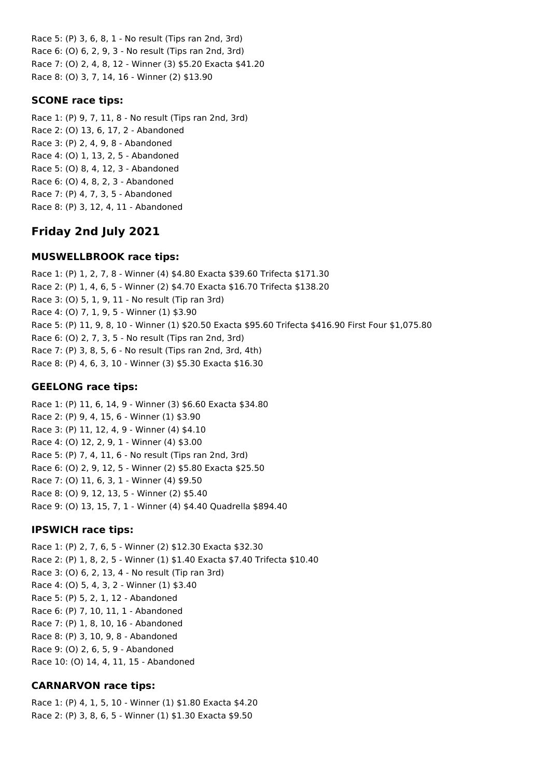Race 5: (P) 3, 6, 8, 1 - No result (Tips ran 2nd, 3rd) Race 6: (O) 6, 2, 9, 3 - No result (Tips ran 2nd, 3rd) Race 7: (O) 2, 4, 8, 12 - Winner (3) \$5.20 Exacta \$41.20 Race 8: (O) 3, 7, 14, 16 - Winner (2) \$13.90

#### **SCONE race tips:**

Race 1: (P) 9, 7, 11, 8 - No result (Tips ran 2nd, 3rd) Race 2: (O) 13, 6, 17, 2 - Abandoned Race 3: (P) 2, 4, 9, 8 - Abandoned Race 4: (O) 1, 13, 2, 5 - Abandoned Race 5: (O) 8, 4, 12, 3 - Abandoned Race 6: (O) 4, 8, 2, 3 - Abandoned Race 7: (P) 4, 7, 3, 5 - Abandoned Race 8: (P) 3, 12, 4, 11 - Abandoned

# **Friday 2nd July 2021**

#### **MUSWELLBROOK race tips:**

Race 1: (P) 1, 2, 7, 8 - Winner (4) \$4.80 Exacta \$39.60 Trifecta \$171.30 Race 2: (P) 1, 4, 6, 5 - Winner (2) \$4.70 Exacta \$16.70 Trifecta \$138.20 Race 3: (O) 5, 1, 9, 11 - No result (Tip ran 3rd) Race 4: (O) 7, 1, 9, 5 - Winner (1) \$3.90 Race 5: (P) 11, 9, 8, 10 - Winner (1) \$20.50 Exacta \$95.60 Trifecta \$416.90 First Four \$1,075.80 Race 6: (O) 2, 7, 3, 5 - No result (Tips ran 2nd, 3rd) Race 7: (P) 3, 8, 5, 6 - No result (Tips ran 2nd, 3rd, 4th) Race 8: (P) 4, 6, 3, 10 - Winner (3) \$5.30 Exacta \$16.30

#### **GEELONG race tips:**

Race 1: (P) 11, 6, 14, 9 - Winner (3) \$6.60 Exacta \$34.80 Race 2: (P) 9, 4, 15, 6 - Winner (1) \$3.90 Race 3: (P) 11, 12, 4, 9 - Winner (4) \$4.10 Race 4: (O) 12, 2, 9, 1 - Winner (4) \$3.00 Race 5: (P) 7, 4, 11, 6 - No result (Tips ran 2nd, 3rd) Race 6: (O) 2, 9, 12, 5 - Winner (2) \$5.80 Exacta \$25.50 Race 7: (O) 11, 6, 3, 1 - Winner (4) \$9.50 Race 8: (O) 9, 12, 13, 5 - Winner (2) \$5.40 Race 9: (O) 13, 15, 7, 1 - Winner (4) \$4.40 Quadrella \$894.40

#### **IPSWICH race tips:**

Race 1: (P) 2, 7, 6, 5 - Winner (2) \$12.30 Exacta \$32.30 Race 2: (P) 1, 8, 2, 5 - Winner (1) \$1.40 Exacta \$7.40 Trifecta \$10.40 Race 3: (O) 6, 2, 13, 4 - No result (Tip ran 3rd) Race 4: (O) 5, 4, 3, 2 - Winner (1) \$3.40 Race 5: (P) 5, 2, 1, 12 - Abandoned Race 6: (P) 7, 10, 11, 1 - Abandoned Race 7: (P) 1, 8, 10, 16 - Abandoned Race 8: (P) 3, 10, 9, 8 - Abandoned Race 9: (O) 2, 6, 5, 9 - Abandoned Race 10: (O) 14, 4, 11, 15 - Abandoned

### **CARNARVON race tips:**

Race 1: (P) 4, 1, 5, 10 - Winner (1) \$1.80 Exacta \$4.20 Race 2: (P) 3, 8, 6, 5 - Winner (1) \$1.30 Exacta \$9.50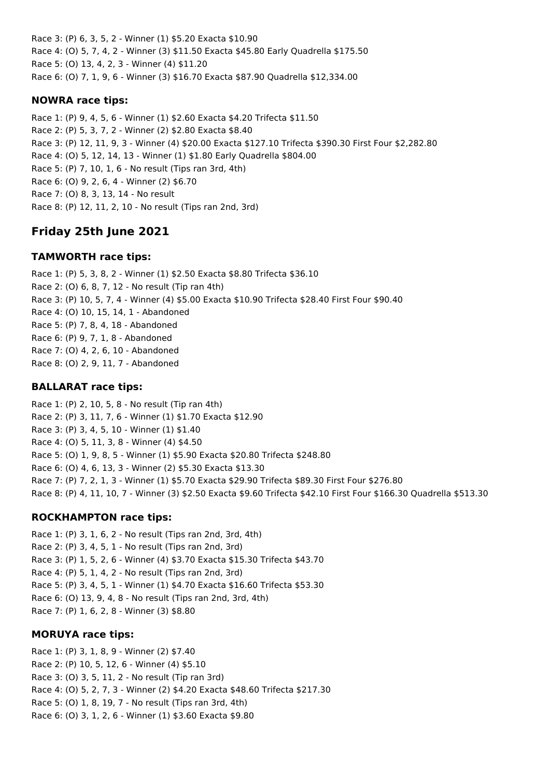Race 3: (P) 6, 3, 5, 2 - Winner (1) \$5.20 Exacta \$10.90 Race 4: (O) 5, 7, 4, 2 - Winner (3) \$11.50 Exacta \$45.80 Early Quadrella \$175.50 Race 5: (O) 13, 4, 2, 3 - Winner (4) \$11.20 Race 6: (O) 7, 1, 9, 6 - Winner (3) \$16.70 Exacta \$87.90 Quadrella \$12,334.00

## **NOWRA race tips:**

Race 1: (P) 9, 4, 5, 6 - Winner (1) \$2.60 Exacta \$4.20 Trifecta \$11.50 Race 2: (P) 5, 3, 7, 2 - Winner (2) \$2.80 Exacta \$8.40 Race 3: (P) 12, 11, 9, 3 - Winner (4) \$20.00 Exacta \$127.10 Trifecta \$390.30 First Four \$2,282.80 Race 4: (O) 5, 12, 14, 13 - Winner (1) \$1.80 Early Quadrella \$804.00 Race 5: (P) 7, 10, 1, 6 - No result (Tips ran 3rd, 4th) Race 6: (O) 9, 2, 6, 4 - Winner (2) \$6.70 Race 7: (O) 8, 3, 13, 14 - No result Race 8: (P) 12, 11, 2, 10 - No result (Tips ran 2nd, 3rd)

# **Friday 25th June 2021**

### **TAMWORTH race tips:**

Race 1: (P) 5, 3, 8, 2 - Winner (1) \$2.50 Exacta \$8.80 Trifecta \$36.10 Race 2: (O) 6, 8, 7, 12 - No result (Tip ran 4th) Race 3: (P) 10, 5, 7, 4 - Winner (4) \$5.00 Exacta \$10.90 Trifecta \$28.40 First Four \$90.40 Race 4: (O) 10, 15, 14, 1 - Abandoned Race 5: (P) 7, 8, 4, 18 - Abandoned Race 6: (P) 9, 7, 1, 8 - Abandoned Race 7: (O) 4, 2, 6, 10 - Abandoned Race 8: (O) 2, 9, 11, 7 - Abandoned

### **BALLARAT race tips:**

Race 1: (P) 2, 10, 5, 8 - No result (Tip ran 4th) Race 2: (P) 3, 11, 7, 6 - Winner (1) \$1.70 Exacta \$12.90 Race 3: (P) 3, 4, 5, 10 - Winner (1) \$1.40 Race 4: (O) 5, 11, 3, 8 - Winner (4) \$4.50 Race 5: (O) 1, 9, 8, 5 - Winner (1) \$5.90 Exacta \$20.80 Trifecta \$248.80 Race 6: (O) 4, 6, 13, 3 - Winner (2) \$5.30 Exacta \$13.30 Race 7: (P) 7, 2, 1, 3 - Winner (1) \$5.70 Exacta \$29.90 Trifecta \$89.30 First Four \$276.80 Race 8: (P) 4, 11, 10, 7 - Winner (3) \$2.50 Exacta \$9.60 Trifecta \$42.10 First Four \$166.30 Quadrella \$513.30

## **ROCKHAMPTON race tips:**

Race 1: (P) 3, 1, 6, 2 - No result (Tips ran 2nd, 3rd, 4th) Race 2: (P) 3, 4, 5, 1 - No result (Tips ran 2nd, 3rd) Race 3: (P) 1, 5, 2, 6 - Winner (4) \$3.70 Exacta \$15.30 Trifecta \$43.70 Race 4: (P) 5, 1, 4, 2 - No result (Tips ran 2nd, 3rd) Race 5: (P) 3, 4, 5, 1 - Winner (1) \$4.70 Exacta \$16.60 Trifecta \$53.30 Race 6: (O) 13, 9, 4, 8 - No result (Tips ran 2nd, 3rd, 4th) Race 7: (P) 1, 6, 2, 8 - Winner (3) \$8.80

### **MORUYA race tips:**

Race 1: (P) 3, 1, 8, 9 - Winner (2) \$7.40 Race 2: (P) 10, 5, 12, 6 - Winner (4) \$5.10 Race 3: (O) 3, 5, 11, 2 - No result (Tip ran 3rd) Race 4: (O) 5, 2, 7, 3 - Winner (2) \$4.20 Exacta \$48.60 Trifecta \$217.30 Race 5: (O) 1, 8, 19, 7 - No result (Tips ran 3rd, 4th) Race 6: (O) 3, 1, 2, 6 - Winner (1) \$3.60 Exacta \$9.80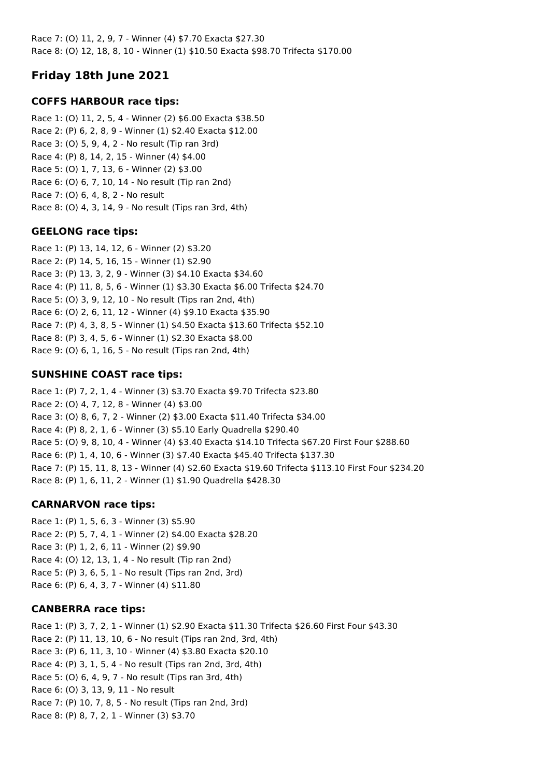Race 7: (O) 11, 2, 9, 7 - Winner (4) \$7.70 Exacta \$27.30 Race 8: (O) 12, 18, 8, 10 - Winner (1) \$10.50 Exacta \$98.70 Trifecta \$170.00

# **Friday 18th June 2021**

## **COFFS HARBOUR race tips:**

Race 1: (O) 11, 2, 5, 4 - Winner (2) \$6.00 Exacta \$38.50 Race 2: (P) 6, 2, 8, 9 - Winner (1) \$2.40 Exacta \$12.00 Race 3: (O) 5, 9, 4, 2 - No result (Tip ran 3rd) Race 4: (P) 8, 14, 2, 15 - Winner (4) \$4.00 Race 5: (O) 1, 7, 13, 6 - Winner (2) \$3.00 Race 6: (O) 6, 7, 10, 14 - No result (Tip ran 2nd) Race 7: (O) 6, 4, 8, 2 - No result Race 8: (O) 4, 3, 14, 9 - No result (Tips ran 3rd, 4th)

## **GEELONG race tips:**

Race 1: (P) 13, 14, 12, 6 - Winner (2) \$3.20 Race 2: (P) 14, 5, 16, 15 - Winner (1) \$2.90 Race 3: (P) 13, 3, 2, 9 - Winner (3) \$4.10 Exacta \$34.60 Race 4: (P) 11, 8, 5, 6 - Winner (1) \$3.30 Exacta \$6.00 Trifecta \$24.70 Race 5: (O) 3, 9, 12, 10 - No result (Tips ran 2nd, 4th) Race 6: (O) 2, 6, 11, 12 - Winner (4) \$9.10 Exacta \$35.90 Race 7: (P) 4, 3, 8, 5 - Winner (1) \$4.50 Exacta \$13.60 Trifecta \$52.10 Race 8: (P) 3, 4, 5, 6 - Winner (1) \$2.30 Exacta \$8.00 Race 9: (O) 6, 1, 16, 5 - No result (Tips ran 2nd, 4th)

## **SUNSHINE COAST race tips:**

Race 1: (P) 7, 2, 1, 4 - Winner (3) \$3.70 Exacta \$9.70 Trifecta \$23.80 Race 2: (O) 4, 7, 12, 8 - Winner (4) \$3.00 Race 3: (O) 8, 6, 7, 2 - Winner (2) \$3.00 Exacta \$11.40 Trifecta \$34.00 Race 4: (P) 8, 2, 1, 6 - Winner (3) \$5.10 Early Quadrella \$290.40 Race 5: (O) 9, 8, 10, 4 - Winner (4) \$3.40 Exacta \$14.10 Trifecta \$67.20 First Four \$288.60 Race 6: (P) 1, 4, 10, 6 - Winner (3) \$7.40 Exacta \$45.40 Trifecta \$137.30 Race 7: (P) 15, 11, 8, 13 - Winner (4) \$2.60 Exacta \$19.60 Trifecta \$113.10 First Four \$234.20 Race 8: (P) 1, 6, 11, 2 - Winner (1) \$1.90 Quadrella \$428.30

## **CARNARVON race tips:**

Race 1: (P) 1, 5, 6, 3 - Winner (3) \$5.90 Race 2: (P) 5, 7, 4, 1 - Winner (2) \$4.00 Exacta \$28.20 Race 3: (P) 1, 2, 6, 11 - Winner (2) \$9.90 Race 4: (O) 12, 13, 1, 4 - No result (Tip ran 2nd) Race 5: (P) 3, 6, 5, 1 - No result (Tips ran 2nd, 3rd) Race 6: (P) 6, 4, 3, 7 - Winner (4) \$11.80

## **CANBERRA race tips:**

Race 1: (P) 3, 7, 2, 1 - Winner (1) \$2.90 Exacta \$11.30 Trifecta \$26.60 First Four \$43.30 Race 2: (P) 11, 13, 10, 6 - No result (Tips ran 2nd, 3rd, 4th) Race 3: (P) 6, 11, 3, 10 - Winner (4) \$3.80 Exacta \$20.10 Race 4: (P) 3, 1, 5, 4 - No result (Tips ran 2nd, 3rd, 4th) Race 5: (O) 6, 4, 9, 7 - No result (Tips ran 3rd, 4th) Race 6: (O) 3, 13, 9, 11 - No result Race 7: (P) 10, 7, 8, 5 - No result (Tips ran 2nd, 3rd) Race 8: (P) 8, 7, 2, 1 - Winner (3) \$3.70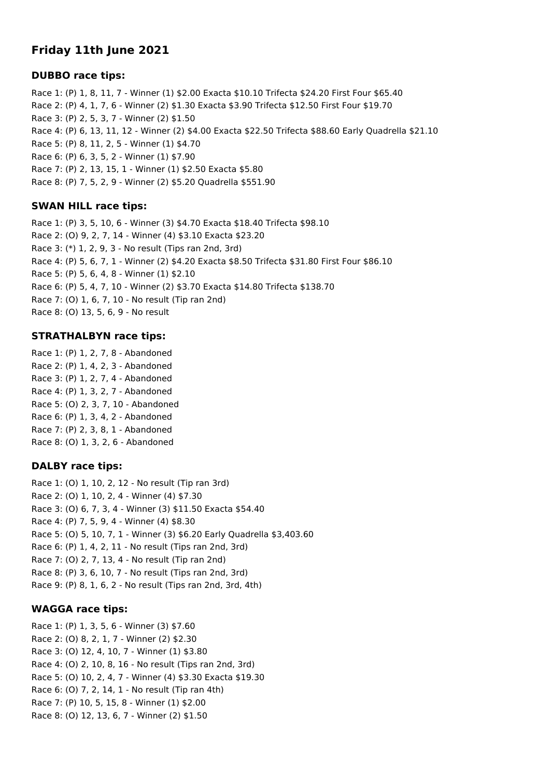# **Friday 11th June 2021**

### **DUBBO race tips:**

Race 1: (P) 1, 8, 11, 7 - Winner (1) \$2.00 Exacta \$10.10 Trifecta \$24.20 First Four \$65.40 Race 2: (P) 4, 1, 7, 6 - Winner (2) \$1.30 Exacta \$3.90 Trifecta \$12.50 First Four \$19.70 Race 3: (P) 2, 5, 3, 7 - Winner (2) \$1.50 Race 4: (P) 6, 13, 11, 12 - Winner (2) \$4.00 Exacta \$22.50 Trifecta \$88.60 Early Quadrella \$21.10 Race 5: (P) 8, 11, 2, 5 - Winner (1) \$4.70 Race 6: (P) 6, 3, 5, 2 - Winner (1) \$7.90 Race 7: (P) 2, 13, 15, 1 - Winner (1) \$2.50 Exacta \$5.80 Race 8: (P) 7, 5, 2, 9 - Winner (2) \$5.20 Quadrella \$551.90

### **SWAN HILL race tips:**

Race 1: (P) 3, 5, 10, 6 - Winner (3) \$4.70 Exacta \$18.40 Trifecta \$98.10 Race 2: (O) 9, 2, 7, 14 - Winner (4) \$3.10 Exacta \$23.20 Race 3: (\*) 1, 2, 9, 3 - No result (Tips ran 2nd, 3rd) Race 4: (P) 5, 6, 7, 1 - Winner (2) \$4.20 Exacta \$8.50 Trifecta \$31.80 First Four \$86.10 Race 5: (P) 5, 6, 4, 8 - Winner (1) \$2.10 Race 6: (P) 5, 4, 7, 10 - Winner (2) \$3.70 Exacta \$14.80 Trifecta \$138.70 Race 7: (O) 1, 6, 7, 10 - No result (Tip ran 2nd) Race 8: (O) 13, 5, 6, 9 - No result

## **STRATHALBYN race tips:**

Race 1: (P) 1, 2, 7, 8 - Abandoned Race 2: (P) 1, 4, 2, 3 - Abandoned Race 3: (P) 1, 2, 7, 4 - Abandoned Race 4: (P) 1, 3, 2, 7 - Abandoned Race 5: (O) 2, 3, 7, 10 - Abandoned Race 6: (P) 1, 3, 4, 2 - Abandoned Race 7: (P) 2, 3, 8, 1 - Abandoned Race 8: (O) 1, 3, 2, 6 - Abandoned

### **DALBY race tips:**

Race 1: (O) 1, 10, 2, 12 - No result (Tip ran 3rd) Race 2: (O) 1, 10, 2, 4 - Winner (4) \$7.30 Race 3: (O) 6, 7, 3, 4 - Winner (3) \$11.50 Exacta \$54.40 Race 4: (P) 7, 5, 9, 4 - Winner (4) \$8.30 Race 5: (O) 5, 10, 7, 1 - Winner (3) \$6.20 Early Quadrella \$3,403.60 Race 6: (P) 1, 4, 2, 11 - No result (Tips ran 2nd, 3rd) Race 7: (O) 2, 7, 13, 4 - No result (Tip ran 2nd) Race 8: (P) 3, 6, 10, 7 - No result (Tips ran 2nd, 3rd) Race 9: (P) 8, 1, 6, 2 - No result (Tips ran 2nd, 3rd, 4th)

## **WAGGA race tips:**

Race 1: (P) 1, 3, 5, 6 - Winner (3) \$7.60 Race 2: (O) 8, 2, 1, 7 - Winner (2) \$2.30 Race 3: (O) 12, 4, 10, 7 - Winner (1) \$3.80 Race 4: (O) 2, 10, 8, 16 - No result (Tips ran 2nd, 3rd) Race 5: (O) 10, 2, 4, 7 - Winner (4) \$3.30 Exacta \$19.30 Race 6: (O) 7, 2, 14, 1 - No result (Tip ran 4th) Race 7: (P) 10, 5, 15, 8 - Winner (1) \$2.00 Race 8: (O) 12, 13, 6, 7 - Winner (2) \$1.50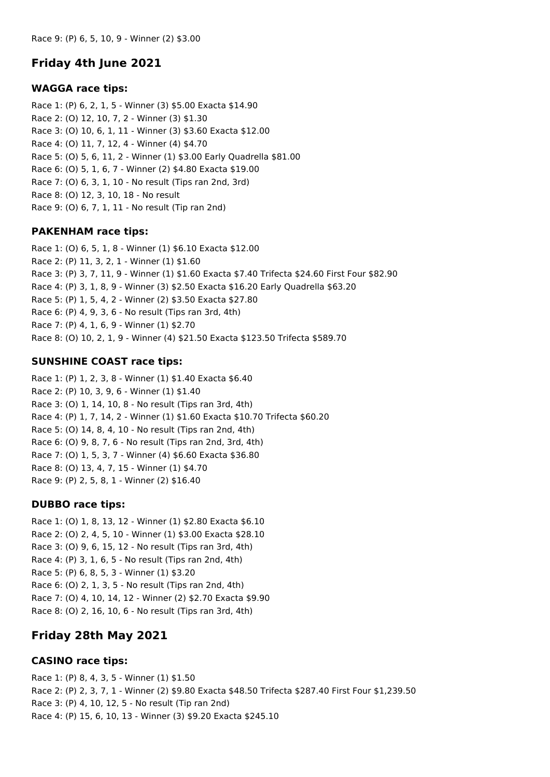# **Friday 4th June 2021**

#### **WAGGA race tips:**

Race 1: (P) 6, 2, 1, 5 - Winner (3) \$5.00 Exacta \$14.90 Race 2: (O) 12, 10, 7, 2 - Winner (3) \$1.30 Race 3: (O) 10, 6, 1, 11 - Winner (3) \$3.60 Exacta \$12.00 Race 4: (O) 11, 7, 12, 4 - Winner (4) \$4.70 Race 5: (O) 5, 6, 11, 2 - Winner (1) \$3.00 Early Quadrella \$81.00 Race 6: (O) 5, 1, 6, 7 - Winner (2) \$4.80 Exacta \$19.00 Race 7: (O) 6, 3, 1, 10 - No result (Tips ran 2nd, 3rd) Race 8: (O) 12, 3, 10, 18 - No result Race 9: (O) 6, 7, 1, 11 - No result (Tip ran 2nd)

### **PAKENHAM race tips:**

Race 1: (O) 6, 5, 1, 8 - Winner (1) \$6.10 Exacta \$12.00 Race 2: (P) 11, 3, 2, 1 - Winner (1) \$1.60 Race 3: (P) 3, 7, 11, 9 - Winner (1) \$1.60 Exacta \$7.40 Trifecta \$24.60 First Four \$82.90 Race 4: (P) 3, 1, 8, 9 - Winner (3) \$2.50 Exacta \$16.20 Early Quadrella \$63.20 Race 5: (P) 1, 5, 4, 2 - Winner (2) \$3.50 Exacta \$27.80 Race 6: (P) 4, 9, 3, 6 - No result (Tips ran 3rd, 4th) Race 7: (P) 4, 1, 6, 9 - Winner (1) \$2.70 Race 8: (O) 10, 2, 1, 9 - Winner (4) \$21.50 Exacta \$123.50 Trifecta \$589.70

### **SUNSHINE COAST race tips:**

Race 1: (P) 1, 2, 3, 8 - Winner (1) \$1.40 Exacta \$6.40 Race 2: (P) 10, 3, 9, 6 - Winner (1) \$1.40 Race 3: (O) 1, 14, 10, 8 - No result (Tips ran 3rd, 4th) Race 4: (P) 1, 7, 14, 2 - Winner (1) \$1.60 Exacta \$10.70 Trifecta \$60.20 Race 5: (O) 14, 8, 4, 10 - No result (Tips ran 2nd, 4th) Race 6: (O) 9, 8, 7, 6 - No result (Tips ran 2nd, 3rd, 4th) Race 7: (O) 1, 5, 3, 7 - Winner (4) \$6.60 Exacta \$36.80 Race 8: (O) 13, 4, 7, 15 - Winner (1) \$4.70 Race 9: (P) 2, 5, 8, 1 - Winner (2) \$16.40

### **DUBBO race tips:**

Race 1: (O) 1, 8, 13, 12 - Winner (1) \$2.80 Exacta \$6.10 Race 2: (O) 2, 4, 5, 10 - Winner (1) \$3.00 Exacta \$28.10 Race 3: (O) 9, 6, 15, 12 - No result (Tips ran 3rd, 4th) Race 4: (P) 3, 1, 6, 5 - No result (Tips ran 2nd, 4th) Race 5: (P) 6, 8, 5, 3 - Winner (1) \$3.20 Race 6: (O) 2, 1, 3, 5 - No result (Tips ran 2nd, 4th) Race 7: (O) 4, 10, 14, 12 - Winner (2) \$2.70 Exacta \$9.90 Race 8: (O) 2, 16, 10, 6 - No result (Tips ran 3rd, 4th)

# **Friday 28th May 2021**

### **CASINO race tips:**

Race 1: (P) 8, 4, 3, 5 - Winner (1) \$1.50 Race 2: (P) 2, 3, 7, 1 - Winner (2) \$9.80 Exacta \$48.50 Trifecta \$287.40 First Four \$1,239.50 Race 3: (P) 4, 10, 12, 5 - No result (Tip ran 2nd) Race 4: (P) 15, 6, 10, 13 - Winner (3) \$9.20 Exacta \$245.10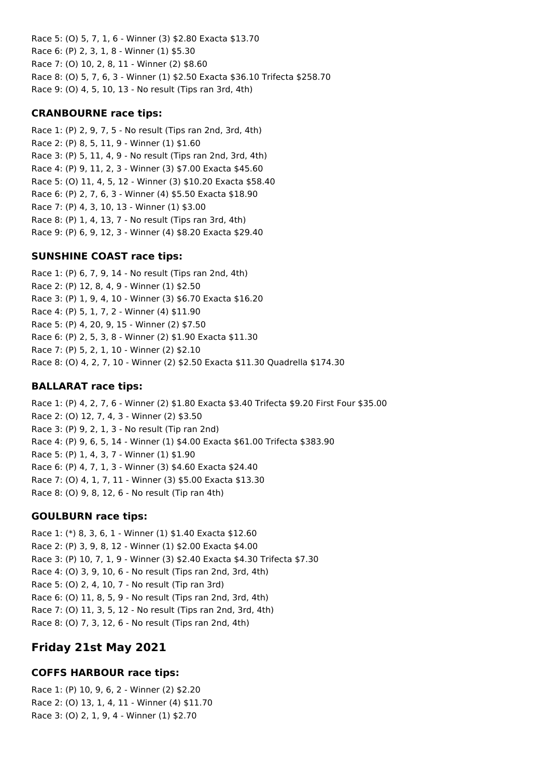Race 5: (O) 5, 7, 1, 6 - Winner (3) \$2.80 Exacta \$13.70 Race 6: (P) 2, 3, 1, 8 - Winner (1) \$5.30 Race 7: (O) 10, 2, 8, 11 - Winner (2) \$8.60 Race 8: (O) 5, 7, 6, 3 - Winner (1) \$2.50 Exacta \$36.10 Trifecta \$258.70 Race 9: (O) 4, 5, 10, 13 - No result (Tips ran 3rd, 4th)

#### **CRANBOURNE race tips:**

Race 1: (P) 2, 9, 7, 5 - No result (Tips ran 2nd, 3rd, 4th) Race 2: (P) 8, 5, 11, 9 - Winner (1) \$1.60 Race 3: (P) 5, 11, 4, 9 - No result (Tips ran 2nd, 3rd, 4th) Race 4: (P) 9, 11, 2, 3 - Winner (3) \$7.00 Exacta \$45.60 Race 5: (O) 11, 4, 5, 12 - Winner (3) \$10.20 Exacta \$58.40 Race 6: (P) 2, 7, 6, 3 - Winner (4) \$5.50 Exacta \$18.90 Race 7: (P) 4, 3, 10, 13 - Winner (1) \$3.00 Race 8: (P) 1, 4, 13, 7 - No result (Tips ran 3rd, 4th) Race 9: (P) 6, 9, 12, 3 - Winner (4) \$8.20 Exacta \$29.40

### **SUNSHINE COAST race tips:**

Race 1: (P) 6, 7, 9, 14 - No result (Tips ran 2nd, 4th) Race 2: (P) 12, 8, 4, 9 - Winner (1) \$2.50 Race 3: (P) 1, 9, 4, 10 - Winner (3) \$6.70 Exacta \$16.20 Race 4: (P) 5, 1, 7, 2 - Winner (4) \$11.90 Race 5: (P) 4, 20, 9, 15 - Winner (2) \$7.50 Race 6: (P) 2, 5, 3, 8 - Winner (2) \$1.90 Exacta \$11.30 Race 7: (P) 5, 2, 1, 10 - Winner (2) \$2.10 Race 8: (O) 4, 2, 7, 10 - Winner (2) \$2.50 Exacta \$11.30 Quadrella \$174.30

#### **BALLARAT race tips:**

Race 1: (P) 4, 2, 7, 6 - Winner (2) \$1.80 Exacta \$3.40 Trifecta \$9.20 First Four \$35.00 Race 2: (O) 12, 7, 4, 3 - Winner (2) \$3.50 Race 3: (P) 9, 2, 1, 3 - No result (Tip ran 2nd) Race 4: (P) 9, 6, 5, 14 - Winner (1) \$4.00 Exacta \$61.00 Trifecta \$383.90 Race 5: (P) 1, 4, 3, 7 - Winner (1) \$1.90 Race 6: (P) 4, 7, 1, 3 - Winner (3) \$4.60 Exacta \$24.40 Race 7: (O) 4, 1, 7, 11 - Winner (3) \$5.00 Exacta \$13.30 Race 8: (O) 9, 8, 12, 6 - No result (Tip ran 4th)

#### **GOULBURN race tips:**

Race 1: (\*) 8, 3, 6, 1 - Winner (1) \$1.40 Exacta \$12.60 Race 2: (P) 3, 9, 8, 12 - Winner (1) \$2.00 Exacta \$4.00 Race 3: (P) 10, 7, 1, 9 - Winner (3) \$2.40 Exacta \$4.30 Trifecta \$7.30 Race 4: (O) 3, 9, 10, 6 - No result (Tips ran 2nd, 3rd, 4th) Race 5: (O) 2, 4, 10, 7 - No result (Tip ran 3rd) Race 6: (O) 11, 8, 5, 9 - No result (Tips ran 2nd, 3rd, 4th) Race 7: (O) 11, 3, 5, 12 - No result (Tips ran 2nd, 3rd, 4th) Race 8: (O) 7, 3, 12, 6 - No result (Tips ran 2nd, 4th)

# **Friday 21st May 2021**

# **COFFS HARBOUR race tips:**

Race 1: (P) 10, 9, 6, 2 - Winner (2) \$2.20 Race 2: (O) 13, 1, 4, 11 - Winner (4) \$11.70 Race 3: (O) 2, 1, 9, 4 - Winner (1) \$2.70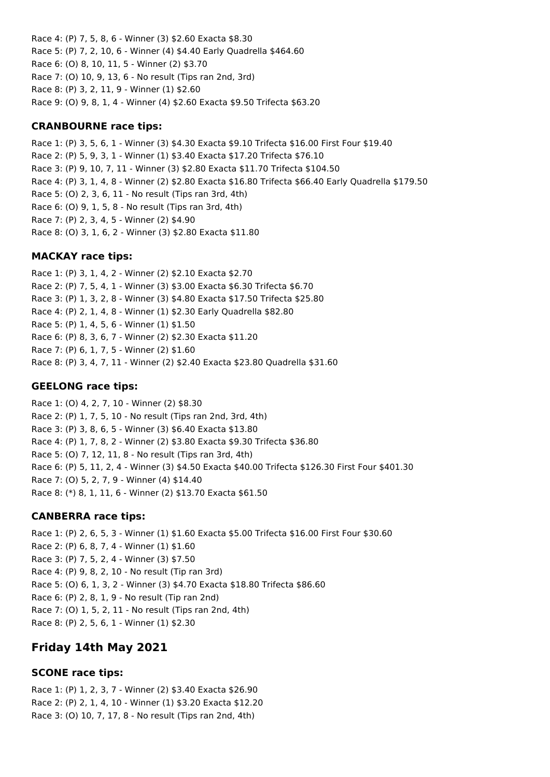Race 4: (P) 7, 5, 8, 6 - Winner (3) \$2.60 Exacta \$8.30 Race 5: (P) 7, 2, 10, 6 - Winner (4) \$4.40 Early Quadrella \$464.60 Race 6: (O) 8, 10, 11, 5 - Winner (2) \$3.70 Race 7: (O) 10, 9, 13, 6 - No result (Tips ran 2nd, 3rd) Race 8: (P) 3, 2, 11, 9 - Winner (1) \$2.60 Race 9: (O) 9, 8, 1, 4 - Winner (4) \$2.60 Exacta \$9.50 Trifecta \$63.20

#### **CRANBOURNE race tips:**

Race 1: (P) 3, 5, 6, 1 - Winner (3) \$4.30 Exacta \$9.10 Trifecta \$16.00 First Four \$19.40 Race 2: (P) 5, 9, 3, 1 - Winner (1) \$3.40 Exacta \$17.20 Trifecta \$76.10 Race 3: (P) 9, 10, 7, 11 - Winner (3) \$2.80 Exacta \$11.70 Trifecta \$104.50 Race 4: (P) 3, 1, 4, 8 - Winner (2) \$2.80 Exacta \$16.80 Trifecta \$66.40 Early Quadrella \$179.50 Race 5: (O) 2, 3, 6, 11 - No result (Tips ran 3rd, 4th) Race 6: (O) 9, 1, 5, 8 - No result (Tips ran 3rd, 4th) Race 7: (P) 2, 3, 4, 5 - Winner (2) \$4.90 Race 8: (O) 3, 1, 6, 2 - Winner (3) \$2.80 Exacta \$11.80

#### **MACKAY race tips:**

Race 1: (P) 3, 1, 4, 2 - Winner (2) \$2.10 Exacta \$2.70 Race 2: (P) 7, 5, 4, 1 - Winner (3) \$3.00 Exacta \$6.30 Trifecta \$6.70 Race 3: (P) 1, 3, 2, 8 - Winner (3) \$4.80 Exacta \$17.50 Trifecta \$25.80 Race 4: (P) 2, 1, 4, 8 - Winner (1) \$2.30 Early Quadrella \$82.80 Race 5: (P) 1, 4, 5, 6 - Winner (1) \$1.50 Race 6: (P) 8, 3, 6, 7 - Winner (2) \$2.30 Exacta \$11.20 Race 7: (P) 6, 1, 7, 5 - Winner (2) \$1.60 Race 8: (P) 3, 4, 7, 11 - Winner (2) \$2.40 Exacta \$23.80 Quadrella \$31.60

#### **GEELONG race tips:**

Race 1: (O) 4, 2, 7, 10 - Winner (2) \$8.30 Race 2: (P) 1, 7, 5, 10 - No result (Tips ran 2nd, 3rd, 4th) Race 3: (P) 3, 8, 6, 5 - Winner (3) \$6.40 Exacta \$13.80 Race 4: (P) 1, 7, 8, 2 - Winner (2) \$3.80 Exacta \$9.30 Trifecta \$36.80 Race 5: (O) 7, 12, 11, 8 - No result (Tips ran 3rd, 4th) Race 6: (P) 5, 11, 2, 4 - Winner (3) \$4.50 Exacta \$40.00 Trifecta \$126.30 First Four \$401.30 Race 7: (O) 5, 2, 7, 9 - Winner (4) \$14.40 Race 8: (\*) 8, 1, 11, 6 - Winner (2) \$13.70 Exacta \$61.50

#### **CANBERRA race tips:**

Race 1: (P) 2, 6, 5, 3 - Winner (1) \$1.60 Exacta \$5.00 Trifecta \$16.00 First Four \$30.60 Race 2: (P) 6, 8, 7, 4 - Winner (1) \$1.60 Race 3: (P) 7, 5, 2, 4 - Winner (3) \$7.50 Race 4: (P) 9, 8, 2, 10 - No result (Tip ran 3rd) Race 5: (O) 6, 1, 3, 2 - Winner (3) \$4.70 Exacta \$18.80 Trifecta \$86.60 Race 6: (P) 2, 8, 1, 9 - No result (Tip ran 2nd) Race 7: (O) 1, 5, 2, 11 - No result (Tips ran 2nd, 4th) Race 8: (P) 2, 5, 6, 1 - Winner (1) \$2.30

## **Friday 14th May 2021**

#### **SCONE race tips:**

Race 1: (P) 1, 2, 3, 7 - Winner (2) \$3.40 Exacta \$26.90 Race 2: (P) 2, 1, 4, 10 - Winner (1) \$3.20 Exacta \$12.20 Race 3: (O) 10, 7, 17, 8 - No result (Tips ran 2nd, 4th)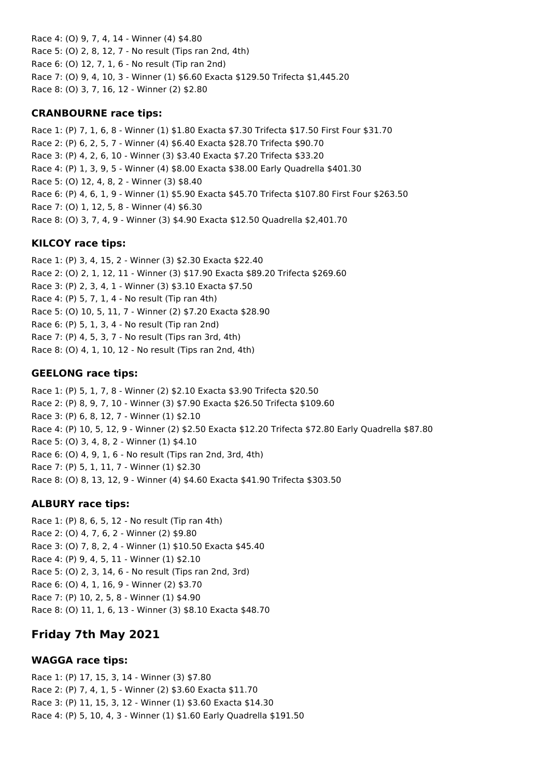Race 4: (O) 9, 7, 4, 14 - Winner (4) \$4.80 Race 5: (O) 2, 8, 12, 7 - No result (Tips ran 2nd, 4th) Race 6: (O) 12, 7, 1, 6 - No result (Tip ran 2nd) Race 7: (O) 9, 4, 10, 3 - Winner (1) \$6.60 Exacta \$129.50 Trifecta \$1,445.20 Race 8: (O) 3, 7, 16, 12 - Winner (2) \$2.80

#### **CRANBOURNE race tips:**

Race 1: (P) 7, 1, 6, 8 - Winner (1) \$1.80 Exacta \$7.30 Trifecta \$17.50 First Four \$31.70 Race 2: (P) 6, 2, 5, 7 - Winner (4) \$6.40 Exacta \$28.70 Trifecta \$90.70 Race 3: (P) 4, 2, 6, 10 - Winner (3) \$3.40 Exacta \$7.20 Trifecta \$33.20 Race 4: (P) 1, 3, 9, 5 - Winner (4) \$8.00 Exacta \$38.00 Early Quadrella \$401.30 Race 5: (O) 12, 4, 8, 2 - Winner (3) \$8.40 Race 6: (P) 4, 6, 1, 9 - Winner (1) \$5.90 Exacta \$45.70 Trifecta \$107.80 First Four \$263.50 Race 7: (O) 1, 12, 5, 8 - Winner (4) \$6.30 Race 8: (O) 3, 7, 4, 9 - Winner (3) \$4.90 Exacta \$12.50 Quadrella \$2,401.70

### **KILCOY race tips:**

Race 1: (P) 3, 4, 15, 2 - Winner (3) \$2.30 Exacta \$22.40 Race 2: (O) 2, 1, 12, 11 - Winner (3) \$17.90 Exacta \$89.20 Trifecta \$269.60 Race 3: (P) 2, 3, 4, 1 - Winner (3) \$3.10 Exacta \$7.50 Race 4: (P) 5, 7, 1, 4 - No result (Tip ran 4th) Race 5: (O) 10, 5, 11, 7 - Winner (2) \$7.20 Exacta \$28.90 Race 6: (P) 5, 1, 3, 4 - No result (Tip ran 2nd) Race 7: (P) 4, 5, 3, 7 - No result (Tips ran 3rd, 4th) Race 8: (O) 4, 1, 10, 12 - No result (Tips ran 2nd, 4th)

#### **GEELONG race tips:**

Race 1: (P) 5, 1, 7, 8 - Winner (2) \$2.10 Exacta \$3.90 Trifecta \$20.50 Race 2: (P) 8, 9, 7, 10 - Winner (3) \$7.90 Exacta \$26.50 Trifecta \$109.60 Race 3: (P) 6, 8, 12, 7 - Winner (1) \$2.10 Race 4: (P) 10, 5, 12, 9 - Winner (2) \$2.50 Exacta \$12.20 Trifecta \$72.80 Early Quadrella \$87.80 Race 5: (O) 3, 4, 8, 2 - Winner (1) \$4.10 Race 6: (O) 4, 9, 1, 6 - No result (Tips ran 2nd, 3rd, 4th) Race 7: (P) 5, 1, 11, 7 - Winner (1) \$2.30 Race 8: (O) 8, 13, 12, 9 - Winner (4) \$4.60 Exacta \$41.90 Trifecta \$303.50

### **ALBURY race tips:**

Race 1: (P) 8, 6, 5, 12 - No result (Tip ran 4th) Race 2: (O) 4, 7, 6, 2 - Winner (2) \$9.80 Race 3: (O) 7, 8, 2, 4 - Winner (1) \$10.50 Exacta \$45.40 Race 4: (P) 9, 4, 5, 11 - Winner (1) \$2.10 Race 5: (O) 2, 3, 14, 6 - No result (Tips ran 2nd, 3rd) Race 6: (O) 4, 1, 16, 9 - Winner (2) \$3.70 Race 7: (P) 10, 2, 5, 8 - Winner (1) \$4.90 Race 8: (O) 11, 1, 6, 13 - Winner (3) \$8.10 Exacta \$48.70

# **Friday 7th May 2021**

### **WAGGA race tips:**

Race 1: (P) 17, 15, 3, 14 - Winner (3) \$7.80 Race 2: (P) 7, 4, 1, 5 - Winner (2) \$3.60 Exacta \$11.70 Race 3: (P) 11, 15, 3, 12 - Winner (1) \$3.60 Exacta \$14.30 Race 4: (P) 5, 10, 4, 3 - Winner (1) \$1.60 Early Quadrella \$191.50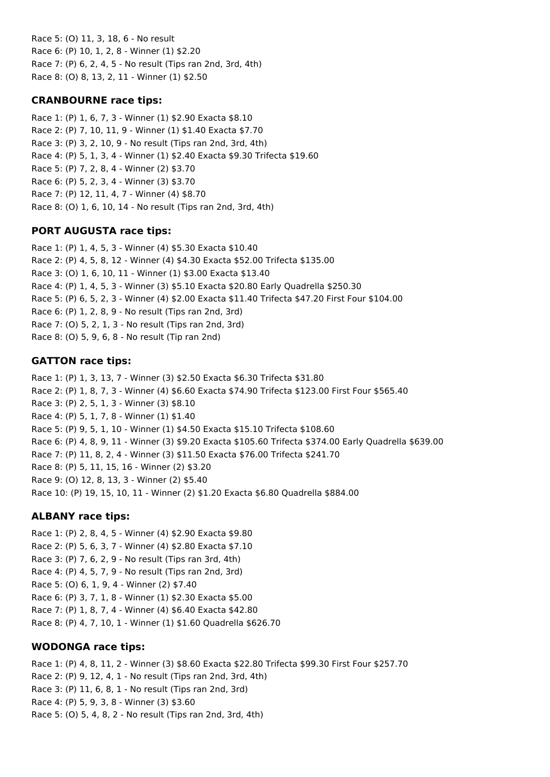Race 5: (O) 11, 3, 18, 6 - No result Race 6: (P) 10, 1, 2, 8 - Winner (1) \$2.20 Race 7: (P) 6, 2, 4, 5 - No result (Tips ran 2nd, 3rd, 4th) Race 8: (O) 8, 13, 2, 11 - Winner (1) \$2.50

### **CRANBOURNE race tips:**

Race 1: (P) 1, 6, 7, 3 - Winner (1) \$2.90 Exacta \$8.10 Race 2: (P) 7, 10, 11, 9 - Winner (1) \$1.40 Exacta \$7.70 Race 3: (P) 3, 2, 10, 9 - No result (Tips ran 2nd, 3rd, 4th) Race 4: (P) 5, 1, 3, 4 - Winner (1) \$2.40 Exacta \$9.30 Trifecta \$19.60 Race 5: (P) 7, 2, 8, 4 - Winner (2) \$3.70 Race 6: (P) 5, 2, 3, 4 - Winner (3) \$3.70 Race 7: (P) 12, 11, 4, 7 - Winner (4) \$8.70 Race 8: (O) 1, 6, 10, 14 - No result (Tips ran 2nd, 3rd, 4th)

## **PORT AUGUSTA race tips:**

Race 1: (P) 1, 4, 5, 3 - Winner (4) \$5.30 Exacta \$10.40 Race 2: (P) 4, 5, 8, 12 - Winner (4) \$4.30 Exacta \$52.00 Trifecta \$135.00 Race 3: (O) 1, 6, 10, 11 - Winner (1) \$3.00 Exacta \$13.40 Race 4: (P) 1, 4, 5, 3 - Winner (3) \$5.10 Exacta \$20.80 Early Quadrella \$250.30 Race 5: (P) 6, 5, 2, 3 - Winner (4) \$2.00 Exacta \$11.40 Trifecta \$47.20 First Four \$104.00 Race 6: (P) 1, 2, 8, 9 - No result (Tips ran 2nd, 3rd) Race 7: (O) 5, 2, 1, 3 - No result (Tips ran 2nd, 3rd) Race 8: (O) 5, 9, 6, 8 - No result (Tip ran 2nd)

### **GATTON race tips:**

Race 1: (P) 1, 3, 13, 7 - Winner (3) \$2.50 Exacta \$6.30 Trifecta \$31.80 Race 2: (P) 1, 8, 7, 3 - Winner (4) \$6.60 Exacta \$74.90 Trifecta \$123.00 First Four \$565.40 Race 3: (P) 2, 5, 1, 3 - Winner (3) \$8.10 Race 4: (P) 5, 1, 7, 8 - Winner (1) \$1.40 Race 5: (P) 9, 5, 1, 10 - Winner (1) \$4.50 Exacta \$15.10 Trifecta \$108.60 Race 6: (P) 4, 8, 9, 11 - Winner (3) \$9.20 Exacta \$105.60 Trifecta \$374.00 Early Quadrella \$639.00 Race 7: (P) 11, 8, 2, 4 - Winner (3) \$11.50 Exacta \$76.00 Trifecta \$241.70 Race 8: (P) 5, 11, 15, 16 - Winner (2) \$3.20 Race 9: (O) 12, 8, 13, 3 - Winner (2) \$5.40 Race 10: (P) 19, 15, 10, 11 - Winner (2) \$1.20 Exacta \$6.80 Quadrella \$884.00

### **ALBANY race tips:**

Race 1: (P) 2, 8, 4, 5 - Winner (4) \$2.90 Exacta \$9.80 Race 2: (P) 5, 6, 3, 7 - Winner (4) \$2.80 Exacta \$7.10 Race 3: (P) 7, 6, 2, 9 - No result (Tips ran 3rd, 4th) Race 4: (P) 4, 5, 7, 9 - No result (Tips ran 2nd, 3rd) Race 5: (O) 6, 1, 9, 4 - Winner (2) \$7.40 Race 6: (P) 3, 7, 1, 8 - Winner (1) \$2.30 Exacta \$5.00 Race 7: (P) 1, 8, 7, 4 - Winner (4) \$6.40 Exacta \$42.80 Race 8: (P) 4, 7, 10, 1 - Winner (1) \$1.60 Quadrella \$626.70

### **WODONGA race tips:**

Race 1: (P) 4, 8, 11, 2 - Winner (3) \$8.60 Exacta \$22.80 Trifecta \$99.30 First Four \$257.70 Race 2: (P) 9, 12, 4, 1 - No result (Tips ran 2nd, 3rd, 4th) Race 3: (P) 11, 6, 8, 1 - No result (Tips ran 2nd, 3rd) Race 4: (P) 5, 9, 3, 8 - Winner (3) \$3.60 Race 5: (O) 5, 4, 8, 2 - No result (Tips ran 2nd, 3rd, 4th)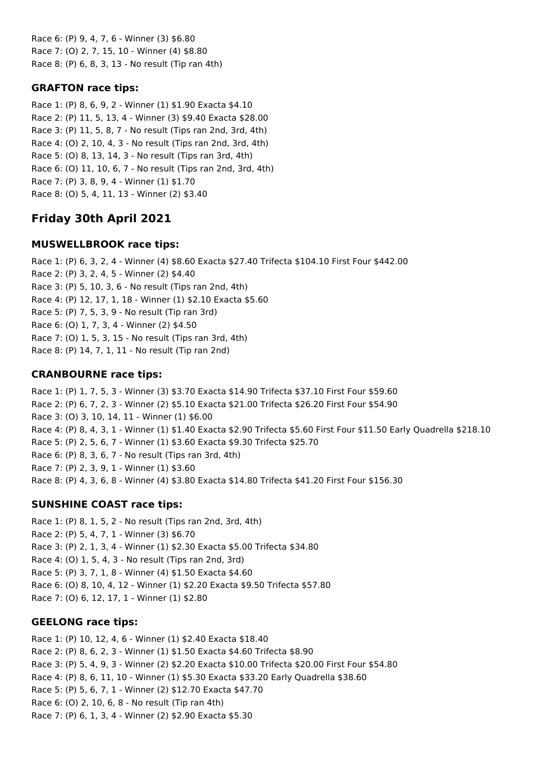Race 6: (P) 9, 4, 7, 6 - Winner (3) \$6.80 Race 7: (O) 2, 7, 15, 10 - Winner (4) \$8.80 Race 8: (P) 6, 8, 3, 13 - No result (Tip ran 4th)

### **GRAFTON race tips:**

Race 1: (P) 8, 6, 9, 2 - Winner (1) \$1.90 Exacta \$4.10 Race 2: (P) 11, 5, 13, 4 - Winner (3) \$9.40 Exacta \$28.00 Race 3: (P) 11, 5, 8, 7 - No result (Tips ran 2nd, 3rd, 4th) Race 4: (O) 2, 10, 4, 3 - No result (Tips ran 2nd, 3rd, 4th) Race 5: (O) 8, 13, 14, 3 - No result (Tips ran 3rd, 4th) Race 6: (O) 11, 10, 6, 7 - No result (Tips ran 2nd, 3rd, 4th) Race 7: (P) 3, 8, 9, 4 - Winner (1) \$1.70 Race 8: (O) 5, 4, 11, 13 - Winner (2) \$3.40

# **Friday 30th April 2021**

## **MUSWELLBROOK race tips:**

Race 1: (P) 6, 3, 2, 4 - Winner (4) \$8.60 Exacta \$27.40 Trifecta \$104.10 First Four \$442.00 Race 2: (P) 3, 2, 4, 5 - Winner (2) \$4.40 Race 3: (P) 5, 10, 3, 6 - No result (Tips ran 2nd, 4th) Race 4: (P) 12, 17, 1, 18 - Winner (1) \$2.10 Exacta \$5.60 Race 5: (P) 7, 5, 3, 9 - No result (Tip ran 3rd) Race 6: (O) 1, 7, 3, 4 - Winner (2) \$4.50 Race 7: (O) 1, 5, 3, 15 - No result (Tips ran 3rd, 4th) Race 8: (P) 14, 7, 1, 11 - No result (Tip ran 2nd)

## **CRANBOURNE race tips:**

Race 1: (P) 1, 7, 5, 3 - Winner (3) \$3.70 Exacta \$14.90 Trifecta \$37.10 First Four \$59.60 Race 2: (P) 6, 7, 2, 3 - Winner (2) \$5.10 Exacta \$21.00 Trifecta \$26.20 First Four \$54.90 Race 3: (O) 3, 10, 14, 11 - Winner (1) \$6.00 Race 4: (P) 8, 4, 3, 1 - Winner (1) \$1.40 Exacta \$2.90 Trifecta \$5.60 First Four \$11.50 Early Quadrella \$218.10 Race 5: (P) 2, 5, 6, 7 - Winner (1) \$3.60 Exacta \$9.30 Trifecta \$25.70 Race 6: (P) 8, 3, 6, 7 - No result (Tips ran 3rd, 4th) Race 7: (P) 2, 3, 9, 1 - Winner (1) \$3.60 Race 8: (P) 4, 3, 6, 8 - Winner (4) \$3.80 Exacta \$14.80 Trifecta \$41.20 First Four \$156.30

## **SUNSHINE COAST race tips:**

Race 1: (P) 8, 1, 5, 2 - No result (Tips ran 2nd, 3rd, 4th) Race 2: (P) 5, 4, 7, 1 - Winner (3) \$6.70 Race 3: (P) 2, 1, 3, 4 - Winner (1) \$2.30 Exacta \$5.00 Trifecta \$34.80 Race 4: (O) 1, 5, 4, 3 - No result (Tips ran 2nd, 3rd) Race 5: (P) 3, 7, 1, 8 - Winner (4) \$1.50 Exacta \$4.60 Race 6: (O) 8, 10, 4, 12 - Winner (1) \$2.20 Exacta \$9.50 Trifecta \$57.80 Race 7: (O) 6, 12, 17, 1 - Winner (1) \$2.80

## **GEELONG race tips:**

Race 1: (P) 10, 12, 4, 6 - Winner (1) \$2.40 Exacta \$18.40 Race 2: (P) 8, 6, 2, 3 - Winner (1) \$1.50 Exacta \$4.60 Trifecta \$8.90 Race 3: (P) 5, 4, 9, 3 - Winner (2) \$2.20 Exacta \$10.00 Trifecta \$20.00 First Four \$54.80 Race 4: (P) 8, 6, 11, 10 - Winner (1) \$5.30 Exacta \$33.20 Early Quadrella \$38.60 Race 5: (P) 5, 6, 7, 1 - Winner (2) \$12.70 Exacta \$47.70 Race 6: (O) 2, 10, 6, 8 - No result (Tip ran 4th) Race 7: (P) 6, 1, 3, 4 - Winner (2) \$2.90 Exacta \$5.30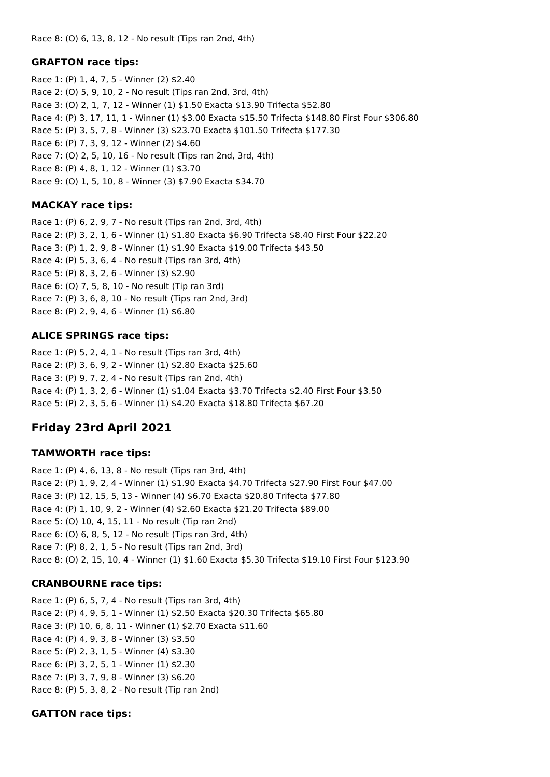Race 8: (O) 6, 13, 8, 12 - No result (Tips ran 2nd, 4th)

### **GRAFTON race tips:**

Race 1: (P) 1, 4, 7, 5 - Winner (2) \$2.40 Race 2: (O) 5, 9, 10, 2 - No result (Tips ran 2nd, 3rd, 4th) Race 3: (O) 2, 1, 7, 12 - Winner (1) \$1.50 Exacta \$13.90 Trifecta \$52.80 Race 4: (P) 3, 17, 11, 1 - Winner (1) \$3.00 Exacta \$15.50 Trifecta \$148.80 First Four \$306.80 Race 5: (P) 3, 5, 7, 8 - Winner (3) \$23.70 Exacta \$101.50 Trifecta \$177.30 Race 6: (P) 7, 3, 9, 12 - Winner (2) \$4.60 Race 7: (O) 2, 5, 10, 16 - No result (Tips ran 2nd, 3rd, 4th) Race 8: (P) 4, 8, 1, 12 - Winner (1) \$3.70 Race 9: (O) 1, 5, 10, 8 - Winner (3) \$7.90 Exacta \$34.70

## **MACKAY race tips:**

Race 1: (P) 6, 2, 9, 7 - No result (Tips ran 2nd, 3rd, 4th) Race 2: (P) 3, 2, 1, 6 - Winner (1) \$1.80 Exacta \$6.90 Trifecta \$8.40 First Four \$22.20 Race 3: (P) 1, 2, 9, 8 - Winner (1) \$1.90 Exacta \$19.00 Trifecta \$43.50 Race 4: (P) 5, 3, 6, 4 - No result (Tips ran 3rd, 4th) Race 5: (P) 8, 3, 2, 6 - Winner (3) \$2.90 Race 6: (O) 7, 5, 8, 10 - No result (Tip ran 3rd) Race 7: (P) 3, 6, 8, 10 - No result (Tips ran 2nd, 3rd) Race 8: (P) 2, 9, 4, 6 - Winner (1) \$6.80

### **ALICE SPRINGS race tips:**

Race 1: (P) 5, 2, 4, 1 - No result (Tips ran 3rd, 4th) Race 2: (P) 3, 6, 9, 2 - Winner (1) \$2.80 Exacta \$25.60 Race 3: (P) 9, 7, 2, 4 - No result (Tips ran 2nd, 4th) Race 4: (P) 1, 3, 2, 6 - Winner (1) \$1.04 Exacta \$3.70 Trifecta \$2.40 First Four \$3.50 Race 5: (P) 2, 3, 5, 6 - Winner (1) \$4.20 Exacta \$18.80 Trifecta \$67.20

# **Friday 23rd April 2021**

### **TAMWORTH race tips:**

Race 1: (P) 4, 6, 13, 8 - No result (Tips ran 3rd, 4th) Race 2: (P) 1, 9, 2, 4 - Winner (1) \$1.90 Exacta \$4.70 Trifecta \$27.90 First Four \$47.00 Race 3: (P) 12, 15, 5, 13 - Winner (4) \$6.70 Exacta \$20.80 Trifecta \$77.80 Race 4: (P) 1, 10, 9, 2 - Winner (4) \$2.60 Exacta \$21.20 Trifecta \$89.00 Race 5: (O) 10, 4, 15, 11 - No result (Tip ran 2nd) Race 6: (O) 6, 8, 5, 12 - No result (Tips ran 3rd, 4th) Race 7: (P) 8, 2, 1, 5 - No result (Tips ran 2nd, 3rd) Race 8: (O) 2, 15, 10, 4 - Winner (1) \$1.60 Exacta \$5.30 Trifecta \$19.10 First Four \$123.90

## **CRANBOURNE race tips:**

Race 1: (P) 6, 5, 7, 4 - No result (Tips ran 3rd, 4th) Race 2: (P) 4, 9, 5, 1 - Winner (1) \$2.50 Exacta \$20.30 Trifecta \$65.80 Race 3: (P) 10, 6, 8, 11 - Winner (1) \$2.70 Exacta \$11.60 Race 4: (P) 4, 9, 3, 8 - Winner (3) \$3.50 Race 5: (P) 2, 3, 1, 5 - Winner (4) \$3.30 Race 6: (P) 3, 2, 5, 1 - Winner (1) \$2.30 Race 7: (P) 3, 7, 9, 8 - Winner (3) \$6.20 Race 8: (P) 5, 3, 8, 2 - No result (Tip ran 2nd)

### **GATTON race tips:**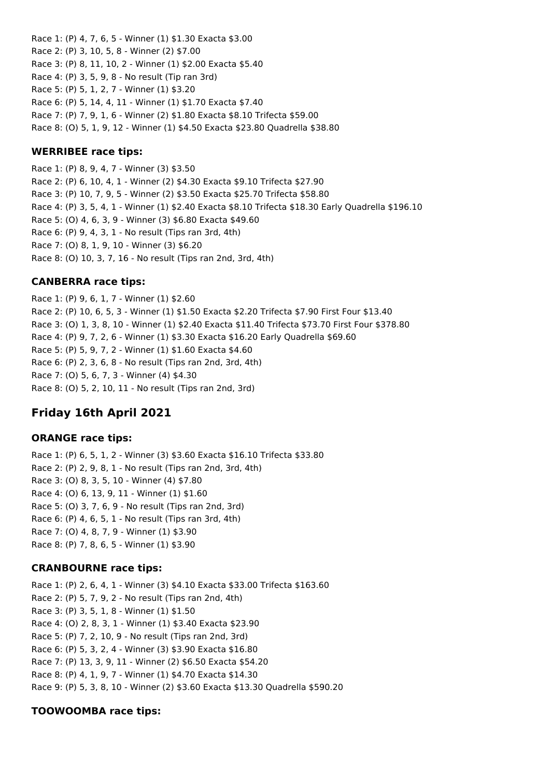Race 1: (P) 4, 7, 6, 5 - Winner (1) \$1.30 Exacta \$3.00 Race 2: (P) 3, 10, 5, 8 - Winner (2) \$7.00 Race 3: (P) 8, 11, 10, 2 - Winner (1) \$2.00 Exacta \$5.40 Race 4: (P) 3, 5, 9, 8 - No result (Tip ran 3rd) Race 5: (P) 5, 1, 2, 7 - Winner (1) \$3.20 Race 6: (P) 5, 14, 4, 11 - Winner (1) \$1.70 Exacta \$7.40 Race 7: (P) 7, 9, 1, 6 - Winner (2) \$1.80 Exacta \$8.10 Trifecta \$59.00 Race 8: (O) 5, 1, 9, 12 - Winner (1) \$4.50 Exacta \$23.80 Quadrella \$38.80

### **WERRIBEE race tips:**

Race 1: (P) 8, 9, 4, 7 - Winner (3) \$3.50 Race 2: (P) 6, 10, 4, 1 - Winner (2) \$4.30 Exacta \$9.10 Trifecta \$27.90 Race 3: (P) 10, 7, 9, 5 - Winner (2) \$3.50 Exacta \$25.70 Trifecta \$58.80 Race 4: (P) 3, 5, 4, 1 - Winner (1) \$2.40 Exacta \$8.10 Trifecta \$18.30 Early Quadrella \$196.10 Race 5: (O) 4, 6, 3, 9 - Winner (3) \$6.80 Exacta \$49.60 Race 6: (P) 9, 4, 3, 1 - No result (Tips ran 3rd, 4th) Race 7: (O) 8, 1, 9, 10 - Winner (3) \$6.20 Race 8: (O) 10, 3, 7, 16 - No result (Tips ran 2nd, 3rd, 4th)

### **CANBERRA race tips:**

Race 1: (P) 9, 6, 1, 7 - Winner (1) \$2.60 Race 2: (P) 10, 6, 5, 3 - Winner (1) \$1.50 Exacta \$2.20 Trifecta \$7.90 First Four \$13.40 Race 3: (O) 1, 3, 8, 10 - Winner (1) \$2.40 Exacta \$11.40 Trifecta \$73.70 First Four \$378.80 Race 4: (P) 9, 7, 2, 6 - Winner (1) \$3.30 Exacta \$16.20 Early Quadrella \$69.60 Race 5: (P) 5, 9, 7, 2 - Winner (1) \$1.60 Exacta \$4.60 Race 6: (P) 2, 3, 6, 8 - No result (Tips ran 2nd, 3rd, 4th) Race 7: (O) 5, 6, 7, 3 - Winner (4) \$4.30 Race 8: (O) 5, 2, 10, 11 - No result (Tips ran 2nd, 3rd)

# **Friday 16th April 2021**

### **ORANGE race tips:**

Race 1: (P) 6, 5, 1, 2 - Winner (3) \$3.60 Exacta \$16.10 Trifecta \$33.80 Race 2: (P) 2, 9, 8, 1 - No result (Tips ran 2nd, 3rd, 4th) Race 3: (O) 8, 3, 5, 10 - Winner (4) \$7.80 Race 4: (O) 6, 13, 9, 11 - Winner (1) \$1.60 Race 5: (O) 3, 7, 6, 9 - No result (Tips ran 2nd, 3rd) Race 6: (P) 4, 6, 5, 1 - No result (Tips ran 3rd, 4th) Race 7: (O) 4, 8, 7, 9 - Winner (1) \$3.90 Race 8: (P) 7, 8, 6, 5 - Winner (1) \$3.90

### **CRANBOURNE race tips:**

Race 1: (P) 2, 6, 4, 1 - Winner (3) \$4.10 Exacta \$33.00 Trifecta \$163.60 Race 2: (P) 5, 7, 9, 2 - No result (Tips ran 2nd, 4th) Race 3: (P) 3, 5, 1, 8 - Winner (1) \$1.50 Race 4: (O) 2, 8, 3, 1 - Winner (1) \$3.40 Exacta \$23.90 Race 5: (P) 7, 2, 10, 9 - No result (Tips ran 2nd, 3rd) Race 6: (P) 5, 3, 2, 4 - Winner (3) \$3.90 Exacta \$16.80 Race 7: (P) 13, 3, 9, 11 - Winner (2) \$6.50 Exacta \$54.20 Race 8: (P) 4, 1, 9, 7 - Winner (1) \$4.70 Exacta \$14.30 Race 9: (P) 5, 3, 8, 10 - Winner (2) \$3.60 Exacta \$13.30 Quadrella \$590.20

## **TOOWOOMBA race tips:**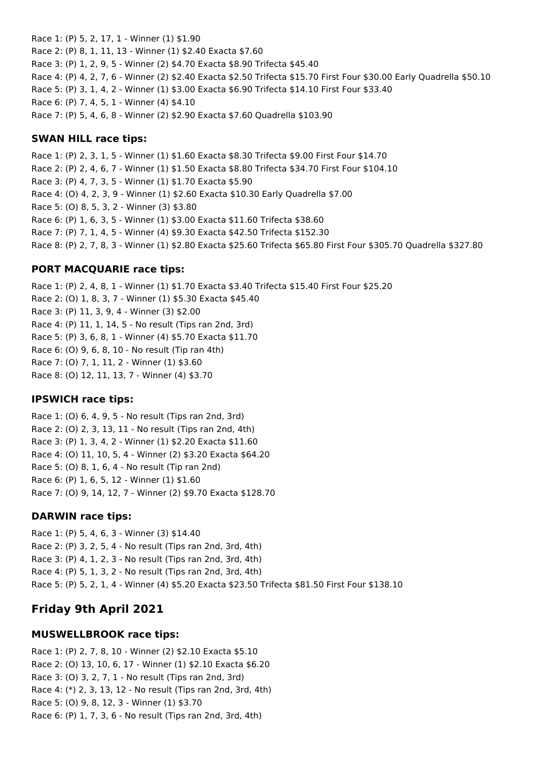Race 1: (P) 5, 2, 17, 1 - Winner (1) \$1.90 Race 2: (P) 8, 1, 11, 13 - Winner (1) \$2.40 Exacta \$7.60 Race 3: (P) 1, 2, 9, 5 - Winner (2) \$4.70 Exacta \$8.90 Trifecta \$45.40 Race 4: (P) 4, 2, 7, 6 - Winner (2) \$2.40 Exacta \$2.50 Trifecta \$15.70 First Four \$30.00 Early Quadrella \$50.10 Race 5: (P) 3, 1, 4, 2 - Winner (1) \$3.00 Exacta \$6.90 Trifecta \$14.10 First Four \$33.40 Race 6: (P) 7, 4, 5, 1 - Winner (4) \$4.10 Race 7: (P) 5, 4, 6, 8 - Winner (2) \$2.90 Exacta \$7.60 Quadrella \$103.90

#### **SWAN HILL race tips:**

Race 1: (P) 2, 3, 1, 5 - Winner (1) \$1.60 Exacta \$8.30 Trifecta \$9.00 First Four \$14.70 Race 2: (P) 2, 4, 6, 7 - Winner (1) \$1.50 Exacta \$8.80 Trifecta \$34.70 First Four \$104.10 Race 3: (P) 4, 7, 3, 5 - Winner (1) \$1.70 Exacta \$5.90 Race 4: (O) 4, 2, 3, 9 - Winner (1) \$2.60 Exacta \$10.30 Early Quadrella \$7.00 Race 5: (O) 8, 5, 3, 2 - Winner (3) \$3.80 Race 6: (P) 1, 6, 3, 5 - Winner (1) \$3.00 Exacta \$11.60 Trifecta \$38.60 Race 7: (P) 7, 1, 4, 5 - Winner (4) \$9.30 Exacta \$42.50 Trifecta \$152.30 Race 8: (P) 2, 7, 8, 3 - Winner (1) \$2.80 Exacta \$25.60 Trifecta \$65.80 First Four \$305.70 Quadrella \$327.80

### **PORT MACQUARIE race tips:**

Race 1: (P) 2, 4, 8, 1 - Winner (1) \$1.70 Exacta \$3.40 Trifecta \$15.40 First Four \$25.20 Race 2: (O) 1, 8, 3, 7 - Winner (1) \$5.30 Exacta \$45.40 Race 3: (P) 11, 3, 9, 4 - Winner (3) \$2.00 Race 4: (P) 11, 1, 14, 5 - No result (Tips ran 2nd, 3rd) Race 5: (P) 3, 6, 8, 1 - Winner (4) \$5.70 Exacta \$11.70 Race 6: (O) 9, 6, 8, 10 - No result (Tip ran 4th) Race 7: (O) 7, 1, 11, 2 - Winner (1) \$3.60 Race 8: (O) 12, 11, 13, 7 - Winner (4) \$3.70

### **IPSWICH race tips:**

Race 1: (O) 6, 4, 9, 5 - No result (Tips ran 2nd, 3rd) Race 2: (O) 2, 3, 13, 11 - No result (Tips ran 2nd, 4th) Race 3: (P) 1, 3, 4, 2 - Winner (1) \$2.20 Exacta \$11.60 Race 4: (O) 11, 10, 5, 4 - Winner (2) \$3.20 Exacta \$64.20 Race 5: (O) 8, 1, 6, 4 - No result (Tip ran 2nd) Race 6: (P) 1, 6, 5, 12 - Winner (1) \$1.60 Race 7: (O) 9, 14, 12, 7 - Winner (2) \$9.70 Exacta \$128.70

### **DARWIN race tips:**

Race 1: (P) 5, 4, 6, 3 - Winner (3) \$14.40 Race 2: (P) 3, 2, 5, 4 - No result (Tips ran 2nd, 3rd, 4th) Race 3: (P) 4, 1, 2, 3 - No result (Tips ran 2nd, 3rd, 4th) Race 4: (P) 5, 1, 3, 2 - No result (Tips ran 2nd, 3rd, 4th) Race 5: (P) 5, 2, 1, 4 - Winner (4) \$5.20 Exacta \$23.50 Trifecta \$81.50 First Four \$138.10

# **Friday 9th April 2021**

### **MUSWELLBROOK race tips:**

Race 1: (P) 2, 7, 8, 10 - Winner (2) \$2.10 Exacta \$5.10 Race 2: (O) 13, 10, 6, 17 - Winner (1) \$2.10 Exacta \$6.20 Race 3: (O) 3, 2, 7, 1 - No result (Tips ran 2nd, 3rd) Race 4: (\*) 2, 3, 13, 12 - No result (Tips ran 2nd, 3rd, 4th) Race 5: (O) 9, 8, 12, 3 - Winner (1) \$3.70 Race 6: (P) 1, 7, 3, 6 - No result (Tips ran 2nd, 3rd, 4th)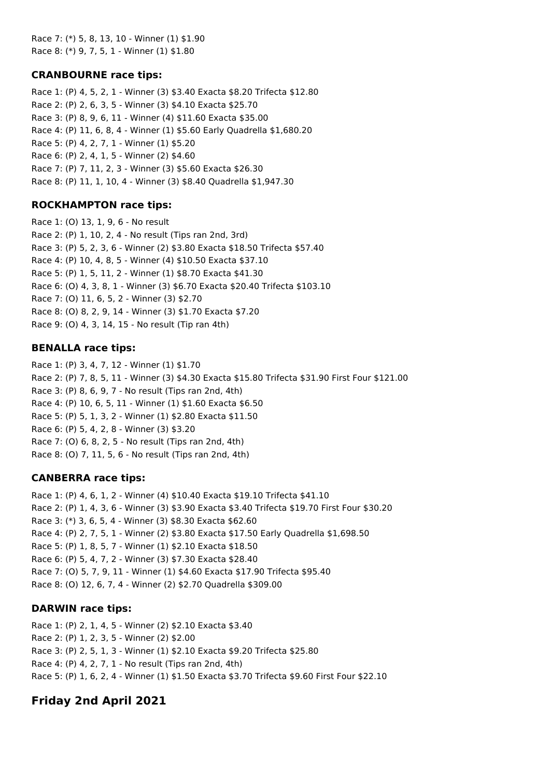Race 7: (\*) 5, 8, 13, 10 - Winner (1) \$1.90 Race 8: (\*) 9, 7, 5, 1 - Winner (1) \$1.80

#### **CRANBOURNE race tips:**

Race 1: (P) 4, 5, 2, 1 - Winner (3) \$3.40 Exacta \$8.20 Trifecta \$12.80 Race 2: (P) 2, 6, 3, 5 - Winner (3) \$4.10 Exacta \$25.70 Race 3: (P) 8, 9, 6, 11 - Winner (4) \$11.60 Exacta \$35.00 Race 4: (P) 11, 6, 8, 4 - Winner (1) \$5.60 Early Quadrella \$1,680.20 Race 5: (P) 4, 2, 7, 1 - Winner (1) \$5.20 Race 6: (P) 2, 4, 1, 5 - Winner (2) \$4.60 Race 7: (P) 7, 11, 2, 3 - Winner (3) \$5.60 Exacta \$26.30 Race 8: (P) 11, 1, 10, 4 - Winner (3) \$8.40 Quadrella \$1,947.30

### **ROCKHAMPTON race tips:**

Race 1: (O) 13, 1, 9, 6 - No result Race 2: (P) 1, 10, 2, 4 - No result (Tips ran 2nd, 3rd) Race 3: (P) 5, 2, 3, 6 - Winner (2) \$3.80 Exacta \$18.50 Trifecta \$57.40 Race 4: (P) 10, 4, 8, 5 - Winner (4) \$10.50 Exacta \$37.10 Race 5: (P) 1, 5, 11, 2 - Winner (1) \$8.70 Exacta \$41.30 Race 6: (O) 4, 3, 8, 1 - Winner (3) \$6.70 Exacta \$20.40 Trifecta \$103.10 Race 7: (O) 11, 6, 5, 2 - Winner (3) \$2.70 Race 8: (O) 8, 2, 9, 14 - Winner (3) \$1.70 Exacta \$7.20 Race 9: (O) 4, 3, 14, 15 - No result (Tip ran 4th)

#### **BENALLA race tips:**

Race 1: (P) 3, 4, 7, 12 - Winner (1) \$1.70 Race 2: (P) 7, 8, 5, 11 - Winner (3) \$4.30 Exacta \$15.80 Trifecta \$31.90 First Four \$121.00 Race 3: (P) 8, 6, 9, 7 - No result (Tips ran 2nd, 4th) Race 4: (P) 10, 6, 5, 11 - Winner (1) \$1.60 Exacta \$6.50 Race 5: (P) 5, 1, 3, 2 - Winner (1) \$2.80 Exacta \$11.50 Race 6: (P) 5, 4, 2, 8 - Winner (3) \$3.20 Race 7: (O) 6, 8, 2, 5 - No result (Tips ran 2nd, 4th) Race 8: (O) 7, 11, 5, 6 - No result (Tips ran 2nd, 4th)

### **CANBERRA race tips:**

Race 1: (P) 4, 6, 1, 2 - Winner (4) \$10.40 Exacta \$19.10 Trifecta \$41.10 Race 2: (P) 1, 4, 3, 6 - Winner (3) \$3.90 Exacta \$3.40 Trifecta \$19.70 First Four \$30.20 Race 3: (\*) 3, 6, 5, 4 - Winner (3) \$8.30 Exacta \$62.60 Race 4: (P) 2, 7, 5, 1 - Winner (2) \$3.80 Exacta \$17.50 Early Quadrella \$1,698.50 Race 5: (P) 1, 8, 5, 7 - Winner (1) \$2.10 Exacta \$18.50 Race 6: (P) 5, 4, 7, 2 - Winner (3) \$7.30 Exacta \$28.40 Race 7: (O) 5, 7, 9, 11 - Winner (1) \$4.60 Exacta \$17.90 Trifecta \$95.40 Race 8: (O) 12, 6, 7, 4 - Winner (2) \$2.70 Quadrella \$309.00

### **DARWIN race tips:**

Race 1: (P) 2, 1, 4, 5 - Winner (2) \$2.10 Exacta \$3.40 Race 2: (P) 1, 2, 3, 5 - Winner (2) \$2.00 Race 3: (P) 2, 5, 1, 3 - Winner (1) \$2.10 Exacta \$9.20 Trifecta \$25.80 Race 4: (P) 4, 2, 7, 1 - No result (Tips ran 2nd, 4th) Race 5: (P) 1, 6, 2, 4 - Winner (1) \$1.50 Exacta \$3.70 Trifecta \$9.60 First Four \$22.10

## **Friday 2nd April 2021**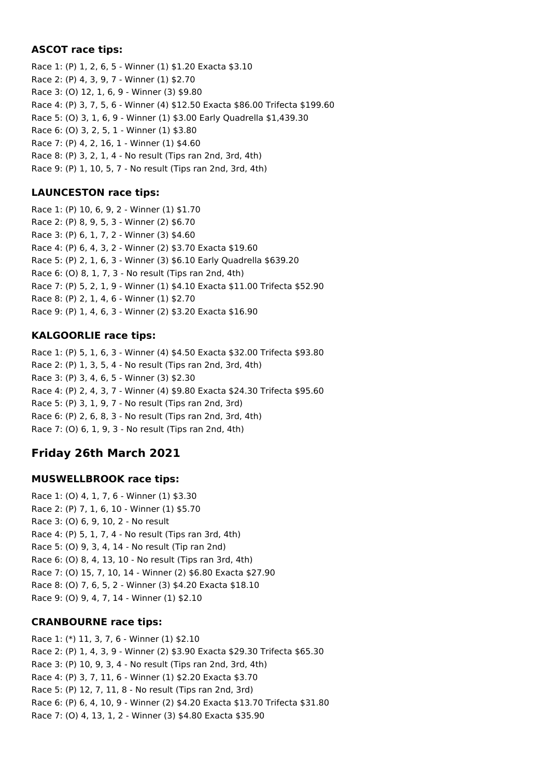### **ASCOT race tips:**

Race 1: (P) 1, 2, 6, 5 - Winner (1) \$1.20 Exacta \$3.10 Race 2: (P) 4, 3, 9, 7 - Winner (1) \$2.70 Race 3: (O) 12, 1, 6, 9 - Winner (3) \$9.80 Race 4: (P) 3, 7, 5, 6 - Winner (4) \$12.50 Exacta \$86.00 Trifecta \$199.60 Race 5: (O) 3, 1, 6, 9 - Winner (1) \$3.00 Early Quadrella \$1,439.30 Race 6: (O) 3, 2, 5, 1 - Winner (1) \$3.80 Race 7: (P) 4, 2, 16, 1 - Winner (1) \$4.60 Race 8: (P) 3, 2, 1, 4 - No result (Tips ran 2nd, 3rd, 4th) Race 9: (P) 1, 10, 5, 7 - No result (Tips ran 2nd, 3rd, 4th)

### **LAUNCESTON race tips:**

Race 1: (P) 10, 6, 9, 2 - Winner (1) \$1.70 Race 2: (P) 8, 9, 5, 3 - Winner (2) \$6.70 Race 3: (P) 6, 1, 7, 2 - Winner (3) \$4.60 Race 4: (P) 6, 4, 3, 2 - Winner (2) \$3.70 Exacta \$19.60 Race 5: (P) 2, 1, 6, 3 - Winner (3) \$6.10 Early Quadrella \$639.20 Race 6: (O) 8, 1, 7, 3 - No result (Tips ran 2nd, 4th) Race 7: (P) 5, 2, 1, 9 - Winner (1) \$4.10 Exacta \$11.00 Trifecta \$52.90 Race 8: (P) 2, 1, 4, 6 - Winner (1) \$2.70 Race 9: (P) 1, 4, 6, 3 - Winner (2) \$3.20 Exacta \$16.90

### **KALGOORLIE race tips:**

Race 1: (P) 5, 1, 6, 3 - Winner (4) \$4.50 Exacta \$32.00 Trifecta \$93.80 Race 2: (P) 1, 3, 5, 4 - No result (Tips ran 2nd, 3rd, 4th) Race 3: (P) 3, 4, 6, 5 - Winner (3) \$2.30 Race 4: (P) 2, 4, 3, 7 - Winner (4) \$9.80 Exacta \$24.30 Trifecta \$95.60 Race 5: (P) 3, 1, 9, 7 - No result (Tips ran 2nd, 3rd) Race 6: (P) 2, 6, 8, 3 - No result (Tips ran 2nd, 3rd, 4th) Race 7: (O) 6, 1, 9, 3 - No result (Tips ran 2nd, 4th)

# **Friday 26th March 2021**

### **MUSWELLBROOK race tips:**

Race 1: (O) 4, 1, 7, 6 - Winner (1) \$3.30 Race 2: (P) 7, 1, 6, 10 - Winner (1) \$5.70 Race 3: (O) 6, 9, 10, 2 - No result Race 4: (P) 5, 1, 7, 4 - No result (Tips ran 3rd, 4th) Race 5: (O) 9, 3, 4, 14 - No result (Tip ran 2nd) Race 6: (O) 8, 4, 13, 10 - No result (Tips ran 3rd, 4th) Race 7: (O) 15, 7, 10, 14 - Winner (2) \$6.80 Exacta \$27.90 Race 8: (O) 7, 6, 5, 2 - Winner (3) \$4.20 Exacta \$18.10 Race 9: (O) 9, 4, 7, 14 - Winner (1) \$2.10

## **CRANBOURNE race tips:**

Race 1: (\*) 11, 3, 7, 6 - Winner (1) \$2.10 Race 2: (P) 1, 4, 3, 9 - Winner (2) \$3.90 Exacta \$29.30 Trifecta \$65.30 Race 3: (P) 10, 9, 3, 4 - No result (Tips ran 2nd, 3rd, 4th) Race 4: (P) 3, 7, 11, 6 - Winner (1) \$2.20 Exacta \$3.70 Race 5: (P) 12, 7, 11, 8 - No result (Tips ran 2nd, 3rd) Race 6: (P) 6, 4, 10, 9 - Winner (2) \$4.20 Exacta \$13.70 Trifecta \$31.80 Race 7: (O) 4, 13, 1, 2 - Winner (3) \$4.80 Exacta \$35.90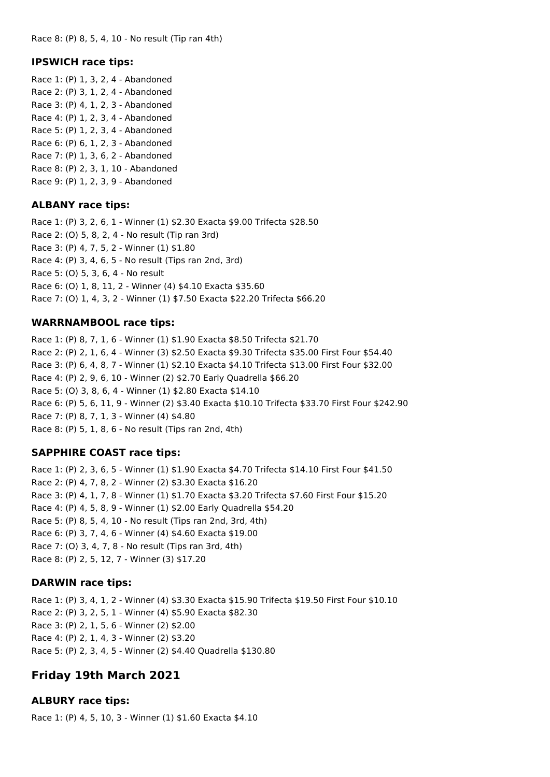#### **IPSWICH race tips:**

Race 1: (P) 1, 3, 2, 4 - Abandoned Race 2: (P) 3, 1, 2, 4 - Abandoned Race 3: (P) 4, 1, 2, 3 - Abandoned Race 4: (P) 1, 2, 3, 4 - Abandoned Race 5: (P) 1, 2, 3, 4 - Abandoned Race 6: (P) 6, 1, 2, 3 - Abandoned Race 7: (P) 1, 3, 6, 2 - Abandoned Race 8: (P) 2, 3, 1, 10 - Abandoned Race 9: (P) 1, 2, 3, 9 - Abandoned

#### **ALBANY race tips:**

Race 1: (P) 3, 2, 6, 1 - Winner (1) \$2.30 Exacta \$9.00 Trifecta \$28.50 Race 2: (O) 5, 8, 2, 4 - No result (Tip ran 3rd) Race 3: (P) 4, 7, 5, 2 - Winner (1) \$1.80 Race 4: (P) 3, 4, 6, 5 - No result (Tips ran 2nd, 3rd) Race 5: (O) 5, 3, 6, 4 - No result Race 6: (O) 1, 8, 11, 2 - Winner (4) \$4.10 Exacta \$35.60 Race 7: (O) 1, 4, 3, 2 - Winner (1) \$7.50 Exacta \$22.20 Trifecta \$66.20

#### **WARRNAMBOOL race tips:**

Race 1: (P) 8, 7, 1, 6 - Winner (1) \$1.90 Exacta \$8.50 Trifecta \$21.70 Race 2: (P) 2, 1, 6, 4 - Winner (3) \$2.50 Exacta \$9.30 Trifecta \$35.00 First Four \$54.40 Race 3: (P) 6, 4, 8, 7 - Winner (1) \$2.10 Exacta \$4.10 Trifecta \$13.00 First Four \$32.00 Race 4: (P) 2, 9, 6, 10 - Winner (2) \$2.70 Early Quadrella \$66.20 Race 5: (O) 3, 8, 6, 4 - Winner (1) \$2.80 Exacta \$14.10 Race 6: (P) 5, 6, 11, 9 - Winner (2) \$3.40 Exacta \$10.10 Trifecta \$33.70 First Four \$242.90 Race 7: (P) 8, 7, 1, 3 - Winner (4) \$4.80 Race 8: (P) 5, 1, 8, 6 - No result (Tips ran 2nd, 4th)

#### **SAPPHIRE COAST race tips:**

Race 1: (P) 2, 3, 6, 5 - Winner (1) \$1.90 Exacta \$4.70 Trifecta \$14.10 First Four \$41.50 Race 2: (P) 4, 7, 8, 2 - Winner (2) \$3.30 Exacta \$16.20 Race 3: (P) 4, 1, 7, 8 - Winner (1) \$1.70 Exacta \$3.20 Trifecta \$7.60 First Four \$15.20 Race 4: (P) 4, 5, 8, 9 - Winner (1) \$2.00 Early Quadrella \$54.20 Race 5: (P) 8, 5, 4, 10 - No result (Tips ran 2nd, 3rd, 4th) Race 6: (P) 3, 7, 4, 6 - Winner (4) \$4.60 Exacta \$19.00 Race 7: (O) 3, 4, 7, 8 - No result (Tips ran 3rd, 4th) Race 8: (P) 2, 5, 12, 7 - Winner (3) \$17.20

#### **DARWIN race tips:**

Race 1: (P) 3, 4, 1, 2 - Winner (4) \$3.30 Exacta \$15.90 Trifecta \$19.50 First Four \$10.10 Race 2: (P) 3, 2, 5, 1 - Winner (4) \$5.90 Exacta \$82.30 Race 3: (P) 2, 1, 5, 6 - Winner (2) \$2.00 Race 4: (P) 2, 1, 4, 3 - Winner (2) \$3.20 Race 5: (P) 2, 3, 4, 5 - Winner (2) \$4.40 Quadrella \$130.80

## **Friday 19th March 2021**

#### **ALBURY race tips:**

Race 1: (P) 4, 5, 10, 3 - Winner (1) \$1.60 Exacta \$4.10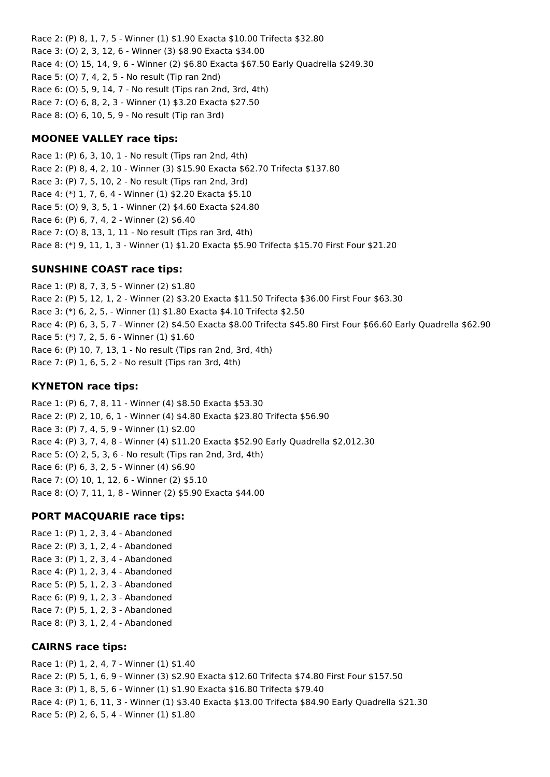Race 2: (P) 8, 1, 7, 5 - Winner (1) \$1.90 Exacta \$10.00 Trifecta \$32.80 Race 3: (O) 2, 3, 12, 6 - Winner (3) \$8.90 Exacta \$34.00 Race 4: (O) 15, 14, 9, 6 - Winner (2) \$6.80 Exacta \$67.50 Early Quadrella \$249.30 Race 5: (O) 7, 4, 2, 5 - No result (Tip ran 2nd) Race 6: (O) 5, 9, 14, 7 - No result (Tips ran 2nd, 3rd, 4th) Race 7: (O) 6, 8, 2, 3 - Winner (1) \$3.20 Exacta \$27.50 Race 8: (O) 6, 10, 5, 9 - No result (Tip ran 3rd)

### **MOONEE VALLEY race tips:**

Race 1: (P) 6, 3, 10, 1 - No result (Tips ran 2nd, 4th) Race 2: (P) 8, 4, 2, 10 - Winner (3) \$15.90 Exacta \$62.70 Trifecta \$137.80 Race 3: (P) 7, 5, 10, 2 - No result (Tips ran 2nd, 3rd) Race 4: (\*) 1, 7, 6, 4 - Winner (1) \$2.20 Exacta \$5.10 Race 5: (O) 9, 3, 5, 1 - Winner (2) \$4.60 Exacta \$24.80 Race 6: (P) 6, 7, 4, 2 - Winner (2) \$6.40 Race 7: (O) 8, 13, 1, 11 - No result (Tips ran 3rd, 4th) Race 8: (\*) 9, 11, 1, 3 - Winner (1) \$1.20 Exacta \$5.90 Trifecta \$15.70 First Four \$21.20

### **SUNSHINE COAST race tips:**

Race 1: (P) 8, 7, 3, 5 - Winner (2) \$1.80 Race 2: (P) 5, 12, 1, 2 - Winner (2) \$3.20 Exacta \$11.50 Trifecta \$36.00 First Four \$63.30 Race 3: (\*) 6, 2, 5, - Winner (1) \$1.80 Exacta \$4.10 Trifecta \$2.50 Race 4: (P) 6, 3, 5, 7 - Winner (2) \$4.50 Exacta \$8.00 Trifecta \$45.80 First Four \$66.60 Early Quadrella \$62.90 Race 5: (\*) 7, 2, 5, 6 - Winner (1) \$1.60 Race 6: (P) 10, 7, 13, 1 - No result (Tips ran 2nd, 3rd, 4th) Race 7: (P) 1, 6, 5, 2 - No result (Tips ran 3rd, 4th)

### **KYNETON race tips:**

Race 1: (P) 6, 7, 8, 11 - Winner (4) \$8.50 Exacta \$53.30 Race 2: (P) 2, 10, 6, 1 - Winner (4) \$4.80 Exacta \$23.80 Trifecta \$56.90 Race 3: (P) 7, 4, 5, 9 - Winner (1) \$2.00 Race 4: (P) 3, 7, 4, 8 - Winner (4) \$11.20 Exacta \$52.90 Early Quadrella \$2,012.30 Race 5: (O) 2, 5, 3, 6 - No result (Tips ran 2nd, 3rd, 4th) Race 6: (P) 6, 3, 2, 5 - Winner (4) \$6.90 Race 7: (O) 10, 1, 12, 6 - Winner (2) \$5.10 Race 8: (O) 7, 11, 1, 8 - Winner (2) \$5.90 Exacta \$44.00

## **PORT MACQUARIE race tips:**

Race 1: (P) 1, 2, 3, 4 - Abandoned Race 2: (P) 3, 1, 2, 4 - Abandoned Race 3: (P) 1, 2, 3, 4 - Abandoned Race 4: (P) 1, 2, 3, 4 - Abandoned Race 5: (P) 5, 1, 2, 3 - Abandoned Race 6: (P) 9, 1, 2, 3 - Abandoned Race 7: (P) 5, 1, 2, 3 - Abandoned Race 8: (P) 3, 1, 2, 4 - Abandoned

## **CAIRNS race tips:**

Race 1: (P) 1, 2, 4, 7 - Winner (1) \$1.40 Race 2: (P) 5, 1, 6, 9 - Winner (3) \$2.90 Exacta \$12.60 Trifecta \$74.80 First Four \$157.50 Race 3: (P) 1, 8, 5, 6 - Winner (1) \$1.90 Exacta \$16.80 Trifecta \$79.40 Race 4: (P) 1, 6, 11, 3 - Winner (1) \$3.40 Exacta \$13.00 Trifecta \$84.90 Early Quadrella \$21.30 Race 5: (P) 2, 6, 5, 4 - Winner (1) \$1.80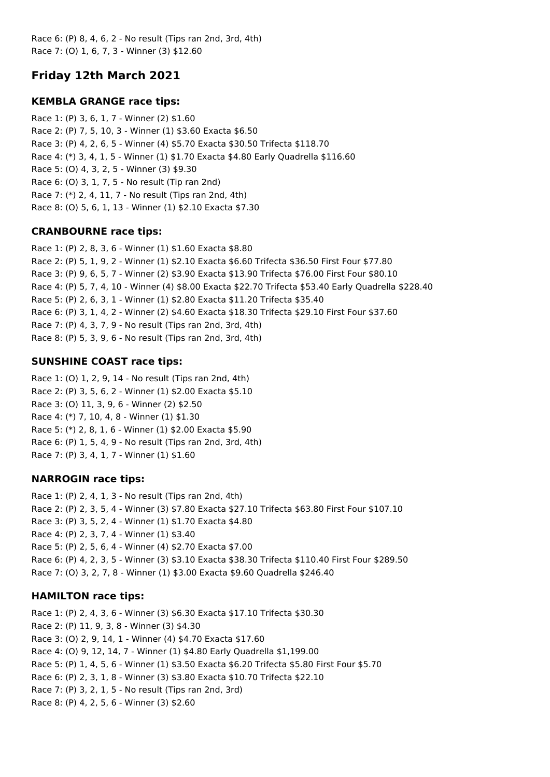Race 6: (P) 8, 4, 6, 2 - No result (Tips ran 2nd, 3rd, 4th) Race 7: (O) 1, 6, 7, 3 - Winner (3) \$12.60

# **Friday 12th March 2021**

### **KEMBLA GRANGE race tips:**

Race 1: (P) 3, 6, 1, 7 - Winner (2) \$1.60 Race 2: (P) 7, 5, 10, 3 - Winner (1) \$3.60 Exacta \$6.50 Race 3: (P) 4, 2, 6, 5 - Winner (4) \$5.70 Exacta \$30.50 Trifecta \$118.70 Race 4: (\*) 3, 4, 1, 5 - Winner (1) \$1.70 Exacta \$4.80 Early Quadrella \$116.60 Race 5: (O) 4, 3, 2, 5 - Winner (3) \$9.30 Race 6: (O) 3, 1, 7, 5 - No result (Tip ran 2nd) Race 7: (\*) 2, 4, 11, 7 - No result (Tips ran 2nd, 4th) Race 8: (O) 5, 6, 1, 13 - Winner (1) \$2.10 Exacta \$7.30

## **CRANBOURNE race tips:**

Race 1: (P) 2, 8, 3, 6 - Winner (1) \$1.60 Exacta \$8.80 Race 2: (P) 5, 1, 9, 2 - Winner (1) \$2.10 Exacta \$6.60 Trifecta \$36.50 First Four \$77.80 Race 3: (P) 9, 6, 5, 7 - Winner (2) \$3.90 Exacta \$13.90 Trifecta \$76.00 First Four \$80.10 Race 4: (P) 5, 7, 4, 10 - Winner (4) \$8.00 Exacta \$22.70 Trifecta \$53.40 Early Quadrella \$228.40 Race 5: (P) 2, 6, 3, 1 - Winner (1) \$2.80 Exacta \$11.20 Trifecta \$35.40 Race 6: (P) 3, 1, 4, 2 - Winner (2) \$4.60 Exacta \$18.30 Trifecta \$29.10 First Four \$37.60 Race 7: (P) 4, 3, 7, 9 - No result (Tips ran 2nd, 3rd, 4th) Race 8: (P) 5, 3, 9, 6 - No result (Tips ran 2nd, 3rd, 4th)

### **SUNSHINE COAST race tips:**

Race 1: (O) 1, 2, 9, 14 - No result (Tips ran 2nd, 4th) Race 2: (P) 3, 5, 6, 2 - Winner (1) \$2.00 Exacta \$5.10 Race 3: (O) 11, 3, 9, 6 - Winner (2) \$2.50 Race 4: (\*) 7, 10, 4, 8 - Winner (1) \$1.30 Race 5: (\*) 2, 8, 1, 6 - Winner (1) \$2.00 Exacta \$5.90 Race 6: (P) 1, 5, 4, 9 - No result (Tips ran 2nd, 3rd, 4th) Race 7: (P) 3, 4, 1, 7 - Winner (1) \$1.60

### **NARROGIN race tips:**

Race 1: (P) 2, 4, 1, 3 - No result (Tips ran 2nd, 4th) Race 2: (P) 2, 3, 5, 4 - Winner (3) \$7.80 Exacta \$27.10 Trifecta \$63.80 First Four \$107.10 Race 3: (P) 3, 5, 2, 4 - Winner (1) \$1.70 Exacta \$4.80 Race 4: (P) 2, 3, 7, 4 - Winner (1) \$3.40 Race 5: (P) 2, 5, 6, 4 - Winner (4) \$2.70 Exacta \$7.00 Race 6: (P) 4, 2, 3, 5 - Winner (3) \$3.10 Exacta \$38.30 Trifecta \$110.40 First Four \$289.50 Race 7: (O) 3, 2, 7, 8 - Winner (1) \$3.00 Exacta \$9.60 Quadrella \$246.40

### **HAMILTON race tips:**

Race 1: (P) 2, 4, 3, 6 - Winner (3) \$6.30 Exacta \$17.10 Trifecta \$30.30 Race 2: (P) 11, 9, 3, 8 - Winner (3) \$4.30 Race 3: (O) 2, 9, 14, 1 - Winner (4) \$4.70 Exacta \$17.60 Race 4: (O) 9, 12, 14, 7 - Winner (1) \$4.80 Early Quadrella \$1,199.00 Race 5: (P) 1, 4, 5, 6 - Winner (1) \$3.50 Exacta \$6.20 Trifecta \$5.80 First Four \$5.70 Race 6: (P) 2, 3, 1, 8 - Winner (3) \$3.80 Exacta \$10.70 Trifecta \$22.10 Race 7: (P) 3, 2, 1, 5 - No result (Tips ran 2nd, 3rd) Race 8: (P) 4, 2, 5, 6 - Winner (3) \$2.60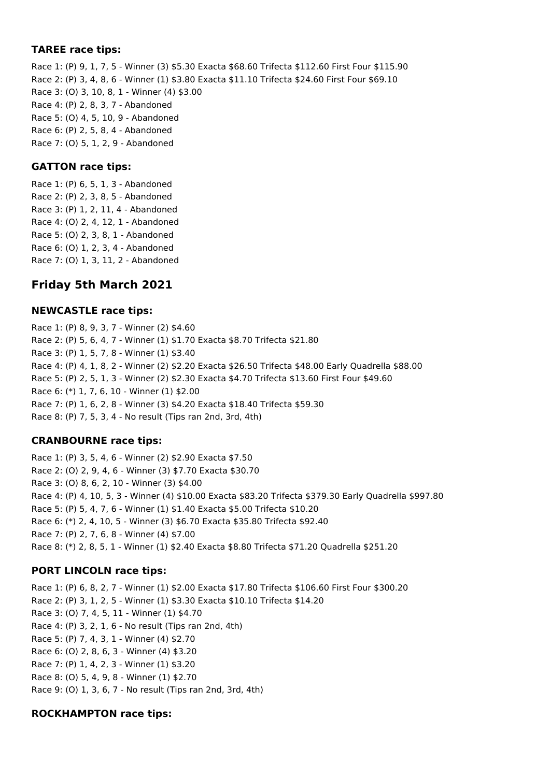#### **TAREE race tips:**

Race 1: (P) 9, 1, 7, 5 - Winner (3) \$5.30 Exacta \$68.60 Trifecta \$112.60 First Four \$115.90 Race 2: (P) 3, 4, 8, 6 - Winner (1) \$3.80 Exacta \$11.10 Trifecta \$24.60 First Four \$69.10 Race 3: (O) 3, 10, 8, 1 - Winner (4) \$3.00 Race 4: (P) 2, 8, 3, 7 - Abandoned Race 5: (O) 4, 5, 10, 9 - Abandoned Race 6: (P) 2, 5, 8, 4 - Abandoned Race 7: (O) 5, 1, 2, 9 - Abandoned

### **GATTON race tips:**

Race 1: (P) 6, 5, 1, 3 - Abandoned Race 2: (P) 2, 3, 8, 5 - Abandoned Race 3: (P) 1, 2, 11, 4 - Abandoned Race 4: (O) 2, 4, 12, 1 - Abandoned Race 5: (O) 2, 3, 8, 1 - Abandoned Race 6: (O) 1, 2, 3, 4 - Abandoned Race 7: (O) 1, 3, 11, 2 - Abandoned

## **Friday 5th March 2021**

#### **NEWCASTLE race tips:**

Race 1: (P) 8, 9, 3, 7 - Winner (2) \$4.60 Race 2: (P) 5, 6, 4, 7 - Winner (1) \$1.70 Exacta \$8.70 Trifecta \$21.80 Race 3: (P) 1, 5, 7, 8 - Winner (1) \$3.40 Race 4: (P) 4, 1, 8, 2 - Winner (2) \$2.20 Exacta \$26.50 Trifecta \$48.00 Early Quadrella \$88.00 Race 5: (P) 2, 5, 1, 3 - Winner (2) \$2.30 Exacta \$4.70 Trifecta \$13.60 First Four \$49.60 Race 6: (\*) 1, 7, 6, 10 - Winner (1) \$2.00 Race 7: (P) 1, 6, 2, 8 - Winner (3) \$4.20 Exacta \$18.40 Trifecta \$59.30 Race 8: (P) 7, 5, 3, 4 - No result (Tips ran 2nd, 3rd, 4th)

### **CRANBOURNE race tips:**

Race 1: (P) 3, 5, 4, 6 - Winner (2) \$2.90 Exacta \$7.50 Race 2: (O) 2, 9, 4, 6 - Winner (3) \$7.70 Exacta \$30.70 Race 3: (O) 8, 6, 2, 10 - Winner (3) \$4.00 Race 4: (P) 4, 10, 5, 3 - Winner (4) \$10.00 Exacta \$83.20 Trifecta \$379.30 Early Quadrella \$997.80 Race 5: (P) 5, 4, 7, 6 - Winner (1) \$1.40 Exacta \$5.00 Trifecta \$10.20 Race 6: (\*) 2, 4, 10, 5 - Winner (3) \$6.70 Exacta \$35.80 Trifecta \$92.40 Race 7: (P) 2, 7, 6, 8 - Winner (4) \$7.00 Race 8: (\*) 2, 8, 5, 1 - Winner (1) \$2.40 Exacta \$8.80 Trifecta \$71.20 Quadrella \$251.20

### **PORT LINCOLN race tips:**

Race 1: (P) 6, 8, 2, 7 - Winner (1) \$2.00 Exacta \$17.80 Trifecta \$106.60 First Four \$300.20 Race 2: (P) 3, 1, 2, 5 - Winner (1) \$3.30 Exacta \$10.10 Trifecta \$14.20 Race 3: (O) 7, 4, 5, 11 - Winner (1) \$4.70 Race 4: (P) 3, 2, 1, 6 - No result (Tips ran 2nd, 4th) Race 5: (P) 7, 4, 3, 1 - Winner (4) \$2.70 Race 6: (O) 2, 8, 6, 3 - Winner (4) \$3.20 Race 7: (P) 1, 4, 2, 3 - Winner (1) \$3.20 Race 8: (O) 5, 4, 9, 8 - Winner (1) \$2.70 Race 9: (O) 1, 3, 6, 7 - No result (Tips ran 2nd, 3rd, 4th)

#### **ROCKHAMPTON race tips:**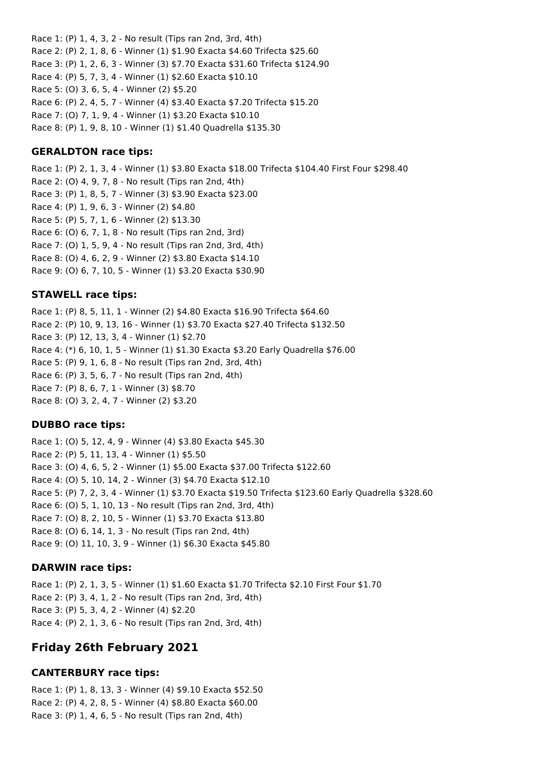Race 1: (P) 1, 4, 3, 2 - No result (Tips ran 2nd, 3rd, 4th) Race 2: (P) 2, 1, 8, 6 - Winner (1) \$1.90 Exacta \$4.60 Trifecta \$25.60 Race 3: (P) 1, 2, 6, 3 - Winner (3) \$7.70 Exacta \$31.60 Trifecta \$124.90 Race 4: (P) 5, 7, 3, 4 - Winner (1) \$2.60 Exacta \$10.10 Race 5: (O) 3, 6, 5, 4 - Winner (2) \$5.20 Race 6: (P) 2, 4, 5, 7 - Winner (4) \$3.40 Exacta \$7.20 Trifecta \$15.20 Race 7: (O) 7, 1, 9, 4 - Winner (1) \$3.20 Exacta \$10.10 Race 8: (P) 1, 9, 8, 10 - Winner (1) \$1.40 Quadrella \$135.30

### **GERALDTON race tips:**

Race 1: (P) 2, 1, 3, 4 - Winner (1) \$3.80 Exacta \$18.00 Trifecta \$104.40 First Four \$298.40 Race 2: (O) 4, 9, 7, 8 - No result (Tips ran 2nd, 4th) Race 3: (P) 1, 8, 5, 7 - Winner (3) \$3.90 Exacta \$23.00 Race 4: (P) 1, 9, 6, 3 - Winner (2) \$4.80 Race 5: (P) 5, 7, 1, 6 - Winner (2) \$13.30 Race 6: (O) 6, 7, 1, 8 - No result (Tips ran 2nd, 3rd) Race 7: (O) 1, 5, 9, 4 - No result (Tips ran 2nd, 3rd, 4th) Race 8: (O) 4, 6, 2, 9 - Winner (2) \$3.80 Exacta \$14.10 Race 9: (O) 6, 7, 10, 5 - Winner (1) \$3.20 Exacta \$30.90

### **STAWELL race tips:**

Race 1: (P) 8, 5, 11, 1 - Winner (2) \$4.80 Exacta \$16.90 Trifecta \$64.60 Race 2: (P) 10, 9, 13, 16 - Winner (1) \$3.70 Exacta \$27.40 Trifecta \$132.50 Race 3: (P) 12, 13, 3, 4 - Winner (1) \$2.70 Race 4: (\*) 6, 10, 1, 5 - Winner (1) \$1.30 Exacta \$3.20 Early Quadrella \$76.00 Race 5: (P) 9, 1, 6, 8 - No result (Tips ran 2nd, 3rd, 4th) Race 6: (P) 3, 5, 6, 7 - No result (Tips ran 2nd, 4th) Race 7: (P) 8, 6, 7, 1 - Winner (3) \$8.70 Race 8: (O) 3, 2, 4, 7 - Winner (2) \$3.20

### **DUBBO race tips:**

Race 1: (O) 5, 12, 4, 9 - Winner (4) \$3.80 Exacta \$45.30 Race 2: (P) 5, 11, 13, 4 - Winner (1) \$5.50 Race 3: (O) 4, 6, 5, 2 - Winner (1) \$5.00 Exacta \$37.00 Trifecta \$122.60 Race 4: (O) 5, 10, 14, 2 - Winner (3) \$4.70 Exacta \$12.10 Race 5: (P) 7, 2, 3, 4 - Winner (1) \$3.70 Exacta \$19.50 Trifecta \$123.60 Early Quadrella \$328.60 Race 6: (O) 5, 1, 10, 13 - No result (Tips ran 2nd, 3rd, 4th) Race 7: (O) 8, 2, 10, 5 - Winner (1) \$3.70 Exacta \$13.80 Race 8: (O) 6, 14, 1, 3 - No result (Tips ran 2nd, 4th) Race 9: (O) 11, 10, 3, 9 - Winner (1) \$6.30 Exacta \$45.80

### **DARWIN race tips:**

Race 1: (P) 2, 1, 3, 5 - Winner (1) \$1.60 Exacta \$1.70 Trifecta \$2.10 First Four \$1.70 Race 2: (P) 3, 4, 1, 2 - No result (Tips ran 2nd, 3rd, 4th) Race 3: (P) 5, 3, 4, 2 - Winner (4) \$2.20 Race 4: (P) 2, 1, 3, 6 - No result (Tips ran 2nd, 3rd, 4th)

# **Friday 26th February 2021**

# **CANTERBURY race tips:**

Race 1: (P) 1, 8, 13, 3 - Winner (4) \$9.10 Exacta \$52.50 Race 2: (P) 4, 2, 8, 5 - Winner (4) \$8.80 Exacta \$60.00 Race 3: (P) 1, 4, 6, 5 - No result (Tips ran 2nd, 4th)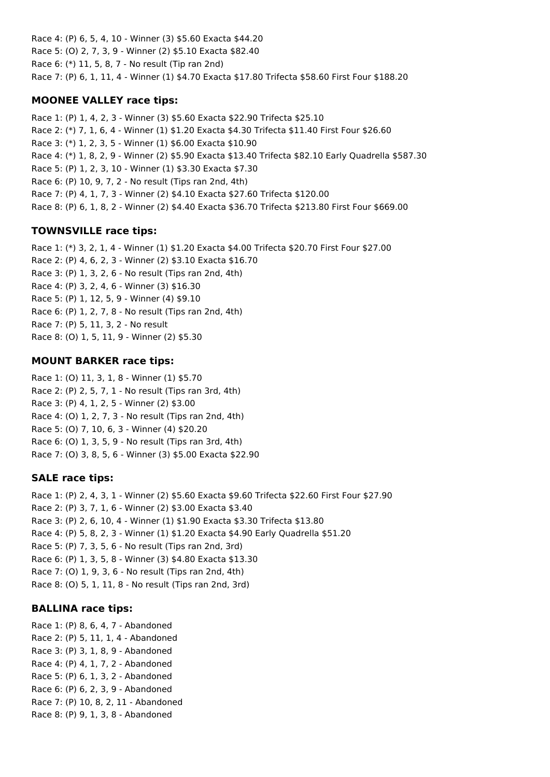Race 4: (P) 6, 5, 4, 10 - Winner (3) \$5.60 Exacta \$44.20 Race 5: (O) 2, 7, 3, 9 - Winner (2) \$5.10 Exacta \$82.40 Race 6: (\*) 11, 5, 8, 7 - No result (Tip ran 2nd) Race 7: (P) 6, 1, 11, 4 - Winner (1) \$4.70 Exacta \$17.80 Trifecta \$58.60 First Four \$188.20

### **MOONEE VALLEY race tips:**

Race 1: (P) 1, 4, 2, 3 - Winner (3) \$5.60 Exacta \$22.90 Trifecta \$25.10 Race 2: (\*) 7, 1, 6, 4 - Winner (1) \$1.20 Exacta \$4.30 Trifecta \$11.40 First Four \$26.60 Race 3: (\*) 1, 2, 3, 5 - Winner (1) \$6.00 Exacta \$10.90 Race 4: (\*) 1, 8, 2, 9 - Winner (2) \$5.90 Exacta \$13.40 Trifecta \$82.10 Early Quadrella \$587.30 Race 5: (P) 1, 2, 3, 10 - Winner (1) \$3.30 Exacta \$7.30 Race 6: (P) 10, 9, 7, 2 - No result (Tips ran 2nd, 4th) Race 7: (P) 4, 1, 7, 3 - Winner (2) \$4.10 Exacta \$27.60 Trifecta \$120.00 Race 8: (P) 6, 1, 8, 2 - Winner (2) \$4.40 Exacta \$36.70 Trifecta \$213.80 First Four \$669.00

## **TOWNSVILLE race tips:**

Race 1: (\*) 3, 2, 1, 4 - Winner (1) \$1.20 Exacta \$4.00 Trifecta \$20.70 First Four \$27.00 Race 2: (P) 4, 6, 2, 3 - Winner (2) \$3.10 Exacta \$16.70 Race 3: (P) 1, 3, 2, 6 - No result (Tips ran 2nd, 4th) Race 4: (P) 3, 2, 4, 6 - Winner (3) \$16.30 Race 5: (P) 1, 12, 5, 9 - Winner (4) \$9.10 Race 6: (P) 1, 2, 7, 8 - No result (Tips ran 2nd, 4th) Race 7: (P) 5, 11, 3, 2 - No result Race 8: (O) 1, 5, 11, 9 - Winner (2) \$5.30

## **MOUNT BARKER race tips:**

Race 1: (O) 11, 3, 1, 8 - Winner (1) \$5.70 Race 2: (P) 2, 5, 7, 1 - No result (Tips ran 3rd, 4th) Race 3: (P) 4, 1, 2, 5 - Winner (2) \$3.00 Race 4: (O) 1, 2, 7, 3 - No result (Tips ran 2nd, 4th) Race 5: (O) 7, 10, 6, 3 - Winner (4) \$20.20 Race 6: (O) 1, 3, 5, 9 - No result (Tips ran 3rd, 4th) Race 7: (O) 3, 8, 5, 6 - Winner (3) \$5.00 Exacta \$22.90

## **SALE race tips:**

Race 1: (P) 2, 4, 3, 1 - Winner (2) \$5.60 Exacta \$9.60 Trifecta \$22.60 First Four \$27.90 Race 2: (P) 3, 7, 1, 6 - Winner (2) \$3.00 Exacta \$3.40 Race 3: (P) 2, 6, 10, 4 - Winner (1) \$1.90 Exacta \$3.30 Trifecta \$13.80 Race 4: (P) 5, 8, 2, 3 - Winner (1) \$1.20 Exacta \$4.90 Early Quadrella \$51.20 Race 5: (P) 7, 3, 5, 6 - No result (Tips ran 2nd, 3rd) Race 6: (P) 1, 3, 5, 8 - Winner (3) \$4.80 Exacta \$13.30 Race 7: (O) 1, 9, 3, 6 - No result (Tips ran 2nd, 4th) Race 8: (O) 5, 1, 11, 8 - No result (Tips ran 2nd, 3rd)

## **BALLINA race tips:**

Race 1: (P) 8, 6, 4, 7 - Abandoned Race 2: (P) 5, 11, 1, 4 - Abandoned Race 3: (P) 3, 1, 8, 9 - Abandoned Race 4: (P) 4, 1, 7, 2 - Abandoned Race 5: (P) 6, 1, 3, 2 - Abandoned Race 6: (P) 6, 2, 3, 9 - Abandoned Race 7: (P) 10, 8, 2, 11 - Abandoned Race 8: (P) 9, 1, 3, 8 - Abandoned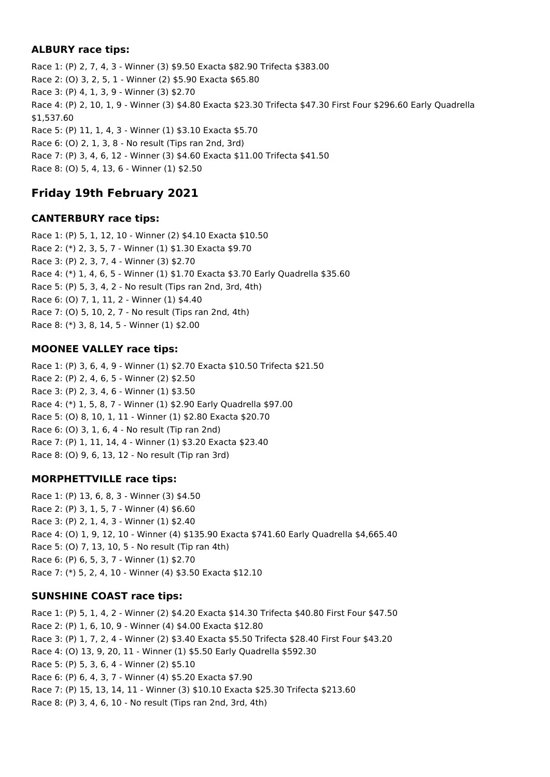### **ALBURY race tips:**

Race 1: (P) 2, 7, 4, 3 - Winner (3) \$9.50 Exacta \$82.90 Trifecta \$383.00 Race 2: (O) 3, 2, 5, 1 - Winner (2) \$5.90 Exacta \$65.80 Race 3: (P) 4, 1, 3, 9 - Winner (3) \$2.70 Race 4: (P) 2, 10, 1, 9 - Winner (3) \$4.80 Exacta \$23.30 Trifecta \$47.30 First Four \$296.60 Early Quadrella \$1,537.60 Race 5: (P) 11, 1, 4, 3 - Winner (1) \$3.10 Exacta \$5.70 Race 6: (O) 2, 1, 3, 8 - No result (Tips ran 2nd, 3rd) Race 7: (P) 3, 4, 6, 12 - Winner (3) \$4.60 Exacta \$11.00 Trifecta \$41.50 Race 8: (O) 5, 4, 13, 6 - Winner (1) \$2.50

# **Friday 19th February 2021**

### **CANTERBURY race tips:**

Race 1: (P) 5, 1, 12, 10 - Winner (2) \$4.10 Exacta \$10.50 Race 2: (\*) 2, 3, 5, 7 - Winner (1) \$1.30 Exacta \$9.70 Race 3: (P) 2, 3, 7, 4 - Winner (3) \$2.70 Race 4: (\*) 1, 4, 6, 5 - Winner (1) \$1.70 Exacta \$3.70 Early Quadrella \$35.60 Race 5: (P) 5, 3, 4, 2 - No result (Tips ran 2nd, 3rd, 4th) Race 6: (O) 7, 1, 11, 2 - Winner (1) \$4.40 Race 7: (O) 5, 10, 2, 7 - No result (Tips ran 2nd, 4th) Race 8: (\*) 3, 8, 14, 5 - Winner (1) \$2.00

## **MOONEE VALLEY race tips:**

Race 1: (P) 3, 6, 4, 9 - Winner (1) \$2.70 Exacta \$10.50 Trifecta \$21.50 Race 2: (P) 2, 4, 6, 5 - Winner (2) \$2.50 Race 3: (P) 2, 3, 4, 6 - Winner (1) \$3.50 Race 4: (\*) 1, 5, 8, 7 - Winner (1) \$2.90 Early Quadrella \$97.00 Race 5: (O) 8, 10, 1, 11 - Winner (1) \$2.80 Exacta \$20.70 Race 6: (O) 3, 1, 6, 4 - No result (Tip ran 2nd) Race 7: (P) 1, 11, 14, 4 - Winner (1) \$3.20 Exacta \$23.40 Race 8: (O) 9, 6, 13, 12 - No result (Tip ran 3rd)

## **MORPHETTVILLE race tips:**

Race 1: (P) 13, 6, 8, 3 - Winner (3) \$4.50 Race 2: (P) 3, 1, 5, 7 - Winner (4) \$6.60 Race 3: (P) 2, 1, 4, 3 - Winner (1) \$2.40 Race 4: (O) 1, 9, 12, 10 - Winner (4) \$135.90 Exacta \$741.60 Early Quadrella \$4,665.40 Race 5: (O) 7, 13, 10, 5 - No result (Tip ran 4th) Race 6: (P) 6, 5, 3, 7 - Winner (1) \$2.70 Race 7: (\*) 5, 2, 4, 10 - Winner (4) \$3.50 Exacta \$12.10

### **SUNSHINE COAST race tips:**

Race 1: (P) 5, 1, 4, 2 - Winner (2) \$4.20 Exacta \$14.30 Trifecta \$40.80 First Four \$47.50 Race 2: (P) 1, 6, 10, 9 - Winner (4) \$4.00 Exacta \$12.80 Race 3: (P) 1, 7, 2, 4 - Winner (2) \$3.40 Exacta \$5.50 Trifecta \$28.40 First Four \$43.20 Race 4: (O) 13, 9, 20, 11 - Winner (1) \$5.50 Early Quadrella \$592.30 Race 5: (P) 5, 3, 6, 4 - Winner (2) \$5.10 Race 6: (P) 6, 4, 3, 7 - Winner (4) \$5.20 Exacta \$7.90 Race 7: (P) 15, 13, 14, 11 - Winner (3) \$10.10 Exacta \$25.30 Trifecta \$213.60 Race 8: (P) 3, 4, 6, 10 - No result (Tips ran 2nd, 3rd, 4th)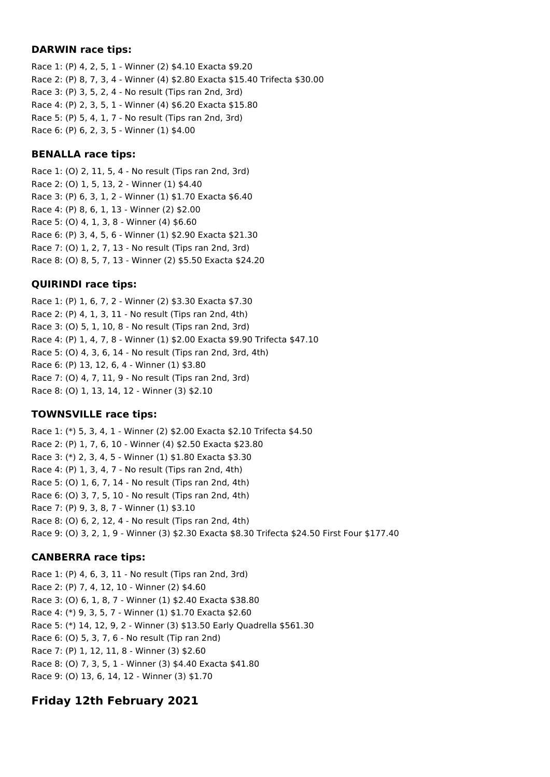#### **DARWIN race tips:**

Race 1: (P) 4, 2, 5, 1 - Winner (2) \$4.10 Exacta \$9.20 Race 2: (P) 8, 7, 3, 4 - Winner (4) \$2.80 Exacta \$15.40 Trifecta \$30.00 Race 3: (P) 3, 5, 2, 4 - No result (Tips ran 2nd, 3rd) Race 4: (P) 2, 3, 5, 1 - Winner (4) \$6.20 Exacta \$15.80 Race 5: (P) 5, 4, 1, 7 - No result (Tips ran 2nd, 3rd) Race 6: (P) 6, 2, 3, 5 - Winner (1) \$4.00

### **BENALLA race tips:**

Race 1: (O) 2, 11, 5, 4 - No result (Tips ran 2nd, 3rd) Race 2: (O) 1, 5, 13, 2 - Winner (1) \$4.40 Race 3: (P) 6, 3, 1, 2 - Winner (1) \$1.70 Exacta \$6.40 Race 4: (P) 8, 6, 1, 13 - Winner (2) \$2.00 Race 5: (O) 4, 1, 3, 8 - Winner (4) \$6.60 Race 6: (P) 3, 4, 5, 6 - Winner (1) \$2.90 Exacta \$21.30 Race 7: (O) 1, 2, 7, 13 - No result (Tips ran 2nd, 3rd) Race 8: (O) 8, 5, 7, 13 - Winner (2) \$5.50 Exacta \$24.20

### **QUIRINDI race tips:**

Race 1: (P) 1, 6, 7, 2 - Winner (2) \$3.30 Exacta \$7.30 Race 2: (P) 4, 1, 3, 11 - No result (Tips ran 2nd, 4th) Race 3: (O) 5, 1, 10, 8 - No result (Tips ran 2nd, 3rd) Race 4: (P) 1, 4, 7, 8 - Winner (1) \$2.00 Exacta \$9.90 Trifecta \$47.10 Race 5: (O) 4, 3, 6, 14 - No result (Tips ran 2nd, 3rd, 4th) Race 6: (P) 13, 12, 6, 4 - Winner (1) \$3.80 Race 7: (O) 4, 7, 11, 9 - No result (Tips ran 2nd, 3rd) Race 8: (O) 1, 13, 14, 12 - Winner (3) \$2.10

### **TOWNSVILLE race tips:**

Race 1: (\*) 5, 3, 4, 1 - Winner (2) \$2.00 Exacta \$2.10 Trifecta \$4.50 Race 2: (P) 1, 7, 6, 10 - Winner (4) \$2.50 Exacta \$23.80 Race 3: (\*) 2, 3, 4, 5 - Winner (1) \$1.80 Exacta \$3.30 Race 4: (P) 1, 3, 4, 7 - No result (Tips ran 2nd, 4th) Race 5: (O) 1, 6, 7, 14 - No result (Tips ran 2nd, 4th) Race 6: (O) 3, 7, 5, 10 - No result (Tips ran 2nd, 4th) Race 7: (P) 9, 3, 8, 7 - Winner (1) \$3.10 Race 8: (O) 6, 2, 12, 4 - No result (Tips ran 2nd, 4th) Race 9: (O) 3, 2, 1, 9 - Winner (3) \$2.30 Exacta \$8.30 Trifecta \$24.50 First Four \$177.40

### **CANBERRA race tips:**

Race 1: (P) 4, 6, 3, 11 - No result (Tips ran 2nd, 3rd) Race 2: (P) 7, 4, 12, 10 - Winner (2) \$4.60 Race 3: (O) 6, 1, 8, 7 - Winner (1) \$2.40 Exacta \$38.80 Race 4: (\*) 9, 3, 5, 7 - Winner (1) \$1.70 Exacta \$2.60 Race 5: (\*) 14, 12, 9, 2 - Winner (3) \$13.50 Early Quadrella \$561.30 Race 6: (O) 5, 3, 7, 6 - No result (Tip ran 2nd) Race 7: (P) 1, 12, 11, 8 - Winner (3) \$2.60 Race 8: (O) 7, 3, 5, 1 - Winner (3) \$4.40 Exacta \$41.80 Race 9: (O) 13, 6, 14, 12 - Winner (3) \$1.70

# **Friday 12th February 2021**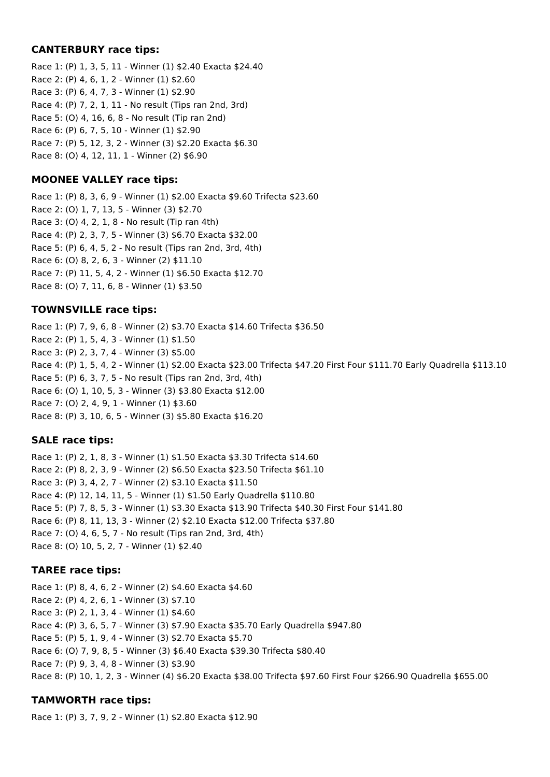#### **CANTERBURY race tips:**

Race 1: (P) 1, 3, 5, 11 - Winner (1) \$2.40 Exacta \$24.40 Race 2: (P) 4, 6, 1, 2 - Winner (1) \$2.60 Race 3: (P) 6, 4, 7, 3 - Winner (1) \$2.90 Race 4: (P) 7, 2, 1, 11 - No result (Tips ran 2nd, 3rd) Race 5: (O) 4, 16, 6, 8 - No result (Tip ran 2nd) Race 6: (P) 6, 7, 5, 10 - Winner (1) \$2.90 Race 7: (P) 5, 12, 3, 2 - Winner (3) \$2.20 Exacta \$6.30 Race 8: (O) 4, 12, 11, 1 - Winner (2) \$6.90

### **MOONEE VALLEY race tips:**

Race 1: (P) 8, 3, 6, 9 - Winner (1) \$2.00 Exacta \$9.60 Trifecta \$23.60 Race 2: (O) 1, 7, 13, 5 - Winner (3) \$2.70 Race 3: (O) 4, 2, 1, 8 - No result (Tip ran 4th) Race 4: (P) 2, 3, 7, 5 - Winner (3) \$6.70 Exacta \$32.00 Race 5: (P) 6, 4, 5, 2 - No result (Tips ran 2nd, 3rd, 4th) Race 6: (O) 8, 2, 6, 3 - Winner (2) \$11.10 Race 7: (P) 11, 5, 4, 2 - Winner (1) \$6.50 Exacta \$12.70 Race 8: (O) 7, 11, 6, 8 - Winner (1) \$3.50

### **TOWNSVILLE race tips:**

Race 1: (P) 7, 9, 6, 8 - Winner (2) \$3.70 Exacta \$14.60 Trifecta \$36.50 Race 2: (P) 1, 5, 4, 3 - Winner (1) \$1.50 Race 3: (P) 2, 3, 7, 4 - Winner (3) \$5.00 Race 4: (P) 1, 5, 4, 2 - Winner (1) \$2.00 Exacta \$23.00 Trifecta \$47.20 First Four \$111.70 Early Quadrella \$113.10 Race 5: (P) 6, 3, 7, 5 - No result (Tips ran 2nd, 3rd, 4th) Race 6: (O) 1, 10, 5, 3 - Winner (3) \$3.80 Exacta \$12.00 Race 7: (O) 2, 4, 9, 1 - Winner (1) \$3.60 Race 8: (P) 3, 10, 6, 5 - Winner (3) \$5.80 Exacta \$16.20

## **SALE race tips:**

Race 1: (P) 2, 1, 8, 3 - Winner (1) \$1.50 Exacta \$3.30 Trifecta \$14.60 Race 2: (P) 8, 2, 3, 9 - Winner (2) \$6.50 Exacta \$23.50 Trifecta \$61.10 Race 3: (P) 3, 4, 2, 7 - Winner (2) \$3.10 Exacta \$11.50 Race 4: (P) 12, 14, 11, 5 - Winner (1) \$1.50 Early Quadrella \$110.80 Race 5: (P) 7, 8, 5, 3 - Winner (1) \$3.30 Exacta \$13.90 Trifecta \$40.30 First Four \$141.80 Race 6: (P) 8, 11, 13, 3 - Winner (2) \$2.10 Exacta \$12.00 Trifecta \$37.80 Race 7: (O) 4, 6, 5, 7 - No result (Tips ran 2nd, 3rd, 4th) Race 8: (O) 10, 5, 2, 7 - Winner (1) \$2.40

### **TAREE race tips:**

Race 1: (P) 8, 4, 6, 2 - Winner (2) \$4.60 Exacta \$4.60 Race 2: (P) 4, 2, 6, 1 - Winner (3) \$7.10 Race 3: (P) 2, 1, 3, 4 - Winner (1) \$4.60 Race 4: (P) 3, 6, 5, 7 - Winner (3) \$7.90 Exacta \$35.70 Early Quadrella \$947.80 Race 5: (P) 5, 1, 9, 4 - Winner (3) \$2.70 Exacta \$5.70 Race 6: (O) 7, 9, 8, 5 - Winner (3) \$6.40 Exacta \$39.30 Trifecta \$80.40 Race 7: (P) 9, 3, 4, 8 - Winner (3) \$3.90 Race 8: (P) 10, 1, 2, 3 - Winner (4) \$6.20 Exacta \$38.00 Trifecta \$97.60 First Four \$266.90 Quadrella \$655.00

## **TAMWORTH race tips:**

Race 1: (P) 3, 7, 9, 2 - Winner (1) \$2.80 Exacta \$12.90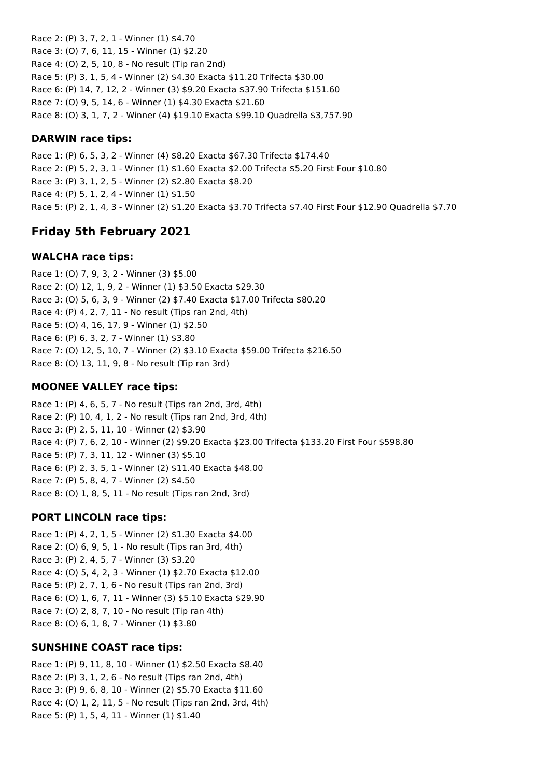Race 2: (P) 3, 7, 2, 1 - Winner (1) \$4.70 Race 3: (O) 7, 6, 11, 15 - Winner (1) \$2.20 Race 4: (O) 2, 5, 10, 8 - No result (Tip ran 2nd) Race 5: (P) 3, 1, 5, 4 - Winner (2) \$4.30 Exacta \$11.20 Trifecta \$30.00 Race 6: (P) 14, 7, 12, 2 - Winner (3) \$9.20 Exacta \$37.90 Trifecta \$151.60 Race 7: (O) 9, 5, 14, 6 - Winner (1) \$4.30 Exacta \$21.60 Race 8: (O) 3, 1, 7, 2 - Winner (4) \$19.10 Exacta \$99.10 Quadrella \$3,757.90

### **DARWIN race tips:**

Race 1: (P) 6, 5, 3, 2 - Winner (4) \$8.20 Exacta \$67.30 Trifecta \$174.40 Race 2: (P) 5, 2, 3, 1 - Winner (1) \$1.60 Exacta \$2.00 Trifecta \$5.20 First Four \$10.80 Race 3: (P) 3, 1, 2, 5 - Winner (2) \$2.80 Exacta \$8.20 Race 4: (P) 5, 1, 2, 4 - Winner (1) \$1.50 Race 5: (P) 2, 1, 4, 3 - Winner (2) \$1.20 Exacta \$3.70 Trifecta \$7.40 First Four \$12.90 Quadrella \$7.70

## **Friday 5th February 2021**

#### **WALCHA race tips:**

Race 1: (O) 7, 9, 3, 2 - Winner (3) \$5.00 Race 2: (O) 12, 1, 9, 2 - Winner (1) \$3.50 Exacta \$29.30 Race 3: (O) 5, 6, 3, 9 - Winner (2) \$7.40 Exacta \$17.00 Trifecta \$80.20 Race 4: (P) 4, 2, 7, 11 - No result (Tips ran 2nd, 4th) Race 5: (O) 4, 16, 17, 9 - Winner (1) \$2.50 Race 6: (P) 6, 3, 2, 7 - Winner (1) \$3.80 Race 7: (O) 12, 5, 10, 7 - Winner (2) \$3.10 Exacta \$59.00 Trifecta \$216.50 Race 8: (O) 13, 11, 9, 8 - No result (Tip ran 3rd)

#### **MOONEE VALLEY race tips:**

Race 1: (P) 4, 6, 5, 7 - No result (Tips ran 2nd, 3rd, 4th) Race 2: (P) 10, 4, 1, 2 - No result (Tips ran 2nd, 3rd, 4th) Race 3: (P) 2, 5, 11, 10 - Winner (2) \$3.90 Race 4: (P) 7, 6, 2, 10 - Winner (2) \$9.20 Exacta \$23.00 Trifecta \$133.20 First Four \$598.80 Race 5: (P) 7, 3, 11, 12 - Winner (3) \$5.10 Race 6: (P) 2, 3, 5, 1 - Winner (2) \$11.40 Exacta \$48.00 Race 7: (P) 5, 8, 4, 7 - Winner (2) \$4.50 Race 8: (O) 1, 8, 5, 11 - No result (Tips ran 2nd, 3rd)

### **PORT LINCOLN race tips:**

Race 1: (P) 4, 2, 1, 5 - Winner (2) \$1.30 Exacta \$4.00 Race 2: (O) 6, 9, 5, 1 - No result (Tips ran 3rd, 4th) Race 3: (P) 2, 4, 5, 7 - Winner (3) \$3.20 Race 4: (O) 5, 4, 2, 3 - Winner (1) \$2.70 Exacta \$12.00 Race 5: (P) 2, 7, 1, 6 - No result (Tips ran 2nd, 3rd) Race 6: (O) 1, 6, 7, 11 - Winner (3) \$5.10 Exacta \$29.90 Race 7: (O) 2, 8, 7, 10 - No result (Tip ran 4th) Race 8: (O) 6, 1, 8, 7 - Winner (1) \$3.80

### **SUNSHINE COAST race tips:**

Race 1: (P) 9, 11, 8, 10 - Winner (1) \$2.50 Exacta \$8.40 Race 2: (P) 3, 1, 2, 6 - No result (Tips ran 2nd, 4th) Race 3: (P) 9, 6, 8, 10 - Winner (2) \$5.70 Exacta \$11.60 Race 4: (O) 1, 2, 11, 5 - No result (Tips ran 2nd, 3rd, 4th) Race 5: (P) 1, 5, 4, 11 - Winner (1) \$1.40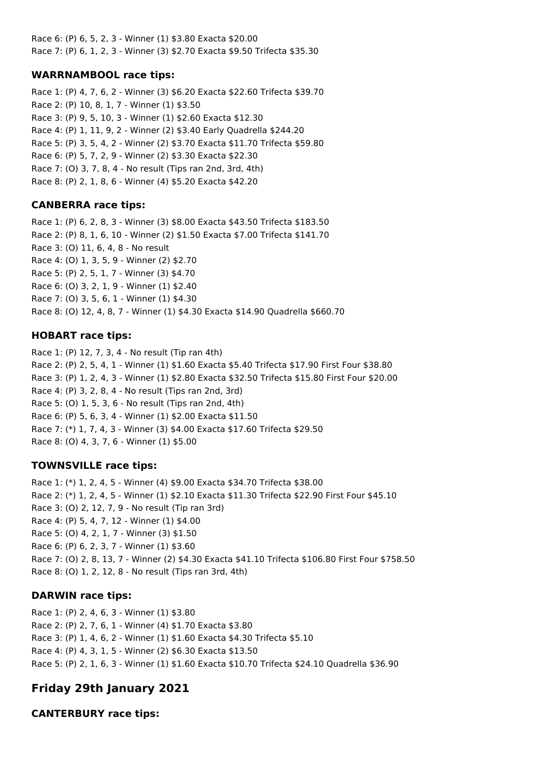Race 6: (P) 6, 5, 2, 3 - Winner (1) \$3.80 Exacta \$20.00 Race 7: (P) 6, 1, 2, 3 - Winner (3) \$2.70 Exacta \$9.50 Trifecta \$35.30

### **WARRNAMBOOL race tips:**

Race 1: (P) 4, 7, 6, 2 - Winner (3) \$6.20 Exacta \$22.60 Trifecta \$39.70 Race 2: (P) 10, 8, 1, 7 - Winner (1) \$3.50 Race 3: (P) 9, 5, 10, 3 - Winner (1) \$2.60 Exacta \$12.30 Race 4: (P) 1, 11, 9, 2 - Winner (2) \$3.40 Early Quadrella \$244.20 Race 5: (P) 3, 5, 4, 2 - Winner (2) \$3.70 Exacta \$11.70 Trifecta \$59.80 Race 6: (P) 5, 7, 2, 9 - Winner (2) \$3.30 Exacta \$22.30 Race 7: (O) 3, 7, 8, 4 - No result (Tips ran 2nd, 3rd, 4th) Race 8: (P) 2, 1, 8, 6 - Winner (4) \$5.20 Exacta \$42.20

#### **CANBERRA race tips:**

Race 1: (P) 6, 2, 8, 3 - Winner (3) \$8.00 Exacta \$43.50 Trifecta \$183.50 Race 2: (P) 8, 1, 6, 10 - Winner (2) \$1.50 Exacta \$7.00 Trifecta \$141.70 Race 3: (O) 11, 6, 4, 8 - No result Race 4: (O) 1, 3, 5, 9 - Winner (2) \$2.70 Race 5: (P) 2, 5, 1, 7 - Winner (3) \$4.70 Race 6: (O) 3, 2, 1, 9 - Winner (1) \$2.40 Race 7: (O) 3, 5, 6, 1 - Winner (1) \$4.30 Race 8: (O) 12, 4, 8, 7 - Winner (1) \$4.30 Exacta \$14.90 Quadrella \$660.70

#### **HOBART race tips:**

Race 1: (P) 12, 7, 3, 4 - No result (Tip ran 4th) Race 2: (P) 2, 5, 4, 1 - Winner (1) \$1.60 Exacta \$5.40 Trifecta \$17.90 First Four \$38.80 Race 3: (P) 1, 2, 4, 3 - Winner (1) \$2.80 Exacta \$32.50 Trifecta \$15.80 First Four \$20.00 Race 4: (P) 3, 2, 8, 4 - No result (Tips ran 2nd, 3rd) Race 5: (O) 1, 5, 3, 6 - No result (Tips ran 2nd, 4th) Race 6: (P) 5, 6, 3, 4 - Winner (1) \$2.00 Exacta \$11.50 Race 7: (\*) 1, 7, 4, 3 - Winner (3) \$4.00 Exacta \$17.60 Trifecta \$29.50 Race 8: (O) 4, 3, 7, 6 - Winner (1) \$5.00

#### **TOWNSVILLE race tips:**

Race 1: (\*) 1, 2, 4, 5 - Winner (4) \$9.00 Exacta \$34.70 Trifecta \$38.00 Race 2: (\*) 1, 2, 4, 5 - Winner (1) \$2.10 Exacta \$11.30 Trifecta \$22.90 First Four \$45.10 Race 3: (O) 2, 12, 7, 9 - No result (Tip ran 3rd) Race 4: (P) 5, 4, 7, 12 - Winner (1) \$4.00 Race 5: (O) 4, 2, 1, 7 - Winner (3) \$1.50 Race 6: (P) 6, 2, 3, 7 - Winner (1) \$3.60 Race 7: (O) 2, 8, 13, 7 - Winner (2) \$4.30 Exacta \$41.10 Trifecta \$106.80 First Four \$758.50 Race 8: (O) 1, 2, 12, 8 - No result (Tips ran 3rd, 4th)

#### **DARWIN race tips:**

Race 1: (P) 2, 4, 6, 3 - Winner (1) \$3.80 Race 2: (P) 2, 7, 6, 1 - Winner (4) \$1.70 Exacta \$3.80 Race 3: (P) 1, 4, 6, 2 - Winner (1) \$1.60 Exacta \$4.30 Trifecta \$5.10 Race 4: (P) 4, 3, 1, 5 - Winner (2) \$6.30 Exacta \$13.50 Race 5: (P) 2, 1, 6, 3 - Winner (1) \$1.60 Exacta \$10.70 Trifecta \$24.10 Quadrella \$36.90

## **Friday 29th January 2021**

**CANTERBURY race tips:**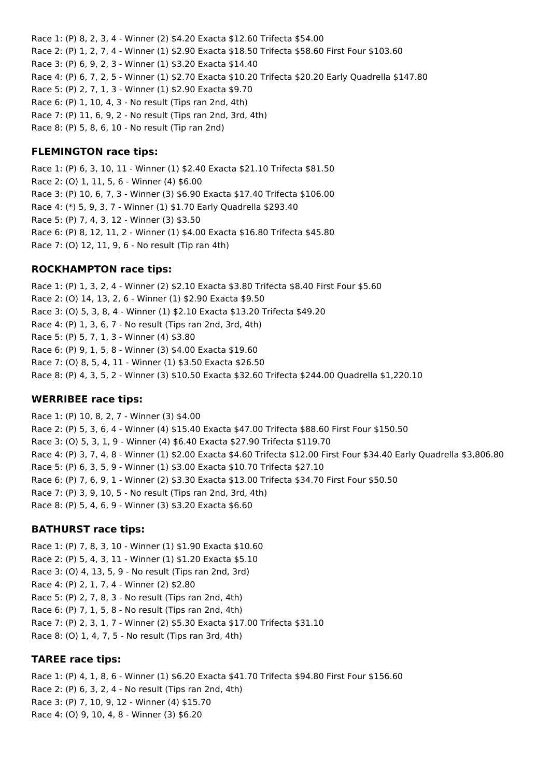Race 1: (P) 8, 2, 3, 4 - Winner (2) \$4.20 Exacta \$12.60 Trifecta \$54.00 Race 2: (P) 1, 2, 7, 4 - Winner (1) \$2.90 Exacta \$18.50 Trifecta \$58.60 First Four \$103.60 Race 3: (P) 6, 9, 2, 3 - Winner (1) \$3.20 Exacta \$14.40 Race 4: (P) 6, 7, 2, 5 - Winner (1) \$2.70 Exacta \$10.20 Trifecta \$20.20 Early Quadrella \$147.80 Race 5: (P) 2, 7, 1, 3 - Winner (1) \$2.90 Exacta \$9.70 Race 6: (P) 1, 10, 4, 3 - No result (Tips ran 2nd, 4th) Race 7: (P) 11, 6, 9, 2 - No result (Tips ran 2nd, 3rd, 4th) Race 8: (P) 5, 8, 6, 10 - No result (Tip ran 2nd)

#### **FLEMINGTON race tips:**

Race 1: (P) 6, 3, 10, 11 - Winner (1) \$2.40 Exacta \$21.10 Trifecta \$81.50 Race 2: (O) 1, 11, 5, 6 - Winner (4) \$6.00 Race 3: (P) 10, 6, 7, 3 - Winner (3) \$6.90 Exacta \$17.40 Trifecta \$106.00 Race 4: (\*) 5, 9, 3, 7 - Winner (1) \$1.70 Early Quadrella \$293.40 Race 5: (P) 7, 4, 3, 12 - Winner (3) \$3.50 Race 6: (P) 8, 12, 11, 2 - Winner (1) \$4.00 Exacta \$16.80 Trifecta \$45.80 Race 7: (O) 12, 11, 9, 6 - No result (Tip ran 4th)

#### **ROCKHAMPTON race tips:**

Race 1: (P) 1, 3, 2, 4 - Winner (2) \$2.10 Exacta \$3.80 Trifecta \$8.40 First Four \$5.60 Race 2: (O) 14, 13, 2, 6 - Winner (1) \$2.90 Exacta \$9.50 Race 3: (O) 5, 3, 8, 4 - Winner (1) \$2.10 Exacta \$13.20 Trifecta \$49.20 Race 4: (P) 1, 3, 6, 7 - No result (Tips ran 2nd, 3rd, 4th) Race 5: (P) 5, 7, 1, 3 - Winner (4) \$3.80 Race 6: (P) 9, 1, 5, 8 - Winner (3) \$4.00 Exacta \$19.60 Race 7: (O) 8, 5, 4, 11 - Winner (1) \$3.50 Exacta \$26.50 Race 8: (P) 4, 3, 5, 2 - Winner (3) \$10.50 Exacta \$32.60 Trifecta \$244.00 Quadrella \$1,220.10

#### **WERRIBEE race tips:**

Race 1: (P) 10, 8, 2, 7 - Winner (3) \$4.00 Race 2: (P) 5, 3, 6, 4 - Winner (4) \$15.40 Exacta \$47.00 Trifecta \$88.60 First Four \$150.50 Race 3: (O) 5, 3, 1, 9 - Winner (4) \$6.40 Exacta \$27.90 Trifecta \$119.70 Race 4: (P) 3, 7, 4, 8 - Winner (1) \$2.00 Exacta \$4.60 Trifecta \$12.00 First Four \$34.40 Early Quadrella \$3,806.80 Race 5: (P) 6, 3, 5, 9 - Winner (1) \$3.00 Exacta \$10.70 Trifecta \$27.10 Race 6: (P) 7, 6, 9, 1 - Winner (2) \$3.30 Exacta \$13.00 Trifecta \$34.70 First Four \$50.50 Race 7: (P) 3, 9, 10, 5 - No result (Tips ran 2nd, 3rd, 4th) Race 8: (P) 5, 4, 6, 9 - Winner (3) \$3.20 Exacta \$6.60

### **BATHURST race tips:**

Race 1: (P) 7, 8, 3, 10 - Winner (1) \$1.90 Exacta \$10.60 Race 2: (P) 5, 4, 3, 11 - Winner (1) \$1.20 Exacta \$5.10 Race 3: (O) 4, 13, 5, 9 - No result (Tips ran 2nd, 3rd) Race 4: (P) 2, 1, 7, 4 - Winner (2) \$2.80 Race 5: (P) 2, 7, 8, 3 - No result (Tips ran 2nd, 4th) Race 6: (P) 7, 1, 5, 8 - No result (Tips ran 2nd, 4th) Race 7: (P) 2, 3, 1, 7 - Winner (2) \$5.30 Exacta \$17.00 Trifecta \$31.10 Race 8: (O) 1, 4, 7, 5 - No result (Tips ran 3rd, 4th)

#### **TAREE race tips:**

Race 1: (P) 4, 1, 8, 6 - Winner (1) \$6.20 Exacta \$41.70 Trifecta \$94.80 First Four \$156.60 Race 2: (P) 6, 3, 2, 4 - No result (Tips ran 2nd, 4th) Race 3: (P) 7, 10, 9, 12 - Winner (4) \$15.70 Race 4: (O) 9, 10, 4, 8 - Winner (3) \$6.20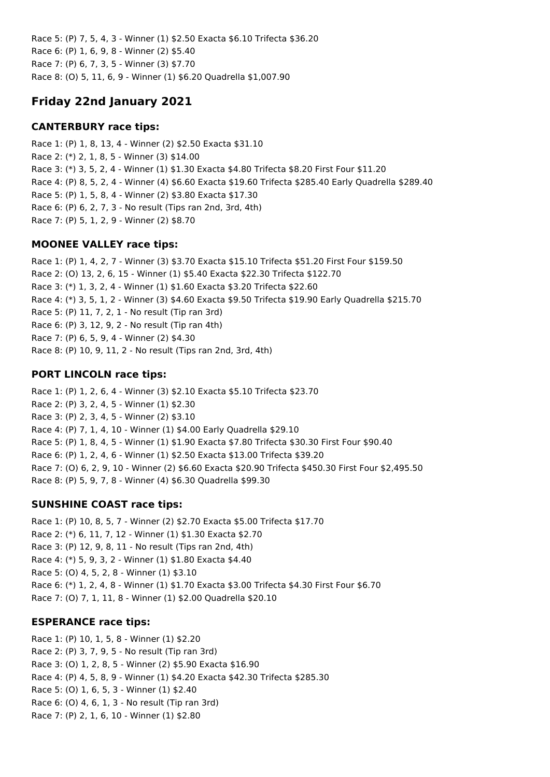Race 5: (P) 7, 5, 4, 3 - Winner (1) \$2.50 Exacta \$6.10 Trifecta \$36.20 Race 6: (P) 1, 6, 9, 8 - Winner (2) \$5.40 Race 7: (P) 6, 7, 3, 5 - Winner (3) \$7.70 Race 8: (O) 5, 11, 6, 9 - Winner (1) \$6.20 Quadrella \$1,007.90

# **Friday 22nd January 2021**

### **CANTERBURY race tips:**

Race 1: (P) 1, 8, 13, 4 - Winner (2) \$2.50 Exacta \$31.10 Race 2: (\*) 2, 1, 8, 5 - Winner (3) \$14.00 Race 3: (\*) 3, 5, 2, 4 - Winner (1) \$1.30 Exacta \$4.80 Trifecta \$8.20 First Four \$11.20 Race 4: (P) 8, 5, 2, 4 - Winner (4) \$6.60 Exacta \$19.60 Trifecta \$285.40 Early Quadrella \$289.40 Race 5: (P) 1, 5, 8, 4 - Winner (2) \$3.80 Exacta \$17.30 Race 6: (P) 6, 2, 7, 3 - No result (Tips ran 2nd, 3rd, 4th) Race 7: (P) 5, 1, 2, 9 - Winner (2) \$8.70

### **MOONEE VALLEY race tips:**

Race 1: (P) 1, 4, 2, 7 - Winner (3) \$3.70 Exacta \$15.10 Trifecta \$51.20 First Four \$159.50 Race 2: (O) 13, 2, 6, 15 - Winner (1) \$5.40 Exacta \$22.30 Trifecta \$122.70 Race 3: (\*) 1, 3, 2, 4 - Winner (1) \$1.60 Exacta \$3.20 Trifecta \$22.60 Race 4: (\*) 3, 5, 1, 2 - Winner (3) \$4.60 Exacta \$9.50 Trifecta \$19.90 Early Quadrella \$215.70 Race 5: (P) 11, 7, 2, 1 - No result (Tip ran 3rd) Race 6: (P) 3, 12, 9, 2 - No result (Tip ran 4th) Race 7: (P) 6, 5, 9, 4 - Winner (2) \$4.30 Race 8: (P) 10, 9, 11, 2 - No result (Tips ran 2nd, 3rd, 4th)

## **PORT LINCOLN race tips:**

Race 1: (P) 1, 2, 6, 4 - Winner (3) \$2.10 Exacta \$5.10 Trifecta \$23.70 Race 2: (P) 3, 2, 4, 5 - Winner (1) \$2.30 Race 3: (P) 2, 3, 4, 5 - Winner (2) \$3.10 Race 4: (P) 7, 1, 4, 10 - Winner (1) \$4.00 Early Quadrella \$29.10 Race 5: (P) 1, 8, 4, 5 - Winner (1) \$1.90 Exacta \$7.80 Trifecta \$30.30 First Four \$90.40 Race 6: (P) 1, 2, 4, 6 - Winner (1) \$2.50 Exacta \$13.00 Trifecta \$39.20 Race 7: (O) 6, 2, 9, 10 - Winner (2) \$6.60 Exacta \$20.90 Trifecta \$450.30 First Four \$2,495.50 Race 8: (P) 5, 9, 7, 8 - Winner (4) \$6.30 Quadrella \$99.30

## **SUNSHINE COAST race tips:**

Race 1: (P) 10, 8, 5, 7 - Winner (2) \$2.70 Exacta \$5.00 Trifecta \$17.70 Race 2: (\*) 6, 11, 7, 12 - Winner (1) \$1.30 Exacta \$2.70 Race 3: (P) 12, 9, 8, 11 - No result (Tips ran 2nd, 4th) Race 4: (\*) 5, 9, 3, 2 - Winner (1) \$1.80 Exacta \$4.40 Race 5: (O) 4, 5, 2, 8 - Winner (1) \$3.10 Race 6: (\*) 1, 2, 4, 8 - Winner (1) \$1.70 Exacta \$3.00 Trifecta \$4.30 First Four \$6.70 Race 7: (O) 7, 1, 11, 8 - Winner (1) \$2.00 Quadrella \$20.10

## **ESPERANCE race tips:**

Race 1: (P) 10, 1, 5, 8 - Winner (1) \$2.20 Race 2: (P) 3, 7, 9, 5 - No result (Tip ran 3rd) Race 3: (O) 1, 2, 8, 5 - Winner (2) \$5.90 Exacta \$16.90 Race 4: (P) 4, 5, 8, 9 - Winner (1) \$4.20 Exacta \$42.30 Trifecta \$285.30 Race 5: (O) 1, 6, 5, 3 - Winner (1) \$2.40 Race 6: (O) 4, 6, 1, 3 - No result (Tip ran 3rd) Race 7: (P) 2, 1, 6, 10 - Winner (1) \$2.80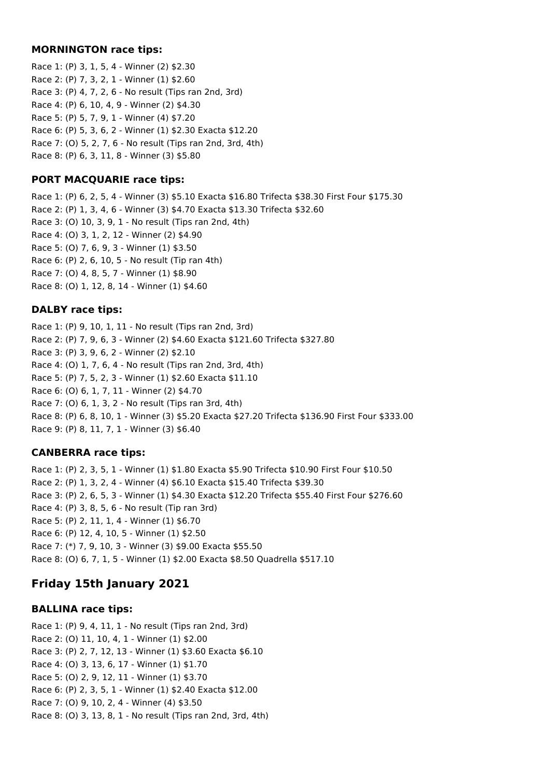#### **MORNINGTON race tips:**

Race 1: (P) 3, 1, 5, 4 - Winner (2) \$2.30 Race 2: (P) 7, 3, 2, 1 - Winner (1) \$2.60 Race 3: (P) 4, 7, 2, 6 - No result (Tips ran 2nd, 3rd) Race 4: (P) 6, 10, 4, 9 - Winner (2) \$4.30 Race 5: (P) 5, 7, 9, 1 - Winner (4) \$7.20 Race 6: (P) 5, 3, 6, 2 - Winner (1) \$2.30 Exacta \$12.20 Race 7: (O) 5, 2, 7, 6 - No result (Tips ran 2nd, 3rd, 4th) Race 8: (P) 6, 3, 11, 8 - Winner (3) \$5.80

### **PORT MACQUARIE race tips:**

Race 1: (P) 6, 2, 5, 4 - Winner (3) \$5.10 Exacta \$16.80 Trifecta \$38.30 First Four \$175.30 Race 2: (P) 1, 3, 4, 6 - Winner (3) \$4.70 Exacta \$13.30 Trifecta \$32.60 Race 3: (O) 10, 3, 9, 1 - No result (Tips ran 2nd, 4th) Race 4: (O) 3, 1, 2, 12 - Winner (2) \$4.90 Race 5: (O) 7, 6, 9, 3 - Winner (1) \$3.50 Race 6: (P) 2, 6, 10, 5 - No result (Tip ran 4th) Race 7: (O) 4, 8, 5, 7 - Winner (1) \$8.90 Race 8: (O) 1, 12, 8, 14 - Winner (1) \$4.60

### **DALBY race tips:**

Race 1: (P) 9, 10, 1, 11 - No result (Tips ran 2nd, 3rd) Race 2: (P) 7, 9, 6, 3 - Winner (2) \$4.60 Exacta \$121.60 Trifecta \$327.80 Race 3: (P) 3, 9, 6, 2 - Winner (2) \$2.10 Race 4: (O) 1, 7, 6, 4 - No result (Tips ran 2nd, 3rd, 4th) Race 5: (P) 7, 5, 2, 3 - Winner (1) \$2.60 Exacta \$11.10 Race 6: (O) 6, 1, 7, 11 - Winner (2) \$4.70 Race 7: (O) 6, 1, 3, 2 - No result (Tips ran 3rd, 4th) Race 8: (P) 6, 8, 10, 1 - Winner (3) \$5.20 Exacta \$27.20 Trifecta \$136.90 First Four \$333.00 Race 9: (P) 8, 11, 7, 1 - Winner (3) \$6.40

## **CANBERRA race tips:**

Race 1: (P) 2, 3, 5, 1 - Winner (1) \$1.80 Exacta \$5.90 Trifecta \$10.90 First Four \$10.50 Race 2: (P) 1, 3, 2, 4 - Winner (4) \$6.10 Exacta \$15.40 Trifecta \$39.30 Race 3: (P) 2, 6, 5, 3 - Winner (1) \$4.30 Exacta \$12.20 Trifecta \$55.40 First Four \$276.60 Race 4: (P) 3, 8, 5, 6 - No result (Tip ran 3rd) Race 5: (P) 2, 11, 1, 4 - Winner (1) \$6.70 Race 6: (P) 12, 4, 10, 5 - Winner (1) \$2.50 Race 7: (\*) 7, 9, 10, 3 - Winner (3) \$9.00 Exacta \$55.50 Race 8: (O) 6, 7, 1, 5 - Winner (1) \$2.00 Exacta \$8.50 Quadrella \$517.10

# **Friday 15th January 2021**

### **BALLINA race tips:**

Race 1: (P) 9, 4, 11, 1 - No result (Tips ran 2nd, 3rd) Race 2: (O) 11, 10, 4, 1 - Winner (1) \$2.00 Race 3: (P) 2, 7, 12, 13 - Winner (1) \$3.60 Exacta \$6.10 Race 4: (O) 3, 13, 6, 17 - Winner (1) \$1.70 Race 5: (O) 2, 9, 12, 11 - Winner (1) \$3.70 Race 6: (P) 2, 3, 5, 1 - Winner (1) \$2.40 Exacta \$12.00 Race 7: (O) 9, 10, 2, 4 - Winner (4) \$3.50 Race 8: (O) 3, 13, 8, 1 - No result (Tips ran 2nd, 3rd, 4th)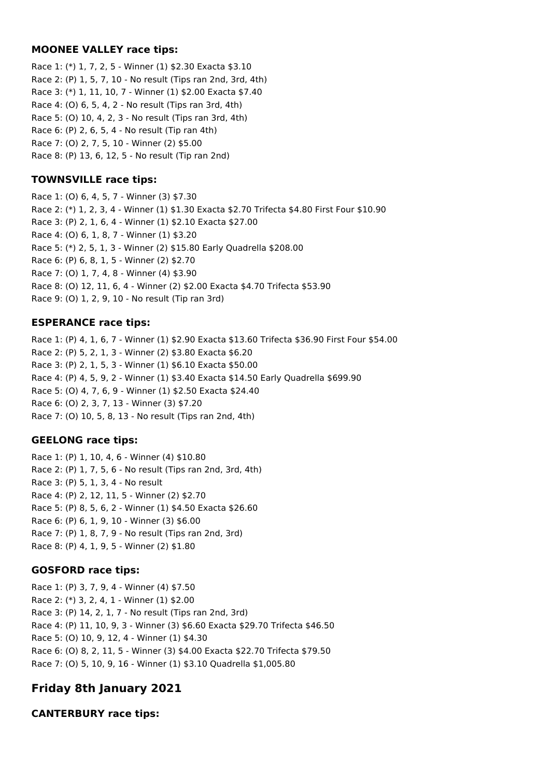#### **MOONEE VALLEY race tips:**

Race 1: (\*) 1, 7, 2, 5 - Winner (1) \$2.30 Exacta \$3.10 Race 2: (P) 1, 5, 7, 10 - No result (Tips ran 2nd, 3rd, 4th) Race 3: (\*) 1, 11, 10, 7 - Winner (1) \$2.00 Exacta \$7.40 Race 4: (O) 6, 5, 4, 2 - No result (Tips ran 3rd, 4th) Race 5: (O) 10, 4, 2, 3 - No result (Tips ran 3rd, 4th) Race 6: (P) 2, 6, 5, 4 - No result (Tip ran 4th) Race 7: (O) 2, 7, 5, 10 - Winner (2) \$5.00 Race 8: (P) 13, 6, 12, 5 - No result (Tip ran 2nd)

#### **TOWNSVILLE race tips:**

Race 1: (O) 6, 4, 5, 7 - Winner (3) \$7.30 Race 2: (\*) 1, 2, 3, 4 - Winner (1) \$1.30 Exacta \$2.70 Trifecta \$4.80 First Four \$10.90 Race 3: (P) 2, 1, 6, 4 - Winner (1) \$2.10 Exacta \$27.00 Race 4: (O) 6, 1, 8, 7 - Winner (1) \$3.20 Race 5: (\*) 2, 5, 1, 3 - Winner (2) \$15.80 Early Quadrella \$208.00 Race 6: (P) 6, 8, 1, 5 - Winner (2) \$2.70 Race 7: (O) 1, 7, 4, 8 - Winner (4) \$3.90 Race 8: (O) 12, 11, 6, 4 - Winner (2) \$2.00 Exacta \$4.70 Trifecta \$53.90 Race 9: (O) 1, 2, 9, 10 - No result (Tip ran 3rd)

#### **ESPERANCE race tips:**

Race 1: (P) 4, 1, 6, 7 - Winner (1) \$2.90 Exacta \$13.60 Trifecta \$36.90 First Four \$54.00 Race 2: (P) 5, 2, 1, 3 - Winner (2) \$3.80 Exacta \$6.20 Race 3: (P) 2, 1, 5, 3 - Winner (1) \$6.10 Exacta \$50.00 Race 4: (P) 4, 5, 9, 2 - Winner (1) \$3.40 Exacta \$14.50 Early Quadrella \$699.90 Race 5: (O) 4, 7, 6, 9 - Winner (1) \$2.50 Exacta \$24.40 Race 6: (O) 2, 3, 7, 13 - Winner (3) \$7.20 Race 7: (O) 10, 5, 8, 13 - No result (Tips ran 2nd, 4th)

### **GEELONG race tips:**

Race 1: (P) 1, 10, 4, 6 - Winner (4) \$10.80 Race 2: (P) 1, 7, 5, 6 - No result (Tips ran 2nd, 3rd, 4th) Race 3: (P) 5, 1, 3, 4 - No result Race 4: (P) 2, 12, 11, 5 - Winner (2) \$2.70 Race 5: (P) 8, 5, 6, 2 - Winner (1) \$4.50 Exacta \$26.60 Race 6: (P) 6, 1, 9, 10 - Winner (3) \$6.00 Race 7: (P) 1, 8, 7, 9 - No result (Tips ran 2nd, 3rd) Race 8: (P) 4, 1, 9, 5 - Winner (2) \$1.80

### **GOSFORD race tips:**

Race 1: (P) 3, 7, 9, 4 - Winner (4) \$7.50 Race 2: (\*) 3, 2, 4, 1 - Winner (1) \$2.00 Race 3: (P) 14, 2, 1, 7 - No result (Tips ran 2nd, 3rd) Race 4: (P) 11, 10, 9, 3 - Winner (3) \$6.60 Exacta \$29.70 Trifecta \$46.50 Race 5: (O) 10, 9, 12, 4 - Winner (1) \$4.30 Race 6: (O) 8, 2, 11, 5 - Winner (3) \$4.00 Exacta \$22.70 Trifecta \$79.50 Race 7: (O) 5, 10, 9, 16 - Winner (1) \$3.10 Quadrella \$1,005.80

# **Friday 8th January 2021**

### **CANTERBURY race tips:**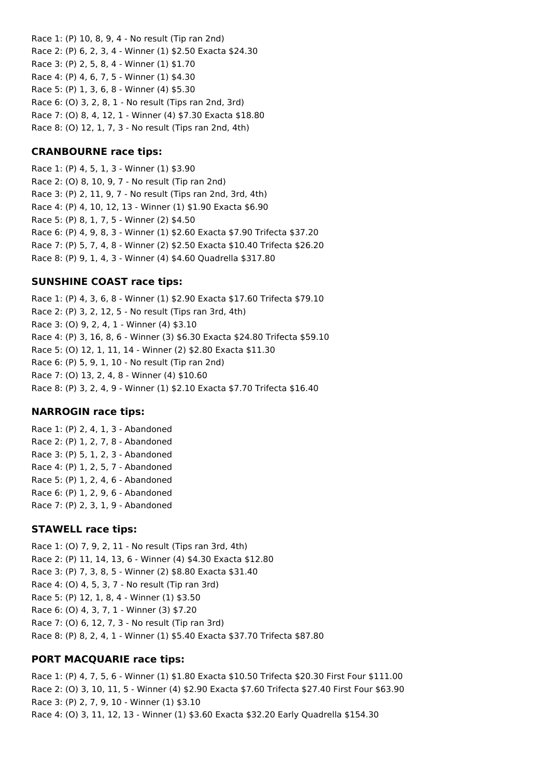Race 1: (P) 10, 8, 9, 4 - No result (Tip ran 2nd) Race 2: (P) 6, 2, 3, 4 - Winner (1) \$2.50 Exacta \$24.30 Race 3: (P) 2, 5, 8, 4 - Winner (1) \$1.70 Race 4: (P) 4, 6, 7, 5 - Winner (1) \$4.30 Race 5: (P) 1, 3, 6, 8 - Winner (4) \$5.30 Race 6: (O) 3, 2, 8, 1 - No result (Tips ran 2nd, 3rd) Race 7: (O) 8, 4, 12, 1 - Winner (4) \$7.30 Exacta \$18.80 Race 8: (O) 12, 1, 7, 3 - No result (Tips ran 2nd, 4th)

#### **CRANBOURNE race tips:**

Race 1: (P) 4, 5, 1, 3 - Winner (1) \$3.90 Race 2: (O) 8, 10, 9, 7 - No result (Tip ran 2nd) Race 3: (P) 2, 11, 9, 7 - No result (Tips ran 2nd, 3rd, 4th) Race 4: (P) 4, 10, 12, 13 - Winner (1) \$1.90 Exacta \$6.90 Race 5: (P) 8, 1, 7, 5 - Winner (2) \$4.50 Race 6: (P) 4, 9, 8, 3 - Winner (1) \$2.60 Exacta \$7.90 Trifecta \$37.20 Race 7: (P) 5, 7, 4, 8 - Winner (2) \$2.50 Exacta \$10.40 Trifecta \$26.20 Race 8: (P) 9, 1, 4, 3 - Winner (4) \$4.60 Quadrella \$317.80

### **SUNSHINE COAST race tips:**

Race 1: (P) 4, 3, 6, 8 - Winner (1) \$2.90 Exacta \$17.60 Trifecta \$79.10 Race 2: (P) 3, 2, 12, 5 - No result (Tips ran 3rd, 4th) Race 3: (O) 9, 2, 4, 1 - Winner (4) \$3.10 Race 4: (P) 3, 16, 8, 6 - Winner (3) \$6.30 Exacta \$24.80 Trifecta \$59.10 Race 5: (O) 12, 1, 11, 14 - Winner (2) \$2.80 Exacta \$11.30 Race 6: (P) 5, 9, 1, 10 - No result (Tip ran 2nd) Race 7: (O) 13, 2, 4, 8 - Winner (4) \$10.60 Race 8: (P) 3, 2, 4, 9 - Winner (1) \$2.10 Exacta \$7.70 Trifecta \$16.40

#### **NARROGIN race tips:**

Race 1: (P) 2, 4, 1, 3 - Abandoned Race 2: (P) 1, 2, 7, 8 - Abandoned Race 3: (P) 5, 1, 2, 3 - Abandoned Race 4: (P) 1, 2, 5, 7 - Abandoned Race 5: (P) 1, 2, 4, 6 - Abandoned Race 6: (P) 1, 2, 9, 6 - Abandoned Race 7: (P) 2, 3, 1, 9 - Abandoned

#### **STAWELL race tips:**

Race 1: (O) 7, 9, 2, 11 - No result (Tips ran 3rd, 4th) Race 2: (P) 11, 14, 13, 6 - Winner (4) \$4.30 Exacta \$12.80 Race 3: (P) 7, 3, 8, 5 - Winner (2) \$8.80 Exacta \$31.40 Race 4: (O) 4, 5, 3, 7 - No result (Tip ran 3rd) Race 5: (P) 12, 1, 8, 4 - Winner (1) \$3.50 Race 6: (O) 4, 3, 7, 1 - Winner (3) \$7.20 Race 7: (O) 6, 12, 7, 3 - No result (Tip ran 3rd) Race 8: (P) 8, 2, 4, 1 - Winner (1) \$5.40 Exacta \$37.70 Trifecta \$87.80

### **PORT MACQUARIE race tips:**

Race 1: (P) 4, 7, 5, 6 - Winner (1) \$1.80 Exacta \$10.50 Trifecta \$20.30 First Four \$111.00 Race 2: (O) 3, 10, 11, 5 - Winner (4) \$2.90 Exacta \$7.60 Trifecta \$27.40 First Four \$63.90 Race 3: (P) 2, 7, 9, 10 - Winner (1) \$3.10 Race 4: (O) 3, 11, 12, 13 - Winner (1) \$3.60 Exacta \$32.20 Early Quadrella \$154.30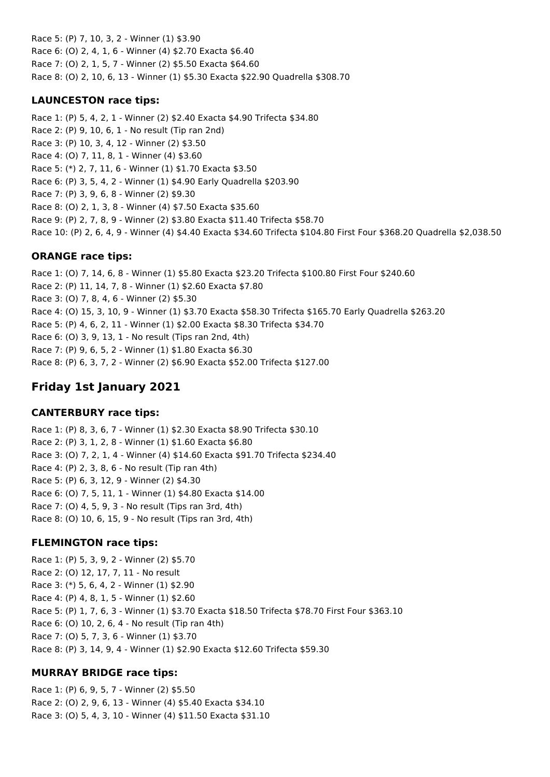Race 5: (P) 7, 10, 3, 2 - Winner (1) \$3.90 Race 6: (O) 2, 4, 1, 6 - Winner (4) \$2.70 Exacta \$6.40 Race 7: (O) 2, 1, 5, 7 - Winner (2) \$5.50 Exacta \$64.60 Race 8: (O) 2, 10, 6, 13 - Winner (1) \$5.30 Exacta \$22.90 Quadrella \$308.70

### **LAUNCESTON race tips:**

Race 1: (P) 5, 4, 2, 1 - Winner (2) \$2.40 Exacta \$4.90 Trifecta \$34.80 Race 2: (P) 9, 10, 6, 1 - No result (Tip ran 2nd) Race 3: (P) 10, 3, 4, 12 - Winner (2) \$3.50 Race 4: (O) 7, 11, 8, 1 - Winner (4) \$3.60 Race 5: (\*) 2, 7, 11, 6 - Winner (1) \$1.70 Exacta \$3.50 Race 6: (P) 3, 5, 4, 2 - Winner (1) \$4.90 Early Quadrella \$203.90 Race 7: (P) 3, 9, 6, 8 - Winner (2) \$9.30 Race 8: (O) 2, 1, 3, 8 - Winner (4) \$7.50 Exacta \$35.60 Race 9: (P) 2, 7, 8, 9 - Winner (2) \$3.80 Exacta \$11.40 Trifecta \$58.70 Race 10: (P) 2, 6, 4, 9 - Winner (4) \$4.40 Exacta \$34.60 Trifecta \$104.80 First Four \$368.20 Quadrella \$2,038.50

### **ORANGE race tips:**

Race 1: (O) 7, 14, 6, 8 - Winner (1) \$5.80 Exacta \$23.20 Trifecta \$100.80 First Four \$240.60 Race 2: (P) 11, 14, 7, 8 - Winner (1) \$2.60 Exacta \$7.80 Race 3: (O) 7, 8, 4, 6 - Winner (2) \$5.30 Race 4: (O) 15, 3, 10, 9 - Winner (1) \$3.70 Exacta \$58.30 Trifecta \$165.70 Early Quadrella \$263.20 Race 5: (P) 4, 6, 2, 11 - Winner (1) \$2.00 Exacta \$8.30 Trifecta \$34.70 Race 6: (O) 3, 9, 13, 1 - No result (Tips ran 2nd, 4th) Race 7: (P) 9, 6, 5, 2 - Winner (1) \$1.80 Exacta \$6.30 Race 8: (P) 6, 3, 7, 2 - Winner (2) \$6.90 Exacta \$52.00 Trifecta \$127.00

# **Friday 1st January 2021**

## **CANTERBURY race tips:**

Race 1: (P) 8, 3, 6, 7 - Winner (1) \$2.30 Exacta \$8.90 Trifecta \$30.10 Race 2: (P) 3, 1, 2, 8 - Winner (1) \$1.60 Exacta \$6.80 Race 3: (O) 7, 2, 1, 4 - Winner (4) \$14.60 Exacta \$91.70 Trifecta \$234.40 Race 4: (P) 2, 3, 8, 6 - No result (Tip ran 4th) Race 5: (P) 6, 3, 12, 9 - Winner (2) \$4.30 Race 6: (O) 7, 5, 11, 1 - Winner (1) \$4.80 Exacta \$14.00 Race 7: (O) 4, 5, 9, 3 - No result (Tips ran 3rd, 4th) Race 8: (O) 10, 6, 15, 9 - No result (Tips ran 3rd, 4th)

## **FLEMINGTON race tips:**

Race 1: (P) 5, 3, 9, 2 - Winner (2) \$5.70 Race 2: (O) 12, 17, 7, 11 - No result Race 3: (\*) 5, 6, 4, 2 - Winner (1) \$2.90 Race 4: (P) 4, 8, 1, 5 - Winner (1) \$2.60 Race 5: (P) 1, 7, 6, 3 - Winner (1) \$3.70 Exacta \$18.50 Trifecta \$78.70 First Four \$363.10 Race 6: (O) 10, 2, 6, 4 - No result (Tip ran 4th) Race 7: (O) 5, 7, 3, 6 - Winner (1) \$3.70 Race 8: (P) 3, 14, 9, 4 - Winner (1) \$2.90 Exacta \$12.60 Trifecta \$59.30

## **MURRAY BRIDGE race tips:**

Race 1: (P) 6, 9, 5, 7 - Winner (2) \$5.50 Race 2: (O) 2, 9, 6, 13 - Winner (4) \$5.40 Exacta \$34.10 Race 3: (O) 5, 4, 3, 10 - Winner (4) \$11.50 Exacta \$31.10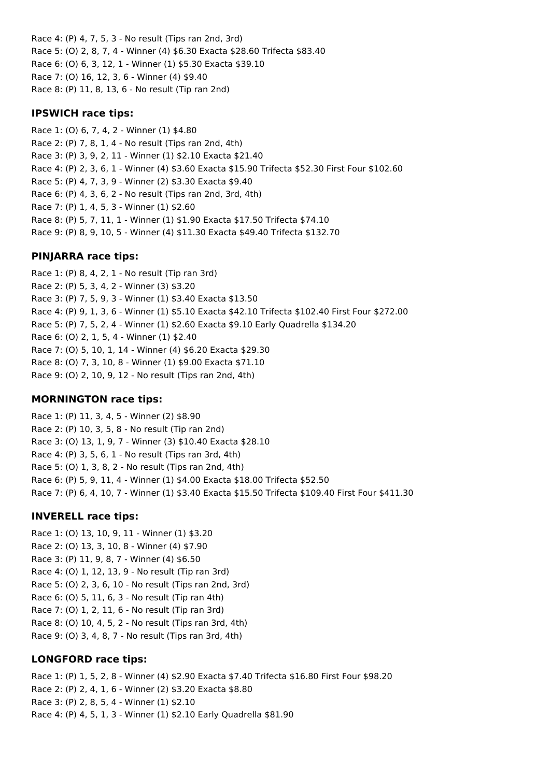Race 4: (P) 4, 7, 5, 3 - No result (Tips ran 2nd, 3rd) Race 5: (O) 2, 8, 7, 4 - Winner (4) \$6.30 Exacta \$28.60 Trifecta \$83.40 Race 6: (O) 6, 3, 12, 1 - Winner (1) \$5.30 Exacta \$39.10 Race 7: (O) 16, 12, 3, 6 - Winner (4) \$9.40 Race 8: (P) 11, 8, 13, 6 - No result (Tip ran 2nd)

#### **IPSWICH race tips:**

Race 1: (O) 6, 7, 4, 2 - Winner (1) \$4.80 Race 2: (P) 7, 8, 1, 4 - No result (Tips ran 2nd, 4th) Race 3: (P) 3, 9, 2, 11 - Winner (1) \$2.10 Exacta \$21.40 Race 4: (P) 2, 3, 6, 1 - Winner (4) \$3.60 Exacta \$15.90 Trifecta \$52.30 First Four \$102.60 Race 5: (P) 4, 7, 3, 9 - Winner (2) \$3.30 Exacta \$9.40 Race 6: (P) 4, 3, 6, 2 - No result (Tips ran 2nd, 3rd, 4th) Race 7: (P) 1, 4, 5, 3 - Winner (1) \$2.60 Race 8: (P) 5, 7, 11, 1 - Winner (1) \$1.90 Exacta \$17.50 Trifecta \$74.10 Race 9: (P) 8, 9, 10, 5 - Winner (4) \$11.30 Exacta \$49.40 Trifecta \$132.70

#### **PINJARRA race tips:**

Race 1: (P) 8, 4, 2, 1 - No result (Tip ran 3rd) Race 2: (P) 5, 3, 4, 2 - Winner (3) \$3.20 Race 3: (P) 7, 5, 9, 3 - Winner (1) \$3.40 Exacta \$13.50 Race 4: (P) 9, 1, 3, 6 - Winner (1) \$5.10 Exacta \$42.10 Trifecta \$102.40 First Four \$272.00 Race 5: (P) 7, 5, 2, 4 - Winner (1) \$2.60 Exacta \$9.10 Early Quadrella \$134.20 Race 6: (O) 2, 1, 5, 4 - Winner (1) \$2.40 Race 7: (O) 5, 10, 1, 14 - Winner (4) \$6.20 Exacta \$29.30 Race 8: (O) 7, 3, 10, 8 - Winner (1) \$9.00 Exacta \$71.10 Race 9: (O) 2, 10, 9, 12 - No result (Tips ran 2nd, 4th)

#### **MORNINGTON race tips:**

Race 1: (P) 11, 3, 4, 5 - Winner (2) \$8.90 Race 2: (P) 10, 3, 5, 8 - No result (Tip ran 2nd) Race 3: (O) 13, 1, 9, 7 - Winner (3) \$10.40 Exacta \$28.10 Race 4: (P) 3, 5, 6, 1 - No result (Tips ran 3rd, 4th) Race 5: (O) 1, 3, 8, 2 - No result (Tips ran 2nd, 4th) Race 6: (P) 5, 9, 11, 4 - Winner (1) \$4.00 Exacta \$18.00 Trifecta \$52.50 Race 7: (P) 6, 4, 10, 7 - Winner (1) \$3.40 Exacta \$15.50 Trifecta \$109.40 First Four \$411.30

#### **INVERELL race tips:**

Race 1: (O) 13, 10, 9, 11 - Winner (1) \$3.20 Race 2: (O) 13, 3, 10, 8 - Winner (4) \$7.90 Race 3: (P) 11, 9, 8, 7 - Winner (4) \$6.50 Race 4: (O) 1, 12, 13, 9 - No result (Tip ran 3rd) Race 5: (O) 2, 3, 6, 10 - No result (Tips ran 2nd, 3rd) Race 6: (O) 5, 11, 6, 3 - No result (Tip ran 4th) Race 7: (O) 1, 2, 11, 6 - No result (Tip ran 3rd) Race 8: (O) 10, 4, 5, 2 - No result (Tips ran 3rd, 4th) Race 9: (O) 3, 4, 8, 7 - No result (Tips ran 3rd, 4th)

#### **LONGFORD race tips:**

Race 1: (P) 1, 5, 2, 8 - Winner (4) \$2.90 Exacta \$7.40 Trifecta \$16.80 First Four \$98.20 Race 2: (P) 2, 4, 1, 6 - Winner (2) \$3.20 Exacta \$8.80 Race 3: (P) 2, 8, 5, 4 - Winner (1) \$2.10 Race 4: (P) 4, 5, 1, 3 - Winner (1) \$2.10 Early Quadrella \$81.90